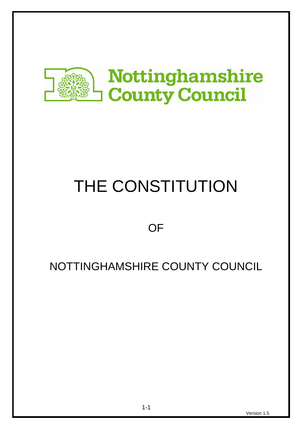

# THE CONSTITUTION

**OF** 

# NOTTINGHAMSHIRE COUNTY COUNCIL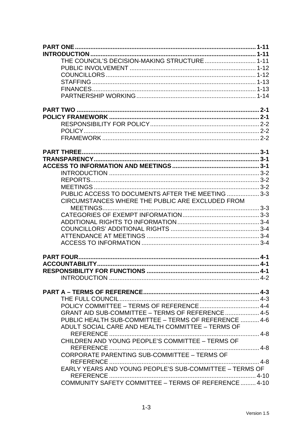| THE COUNCIL'S DECISION-MAKING STRUCTURE 1-11            |  |
|---------------------------------------------------------|--|
|                                                         |  |
|                                                         |  |
|                                                         |  |
|                                                         |  |
|                                                         |  |
|                                                         |  |
|                                                         |  |
|                                                         |  |
|                                                         |  |
|                                                         |  |
|                                                         |  |
|                                                         |  |
|                                                         |  |
|                                                         |  |
|                                                         |  |
|                                                         |  |
| PUBLIC ACCESS TO DOCUMENTS AFTER THE MEETING  3-3       |  |
| CIRCUMSTANCES WHERE THE PUBLIC ARE EXCLUDED FROM        |  |
|                                                         |  |
|                                                         |  |
|                                                         |  |
|                                                         |  |
|                                                         |  |
|                                                         |  |
|                                                         |  |
|                                                         |  |
|                                                         |  |
|                                                         |  |
|                                                         |  |
|                                                         |  |
|                                                         |  |
| GRANT AID SUB-COMMITTEE - TERMS OF REFERENCE  4-5       |  |
| PUBLIC HEALTH SUB-COMMITTEE - TERMS OF REFERENCE  4-6   |  |
| ADULT SOCIAL CARE AND HEALTH COMMITTEE - TERMS OF       |  |
| REFERENCE                                               |  |
| CHILDREN AND YOUNG PEOPLE'S COMMITTEE - TERMS OF        |  |
|                                                         |  |
| CORPORATE PARENTING SUB-COMMITTEE - TERMS OF            |  |
|                                                         |  |
| EARLY YEARS AND YOUNG PEOPLE'S SUB-COMMITTEE - TERMS OF |  |
|                                                         |  |
| COMMUNITY SAFETY COMMITTEE - TERMS OF REFERENCE  4-10   |  |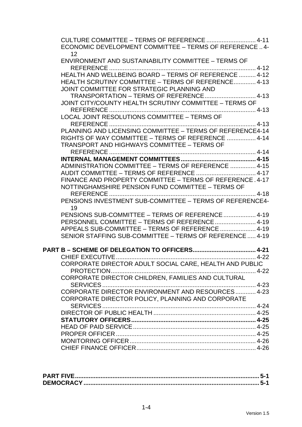| CULTURE COMMITTEE - TERMS OF REFERENCE  4-11<br>ECONOMIC DEVELOPMENT COMMITTEE - TERMS OF REFERENCE  4-<br>12 |  |
|---------------------------------------------------------------------------------------------------------------|--|
| <b>ENVIRONMENT AND SUSTAINABILITY COMMITTEE - TERMS OF</b><br>REFERENCE                                       |  |
| HEALTH AND WELLBEING BOARD - TERMS OF REFERENCE  4-12<br>HEALTH SCRUTINY COMMITTEE - TERMS OF REFERENCE 4-13  |  |
| JOINT COMMITTEE FOR STRATEGIC PLANNING AND                                                                    |  |
|                                                                                                               |  |
| JOINT CITY/COUNTY HEALTH SCRUTINY COMMITTEE - TERMS OF<br>REFERENCE                                           |  |
| LOCAL JOINT RESOLUTIONS COMMITTEE - TERMS OF                                                                  |  |
|                                                                                                               |  |
| PLANNING AND LICENSING COMMITTEE - TERMS OF REFERENCE4-14                                                     |  |
| RIGHTS OF WAY COMMITTEE - TERMS OF REFERENCE  4-14                                                            |  |
| <b>TRANSPORT AND HIGHWAYS COMMITTEE - TERMS OF</b>                                                            |  |
| REFERENCE                                                                                                     |  |
| ADMINISTRATION COMMITTEE - TERMS OF REFERENCE  4-15                                                           |  |
|                                                                                                               |  |
| FINANCE AND PROPERTY COMMITTEE - TERMS OF REFERENCE, 4-17                                                     |  |
| NOTTINGHAMSHIRE PENSION FUND COMMITTEE - TERMS OF                                                             |  |
|                                                                                                               |  |
| PENSIONS INVESTMENT SUB-COMMITTEE - TERMS OF REFERENCE4-<br>19                                                |  |
| PENSIONS SUB-COMMITTEE - TERMS OF REFERENCE  4-19                                                             |  |
| PERSONNEL COMMITTEE - TERMS OF REFERENCE  4-19<br>APPEALS SUB-COMMITTEE - TERMS OF REFERENCE  4-19            |  |
| SENIOR STAFFING SUB-COMMITTEE – TERMS OF REFERENCE  4-19                                                      |  |
|                                                                                                               |  |
|                                                                                                               |  |
|                                                                                                               |  |
| CORPORATE DIRECTOR ADULT SOCIAL CARE, HEALTH AND PUBLIC                                                       |  |
| CORPORATE DIRECTOR CHILDREN, FAMILIES AND CULTURAL                                                            |  |
|                                                                                                               |  |
| CORPORATE DIRECTOR ENVIRONMENT AND RESOURCES 4-23                                                             |  |
| CORPORATE DIRECTOR POLICY, PLANNING AND CORPORATE                                                             |  |
|                                                                                                               |  |
|                                                                                                               |  |
|                                                                                                               |  |
|                                                                                                               |  |
|                                                                                                               |  |
|                                                                                                               |  |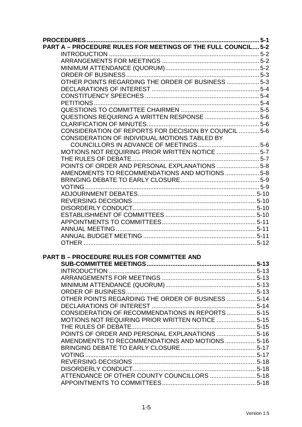| <b>PART A - PROCEDURE RULES FOR MEETINGS OF THE FULL COUNCIL 5-2</b> |           |
|----------------------------------------------------------------------|-----------|
|                                                                      |           |
|                                                                      |           |
|                                                                      |           |
|                                                                      |           |
| OTHER POINTS REGARDING THE ORDER OF BUSINESS  5-3                    |           |
|                                                                      |           |
|                                                                      |           |
|                                                                      |           |
|                                                                      |           |
| QUESTIONS REQUIRING A WRITTEN RESPONSE  5-6                          |           |
|                                                                      |           |
| CONSIDERATION OF REPORTS FOR DECISION BY COUNCIL  5-6                |           |
| CONSIDERATION OF INDIVIDUAL MOTIONS TABLED BY                        |           |
|                                                                      |           |
| MOTIONS NOT REQUIRING PRIOR WRITTEN NOTICE  5-7                      |           |
|                                                                      |           |
| POINTS OF ORDER AND PERSONAL EXPLANATIONS  5-8                       |           |
| AMENDMENTS TO RECOMMENDATIONS AND MOTIONS  5-8                       |           |
|                                                                      |           |
|                                                                      |           |
|                                                                      |           |
|                                                                      |           |
|                                                                      |           |
|                                                                      |           |
|                                                                      |           |
|                                                                      |           |
|                                                                      |           |
|                                                                      |           |
|                                                                      |           |
| <b>PART B - PROCEDURE RULES FOR COMMITTEE AND</b>                    |           |
|                                                                      | $ 5 - 13$ |
|                                                                      |           |
|                                                                      |           |
|                                                                      |           |
|                                                                      |           |
| OTHER POINTS REGARDING THE ORDER OF BUSINESS  5-14                   |           |
|                                                                      |           |
| CONSIDERATION OF RECOMMENDATIONS IN REPORTS  5-15                    |           |
|                                                                      |           |
|                                                                      |           |
| POINTS OF ORDER AND PERSONAL EXPLANATIONS  5-16                      |           |
| AMENDMENTS TO RECOMMENDATIONS AND MOTIONS  5-16                      |           |
|                                                                      |           |
|                                                                      |           |
|                                                                      |           |
|                                                                      |           |
| ATTENDANCE OF OTHER COUNTY COUNCILLORS  5-18                         |           |
|                                                                      |           |
|                                                                      |           |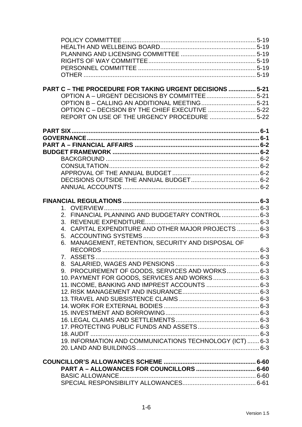| <b>PART C - THE PROCEDURE FOR TAKING URGENT DECISIONS  5-21</b> |  |
|-----------------------------------------------------------------|--|
|                                                                 |  |
|                                                                 |  |
| OPTION C - DECISION BY THE CHIEF EXECUTIVE 5-22                 |  |
| REPORT ON USE OF THE URGENCY PROCEDURE 5-22                     |  |
|                                                                 |  |
|                                                                 |  |
|                                                                 |  |
|                                                                 |  |
|                                                                 |  |
|                                                                 |  |
|                                                                 |  |
|                                                                 |  |
|                                                                 |  |
|                                                                 |  |
|                                                                 |  |
|                                                                 |  |
| 2. FINANCIAL PLANNING AND BUDGETARY CONTROL 6-3                 |  |
|                                                                 |  |
| 4. CAPITAL EXPENDITURE AND OTHER MAJOR PROJECTS  6-3            |  |
|                                                                 |  |
| 6. MANAGEMENT, RETENTION, SECURITY AND DISPOSAL OF              |  |
|                                                                 |  |
|                                                                 |  |
|                                                                 |  |
| 9. PROCUREMENT OF GOODS, SERVICES AND WORKS 6-3                 |  |
| 10. PAYMENT FOR GOODS, SERVICES AND WORKS 6-3                   |  |
| 11. INCOME, BANKING AND IMPREST ACCOUNTS  6-3                   |  |
|                                                                 |  |
|                                                                 |  |
|                                                                 |  |
|                                                                 |  |
|                                                                 |  |
|                                                                 |  |
|                                                                 |  |
| 19. INFORMATION AND COMMUNICATIONS TECHNOLOGY (ICT)  6-3        |  |
|                                                                 |  |
|                                                                 |  |
|                                                                 |  |
|                                                                 |  |
|                                                                 |  |
|                                                                 |  |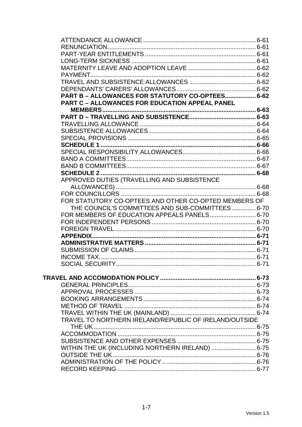| PART B - ALLOWANCES FOR STATUTORY CO-OPTEES 6-62       |  |
|--------------------------------------------------------|--|
| <b>PART C - ALLOWANCES FOR EDUCATION APPEAL PANEL</b>  |  |
|                                                        |  |
|                                                        |  |
|                                                        |  |
|                                                        |  |
|                                                        |  |
|                                                        |  |
|                                                        |  |
|                                                        |  |
|                                                        |  |
|                                                        |  |
|                                                        |  |
| APPROVED DUTIES (TRAVELLING AND SUBSISTENCE            |  |
|                                                        |  |
|                                                        |  |
| FOR STATUTORY CO-OPTEES AND OTHER CO-OPTED MEMBERS OF  |  |
| THE COUNCIL'S COMMITTEES AND SUB-COMMITTEES 6-70       |  |
| FOR MEMBERS OF EDUCATION APPEALS PANELS 6-70           |  |
|                                                        |  |
|                                                        |  |
|                                                        |  |
|                                                        |  |
|                                                        |  |
|                                                        |  |
|                                                        |  |
|                                                        |  |
|                                                        |  |
|                                                        |  |
|                                                        |  |
|                                                        |  |
|                                                        |  |
|                                                        |  |
| TRAVEL TO NORTHERN IRELAND/REPUBLIC OF IRELAND/OUTSIDE |  |
|                                                        |  |
|                                                        |  |
|                                                        |  |
| WITHIN THE UK (INCLUDING NORTHERN IRELAND)  6-75       |  |
|                                                        |  |
|                                                        |  |
|                                                        |  |
|                                                        |  |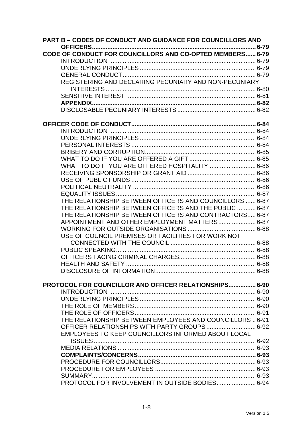| CODE OF CONDUCT FOR COUNCILLORS AND CO-OPTED MEMBERS 6-79<br>REGISTERING AND DECLARING PECUNIARY AND NON-PECUNIARY<br>WHAT TO DO IF YOU ARE OFFERED HOSPITALITY  6-86<br>THE RELATIONSHIP BETWEEN OFFICERS AND COUNCILLORS  6-87<br>THE RELATIONSHIP BETWEEN OFFICERS AND THE PUBLIC  6-87<br>THE RELATIONSHIP BETWEEN OFFICERS AND CONTRACTORS 6-87<br>APPOINTMENT AND OTHER EMPLOYMENT MATTERS 6-87<br>USE OF COUNCIL PREMISES OR FACILITIES FOR WORK NOT<br><b>PROTOCOL FOR COUNCILLOR AND OFFICER RELATIONSHIPS 6-90</b><br>THE RELATIONSHIP BETWEEN EMPLOYEES AND COUNCILLORS  6-91<br>OFFICER RELATIONSHIPS WITH PARTY GROUPS 6-92<br>EMPLOYEES TO KEEP COUNCILLORS INFORMED ABOUT LOCAL | <b>PART B - CODES OF CONDUCT AND GUIDANCE FOR COUNCILLORS AND</b> |  |
|------------------------------------------------------------------------------------------------------------------------------------------------------------------------------------------------------------------------------------------------------------------------------------------------------------------------------------------------------------------------------------------------------------------------------------------------------------------------------------------------------------------------------------------------------------------------------------------------------------------------------------------------------------------------------------------------|-------------------------------------------------------------------|--|
|                                                                                                                                                                                                                                                                                                                                                                                                                                                                                                                                                                                                                                                                                                |                                                                   |  |
|                                                                                                                                                                                                                                                                                                                                                                                                                                                                                                                                                                                                                                                                                                |                                                                   |  |
|                                                                                                                                                                                                                                                                                                                                                                                                                                                                                                                                                                                                                                                                                                |                                                                   |  |
|                                                                                                                                                                                                                                                                                                                                                                                                                                                                                                                                                                                                                                                                                                |                                                                   |  |
|                                                                                                                                                                                                                                                                                                                                                                                                                                                                                                                                                                                                                                                                                                |                                                                   |  |
|                                                                                                                                                                                                                                                                                                                                                                                                                                                                                                                                                                                                                                                                                                |                                                                   |  |
|                                                                                                                                                                                                                                                                                                                                                                                                                                                                                                                                                                                                                                                                                                |                                                                   |  |
|                                                                                                                                                                                                                                                                                                                                                                                                                                                                                                                                                                                                                                                                                                |                                                                   |  |
|                                                                                                                                                                                                                                                                                                                                                                                                                                                                                                                                                                                                                                                                                                |                                                                   |  |
|                                                                                                                                                                                                                                                                                                                                                                                                                                                                                                                                                                                                                                                                                                |                                                                   |  |
|                                                                                                                                                                                                                                                                                                                                                                                                                                                                                                                                                                                                                                                                                                |                                                                   |  |
|                                                                                                                                                                                                                                                                                                                                                                                                                                                                                                                                                                                                                                                                                                |                                                                   |  |
|                                                                                                                                                                                                                                                                                                                                                                                                                                                                                                                                                                                                                                                                                                |                                                                   |  |
|                                                                                                                                                                                                                                                                                                                                                                                                                                                                                                                                                                                                                                                                                                |                                                                   |  |
|                                                                                                                                                                                                                                                                                                                                                                                                                                                                                                                                                                                                                                                                                                |                                                                   |  |
|                                                                                                                                                                                                                                                                                                                                                                                                                                                                                                                                                                                                                                                                                                |                                                                   |  |
|                                                                                                                                                                                                                                                                                                                                                                                                                                                                                                                                                                                                                                                                                                |                                                                   |  |
|                                                                                                                                                                                                                                                                                                                                                                                                                                                                                                                                                                                                                                                                                                |                                                                   |  |
|                                                                                                                                                                                                                                                                                                                                                                                                                                                                                                                                                                                                                                                                                                |                                                                   |  |
|                                                                                                                                                                                                                                                                                                                                                                                                                                                                                                                                                                                                                                                                                                |                                                                   |  |
|                                                                                                                                                                                                                                                                                                                                                                                                                                                                                                                                                                                                                                                                                                |                                                                   |  |
|                                                                                                                                                                                                                                                                                                                                                                                                                                                                                                                                                                                                                                                                                                |                                                                   |  |
|                                                                                                                                                                                                                                                                                                                                                                                                                                                                                                                                                                                                                                                                                                |                                                                   |  |
|                                                                                                                                                                                                                                                                                                                                                                                                                                                                                                                                                                                                                                                                                                |                                                                   |  |
|                                                                                                                                                                                                                                                                                                                                                                                                                                                                                                                                                                                                                                                                                                |                                                                   |  |
|                                                                                                                                                                                                                                                                                                                                                                                                                                                                                                                                                                                                                                                                                                |                                                                   |  |
|                                                                                                                                                                                                                                                                                                                                                                                                                                                                                                                                                                                                                                                                                                |                                                                   |  |
|                                                                                                                                                                                                                                                                                                                                                                                                                                                                                                                                                                                                                                                                                                |                                                                   |  |
|                                                                                                                                                                                                                                                                                                                                                                                                                                                                                                                                                                                                                                                                                                |                                                                   |  |
|                                                                                                                                                                                                                                                                                                                                                                                                                                                                                                                                                                                                                                                                                                |                                                                   |  |
|                                                                                                                                                                                                                                                                                                                                                                                                                                                                                                                                                                                                                                                                                                |                                                                   |  |
|                                                                                                                                                                                                                                                                                                                                                                                                                                                                                                                                                                                                                                                                                                |                                                                   |  |
|                                                                                                                                                                                                                                                                                                                                                                                                                                                                                                                                                                                                                                                                                                |                                                                   |  |
|                                                                                                                                                                                                                                                                                                                                                                                                                                                                                                                                                                                                                                                                                                |                                                                   |  |
|                                                                                                                                                                                                                                                                                                                                                                                                                                                                                                                                                                                                                                                                                                |                                                                   |  |
|                                                                                                                                                                                                                                                                                                                                                                                                                                                                                                                                                                                                                                                                                                |                                                                   |  |
|                                                                                                                                                                                                                                                                                                                                                                                                                                                                                                                                                                                                                                                                                                |                                                                   |  |
|                                                                                                                                                                                                                                                                                                                                                                                                                                                                                                                                                                                                                                                                                                |                                                                   |  |
|                                                                                                                                                                                                                                                                                                                                                                                                                                                                                                                                                                                                                                                                                                |                                                                   |  |
|                                                                                                                                                                                                                                                                                                                                                                                                                                                                                                                                                                                                                                                                                                |                                                                   |  |
|                                                                                                                                                                                                                                                                                                                                                                                                                                                                                                                                                                                                                                                                                                |                                                                   |  |
|                                                                                                                                                                                                                                                                                                                                                                                                                                                                                                                                                                                                                                                                                                |                                                                   |  |
|                                                                                                                                                                                                                                                                                                                                                                                                                                                                                                                                                                                                                                                                                                |                                                                   |  |
|                                                                                                                                                                                                                                                                                                                                                                                                                                                                                                                                                                                                                                                                                                |                                                                   |  |
|                                                                                                                                                                                                                                                                                                                                                                                                                                                                                                                                                                                                                                                                                                |                                                                   |  |
|                                                                                                                                                                                                                                                                                                                                                                                                                                                                                                                                                                                                                                                                                                |                                                                   |  |
| <b>SUMMARY</b>                                                                                                                                                                                                                                                                                                                                                                                                                                                                                                                                                                                                                                                                                 |                                                                   |  |
| PROTOCOL FOR INVOLVEMENT IN OUTSIDE BODIES 6-94                                                                                                                                                                                                                                                                                                                                                                                                                                                                                                                                                                                                                                                |                                                                   |  |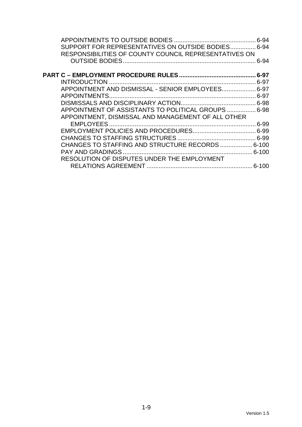| SUPPORT FOR REPRESENTATIVES ON OUTSIDE BODIES 6-94    |      |
|-------------------------------------------------------|------|
| RESPONSIBILITIES OF COUNTY COUNCIL REPRESENTATIVES ON |      |
|                                                       | 6-94 |
|                                                       |      |
|                                                       |      |
| APPOINTMENT AND DISMISSAL - SENIOR EMPLOYEES 6-97     |      |
|                                                       |      |
|                                                       |      |
| APPOINTMENT OF ASSISTANTS TO POLITICAL GROUPS  6-98   |      |
| APPOINTMENT, DISMISSAL AND MANAGEMENT OF ALL OTHER    |      |
|                                                       |      |
|                                                       |      |
|                                                       |      |
| CHANGES TO STAFFING AND STRUCTURE RECORDS  6-100      |      |
|                                                       |      |
| RESOLUTION OF DISPUTES UNDER THE EMPLOYMENT           |      |
|                                                       |      |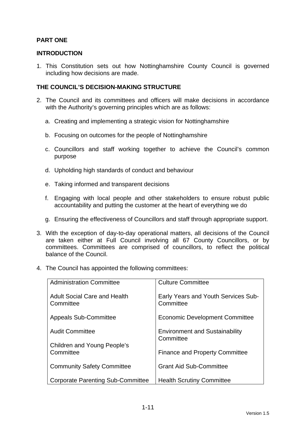# **PART ONE**

#### **INTRODUCTION**

1. This Constitution sets out how Nottinghamshire County Council is governed including how decisions are made.

#### **THE COUNCIL'S DECISION-MAKING STRUCTURE**

- 2. The Council and its committees and officers will make decisions in accordance with the Authority's governing principles which are as follows:
	- a. Creating and implementing a strategic vision for Nottinghamshire
	- b. Focusing on outcomes for the people of Nottinghamshire
	- c. Councillors and staff working together to achieve the Council's common purpose
	- d. Upholding high standards of conduct and behaviour
	- e. Taking informed and transparent decisions
	- f. Engaging with local people and other stakeholders to ensure robust public accountability and putting the customer at the heart of everything we do
	- g. Ensuring the effectiveness of Councillors and staff through appropriate support.
- 3. With the exception of day-to-day operational matters, all decisions of the Council are taken either at Full Council involving all 67 County Councillors, or by committees. Committees are comprised of councillors, to reflect the political balance of the Council.
- 4. The Council has appointed the following committees:

| <b>Administration Committee</b>                  | <b>Culture Committee</b>                                |
|--------------------------------------------------|---------------------------------------------------------|
| <b>Adult Social Care and Health</b><br>Committee | <b>Early Years and Youth Services Sub-</b><br>Committee |
| <b>Appeals Sub-Committee</b>                     | <b>Economic Development Committee</b>                   |
| <b>Audit Committee</b>                           | <b>Environment and Sustainability</b><br>Committee      |
| <b>Children and Young People's</b>               |                                                         |
| Committee                                        | <b>Finance and Property Committee</b>                   |
| <b>Community Safety Committee</b>                | <b>Grant Aid Sub-Committee</b>                          |
| <b>Corporate Parenting Sub-Committee</b>         | <b>Health Scrutiny Committee</b>                        |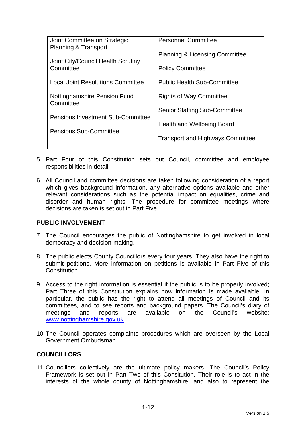| Joint Committee on Strategic              | <b>Personnel Committee</b>                |
|-------------------------------------------|-------------------------------------------|
| <b>Planning &amp; Transport</b>           | <b>Planning &amp; Licensing Committee</b> |
| Joint City/Council Health Scrutiny        |                                           |
| Committee                                 | <b>Policy Committee</b>                   |
| <b>Local Joint Resolutions Committee</b>  | <b>Public Health Sub-Committee</b>        |
| Nottinghamshire Pension Fund<br>Committee | <b>Rights of Way Committee</b>            |
|                                           | <b>Senior Staffing Sub-Committee</b>      |
| <b>Pensions Investment Sub-Committee</b>  |                                           |
| <b>Pensions Sub-Committee</b>             | Health and Wellbeing Board                |
|                                           | <b>Transport and Highways Committee</b>   |
|                                           |                                           |

- 5. Part Four of this Constitution sets out Council, committee and employee responsibilities in detail.
- 6. All Council and committee decisions are taken following consideration of a report which gives background information, any alternative options available and other relevant considerations such as the potential impact on equalities, crime and disorder and human rights. The procedure for committee meetings where decisions are taken is set out in Part Five.

#### **PUBLIC INVOLVEMENT**

- 7. The Council encourages the public of Nottinghamshire to get involved in local democracy and decision-making.
- 8. The public elects County Councillors every four years. They also have the right to submit petitions. More information on petitions is available in Part Five of this Constitution.
- 9. Access to the right information is essential if the public is to be properly involved; Part Three of this Constitution explains how information is made available. In particular, the public has the right to attend all meetings of Council and its committees, and to see reports and background papers. The Council's diary of meetings and reports are available on the Council's website: www.nottinghamshire.gov.uk
- 10. The Council operates complaints procedures which are overseen by the Local Government Ombudsman.

#### **COUNCILLORS**

11. Councillors collectively are the ultimate policy makers. The Council's Policy Framework is set out in Part Two of this Consitution. Their role is to act in the interests of the whole county of Nottinghamshire, and also to represent the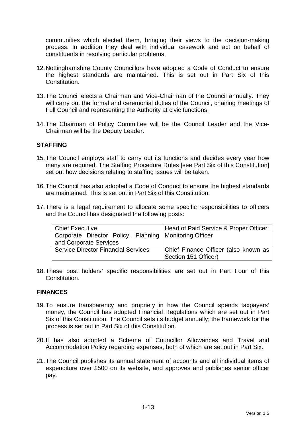communities which elected them, bringing their views to the decision-making process. In addition they deal with individual casework and act on behalf of constituents in resolving particular problems.

- 12. Nottinghamshire County Councillors have adopted a Code of Conduct to ensure the highest standards are maintained. This is set out in Part Six of this Constitution.
- 13. The Council elects a Chairman and Vice-Chairman of the Council annually. They will carry out the formal and ceremonial duties of the Council, chairing meetings of Full Council and representing the Authority at civic functions.
- 14. The Chairman of Policy Committee will be the Council Leader and the Vice-Chairman will be the Deputy Leader.

#### **STAFFING**

- 15. The Council employs staff to carry out its functions and decides every year how many are required. The Staffing Procedure Rules [see Part Six of this Constitution] set out how decisions relating to staffing issues will be taken.
- 16. The Council has also adopted a Code of Conduct to ensure the highest standards are maintained. This is set out in Part Six of this Constitution.
- 17. There is a legal requirement to allocate some specific responsibilities to officers and the Council has designated the following posts:

| Chief Executive                                          | Head of Paid Service & Proper Officer |
|----------------------------------------------------------|---------------------------------------|
| Corporate Director Policy, Planning   Monitoring Officer |                                       |
| and Corporate Services                                   |                                       |
| <b>Service Director Financial Services</b>               | Chief Finance Officer (also known as  |
|                                                          | Section 151 Officer)                  |

18. These post holders' specific responsibilities are set out in Part Four of this Constitution.

#### **FINANCES**

- 19. To ensure transparency and propriety in how the Council spends taxpayers' money, the Council has adopted Financial Regulations which are set out in Part Six of this Constitution. The Council sets its budget annually; the framework for the process is set out in Part Six of this Constitution.
- 20. It has also adopted a Scheme of Councillor Allowances and Travel and Accommodation Policy regarding expenses, both of which are set out in Part Six.
- 21. The Council publishes its annual statement of accounts and all individual items of expenditure over £500 on its website, and approves and publishes senior officer pay.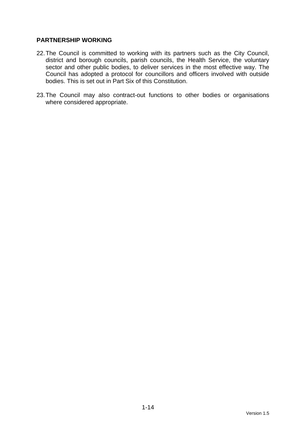## **PARTNERSHIP WORKING**

- 22. The Council is committed to working with its partners such as the City Council, district and borough councils, parish councils, the Health Service, the voluntary sector and other public bodies, to deliver services in the most effective way. The Council has adopted a protocol for councillors and officers involved with outside bodies. This is set out in Part Six of this Constitution.
- 23. The Council may also contract-out functions to other bodies or organisations where considered appropriate.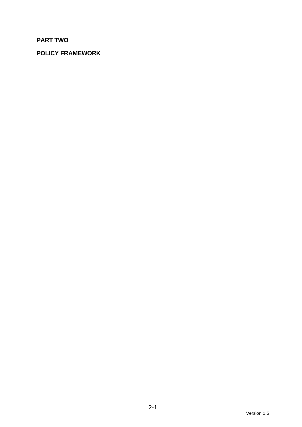# **PART TWO**

# **POLICY FRAMEWORK**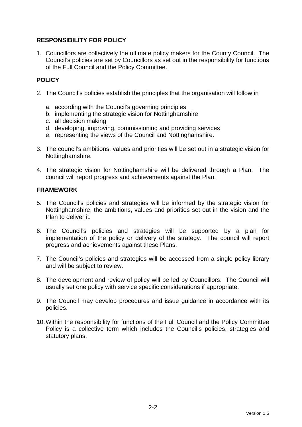# **RESPONSIBILITY FOR POLICY**

1. Councillors are collectively the ultimate policy makers for the County Council. The Council's policies are set by Councillors as set out in the responsibility for functions of the Full Council and the Policy Committee.

# **POLICY**

- 2. The Council's policies establish the principles that the organisation will follow in
	- a. according with the Council's governing principles
	- b. implementing the strategic vision for Nottinghamshire
	- c. all decision making
	- d. developing, improving, commissioning and providing services
	- e. representing the views of the Council and Nottinghamshire.
- 3. The council's ambitions, values and priorities will be set out in a strategic vision for Nottinghamshire.
- 4. The strategic vision for Nottinghamshire will be delivered through a Plan. The council will report progress and achievements against the Plan.

## **FRAMEWORK**

- 5. The Council's policies and strategies will be informed by the strategic vision for Nottinghamshire, the ambitions, values and priorities set out in the vision and the Plan to deliver it.
- 6. The Council's policies and strategies will be supported by a plan for implementation of the policy or delivery of the strategy. The council will report progress and achievements against these Plans.
- 7. The Council's policies and strategies will be accessed from a single policy library and will be subject to review.
- 8. The development and review of policy will be led by Councillors. The Council will usually set one policy with service specific considerations if appropriate.
- 9. The Council may develop procedures and issue guidance in accordance with its policies.
- 10. Within the responsibility for functions of the Full Council and the Policy Committee Policy is a collective term which includes the Council's policies, strategies and statutory plans.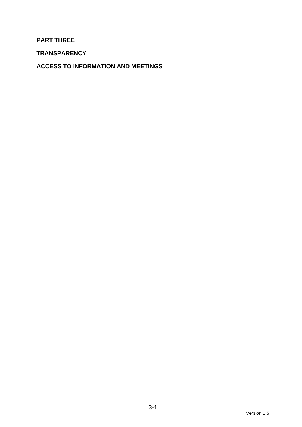**PART THREE** 

**TRANSPARENCY** 

**ACCESS TO INFORMATION AND MEETINGS**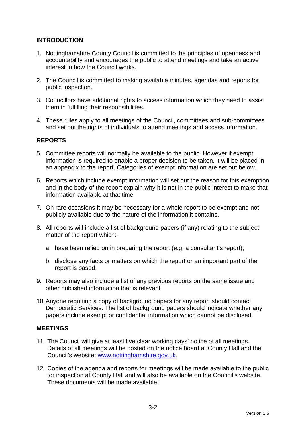# **INTRODUCTION**

- 1. Nottinghamshire County Council is committed to the principles of openness and accountability and encourages the public to attend meetings and take an active interest in how the Council works.
- 2. The Council is committed to making available minutes, agendas and reports for public inspection.
- 3. Councillors have additional rights to access information which they need to assist them in fulfilling their responsibilities.
- 4. These rules apply to all meetings of the Council, committees and sub-committees and set out the rights of individuals to attend meetings and access information.

# **REPORTS**

- 5. Committee reports will normally be available to the public. However if exempt information is required to enable a proper decision to be taken, it will be placed in an appendix to the report. Categories of exempt information are set out below.
- 6. Reports which include exempt information will set out the reason for this exemption and in the body of the report explain why it is not in the public interest to make that information available at that time.
- 7. On rare occasions it may be necessary for a whole report to be exempt and not publicly available due to the nature of the information it contains.
- 8. All reports will include a list of background papers (if any) relating to the subject matter of the report which:
	- a. have been relied on in preparing the report (e.g. a consultant's report);
	- b. disclose any facts or matters on which the report or an important part of the report is based;
- 9. Reports may also include a list of any previous reports on the same issue and other published information that is relevant
- 10. Anyone requiring a copy of background papers for any report should contact Democratic Services. The list of background papers should indicate whether any papers include exempt or confidential information which cannot be disclosed.

#### **MEETINGS**

- 11. The Council will give at least five clear working days' notice of all meetings. Details of all meetings will be posted on the notice board at County Hall and the Council's website: www.nottinghamshire.gov.uk.
- 12. Copies of the agenda and reports for meetings will be made available to the public for inspection at County Hall and will also be available on the Council's website. These documents will be made available: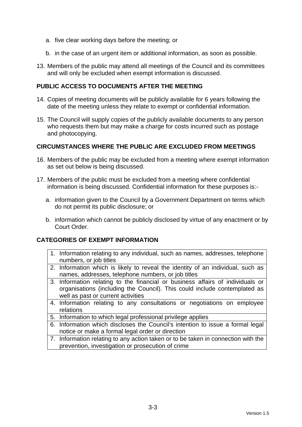- a. five clear working days before the meeting; or
- b. in the case of an urgent item or additional information, as soon as possible.
- 13. Members of the public may attend all meetings of the Council and its committees and will only be excluded when exempt information is discussed.

#### **PUBLIC ACCESS TO DOCUMENTS AFTER THE MEETING**

- 14. Copies of meeting documents will be publicly available for 6 years following the date of the meeting unless they relate to exempt or confidential information.
- 15. The Council will supply copies of the publicly available documents to any person who requests them but may make a charge for costs incurred such as postage and photocopying.

#### **CIRCUMSTANCES WHERE THE PUBLIC ARE EXCLUDED FROM MEETINGS**

- 16. Members of the public may be excluded from a meeting where exempt information as set out below is being discussed.
- 17. Members of the public must be excluded from a meeting where confidential information is being discussed. Confidential information for these purposes is:
	- a. information given to the Council by a Government Department on terms which do not permit its public disclosure; or
	- b. information which cannot be publicly disclosed by virtue of any enactment or by Court Order.

#### **CATEGORIES OF EXEMPT INFORMATION**

- 1. Information relating to any individual, such as names, addresses, telephone numbers, or job titles
- 2. Information which is likely to reveal the identity of an individual, such as names, addresses, telephone numbers, or job titles
- 3. Information relating to the financial or business affairs of individuals or organisations (including the Council). This could include contemplated as well as past or current activities
- 4. Information relating to any consultations or negotiations on employee relations
- 5. Information to which legal professional privilege applies
- 6. Information which discloses the Council's intention to issue a formal legal notice or make a formal legal order or direction
- 7. Information relating to any action taken or to be taken in connection with the prevention, investigation or prosecution of crime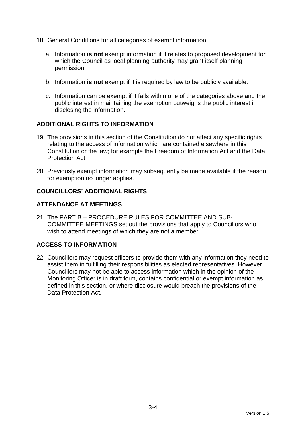- 18. General Conditions for all categories of exempt information:
	- a. Information **is not** exempt information if it relates to proposed development for which the Council as local planning authority may grant itself planning permission.
	- b. Information **is not** exempt if it is required by law to be publicly available.
	- c. Information can be exempt if it falls within one of the categories above and the public interest in maintaining the exemption outweighs the public interest in disclosing the information.

# **ADDITIONAL RIGHTS TO INFORMATION**

- 19. The provisions in this section of the Constitution do not affect any specific rights relating to the access of information which are contained elsewhere in this Constitution or the law; for example the Freedom of Information Act and the Data Protection Act
- 20. Previously exempt information may subsequently be made available if the reason for exemption no longer applies.

# **COUNCILLORS' ADDITIONAL RIGHTS**

# **ATTENDANCE AT MEETINGS**

21. The PART B – PROCEDURE RULES FOR COMMITTEE AND SUB-COMMITTEE MEETINGS set out the provisions that apply to Councillors who wish to attend meetings of which they are not a member.

# **ACCESS TO INFORMATION**

22. Councillors may request officers to provide them with any information they need to assist them in fulfilling their responsibilities as elected representatives. However, Councillors may not be able to access information which in the opinion of the Monitoring Officer is in draft form, contains confidential or exempt information as defined in this section, or where disclosure would breach the provisions of the Data Protection Act.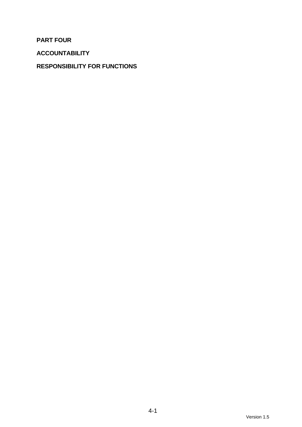**PART FOUR** 

**ACCOUNTABILITY** 

# **RESPONSIBILITY FOR FUNCTIONS**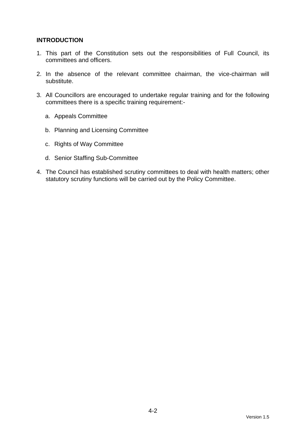# **INTRODUCTION**

- 1. This part of the Constitution sets out the responsibilities of Full Council, its committees and officers.
- 2. In the absence of the relevant committee chairman, the vice-chairman will substitute.
- 3. All Councillors are encouraged to undertake regular training and for the following committees there is a specific training requirement:
	- a. Appeals Committee
	- b. Planning and Licensing Committee
	- c. Rights of Way Committee
	- d. Senior Staffing Sub-Committee
- 4. The Council has established scrutiny committees to deal with health matters; other statutory scrutiny functions will be carried out by the Policy Committee.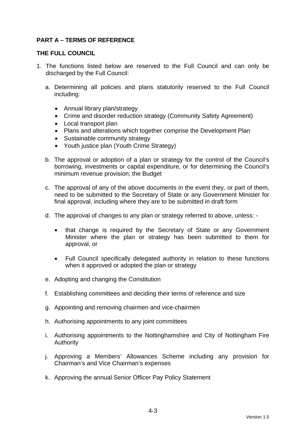# **PART A – TERMS OF REFERENCE**

#### **THE FULL COUNCIL**

- 1. The functions listed below are reserved to the Full Council and can only be discharged by the Full Council:
	- a. Determining all policies and plans statutorily reserved to the Full Council including:
		- Annual library plan/strategy
		- Crime and disorder reduction strategy (Community Safety Agreement)
		- Local transport plan
		- Plans and alterations which together comprise the Development Plan
		- Sustainable community strategy
		- Youth justice plan (Youth Crime Strategy)
	- b. The approval or adoption of a plan or strategy for the control of the Council's borrowing, investments or capital expenditure, or for determining the Council's minimum revenue provision; the Budget
	- c. The approval of any of the above documents in the event they, or part of them, need to be submitted to the Secretary of State or any Government Minister for final approval, including where they are to be submitted in draft form
	- d. The approval of changes to any plan or strategy referred to above, unless:
		- that change is required by the Secretary of State or any Government Minister where the plan or strategy has been submitted to them for approval, or
		- Full Council specifically delegated authority in relation to these functions when it approved or adopted the plan or strategy
	- e. Adopting and changing the Constitution
	- f. Establishing committees and deciding their terms of reference and size
	- g. Appointing and removing chairmen and vice-chairmen
	- h. Authorising appointments to any joint committees
	- i. Authorising appointments to the Nottinghamshire and City of Nottingham Fire Authority
	- j. Approving a Members' Allowances Scheme including any provision for Chairman's and Vice Chairman's expenses
	- k. Approving the annual Senior Officer Pay Policy Statement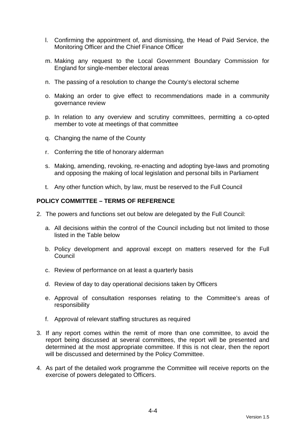- l. Confirming the appointment of, and dismissing, the Head of Paid Service, the Monitoring Officer and the Chief Finance Officer
- m. Making any request to the Local Government Boundary Commission for England for single-member electoral areas
- n. The passing of a resolution to change the County's electoral scheme
- o. Making an order to give effect to recommendations made in a community governance review
- p. In relation to any overview and scrutiny committees, permitting a co-opted member to vote at meetings of that committee
- q. Changing the name of the County
- r. Conferring the title of honorary alderman
- s. Making, amending, revoking, re-enacting and adopting bye-laws and promoting and opposing the making of local legislation and personal bills in Parliament
- t. Any other function which, by law, must be reserved to the Full Council

#### **POLICY COMMITTEE – TERMS OF REFERENCE**

- 2. The powers and functions set out below are delegated by the Full Council:
	- a. All decisions within the control of the Council including but not limited to those listed in the Table below
	- b. Policy development and approval except on matters reserved for the Full **Council**
	- c. Review of performance on at least a quarterly basis
	- d. Review of day to day operational decisions taken by Officers
	- e. Approval of consultation responses relating to the Committee's areas of responsibility
	- f. Approval of relevant staffing structures as required
- 3. If any report comes within the remit of more than one committee, to avoid the report being discussed at several committees, the report will be presented and determined at the most appropriate committee. If this is not clear, then the report will be discussed and determined by the Policy Committee.
- 4. As part of the detailed work programme the Committee will receive reports on the exercise of powers delegated to Officers.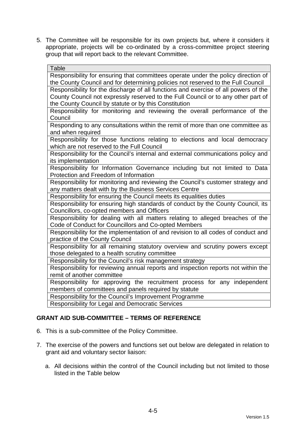5. The Committee will be responsible for its own projects but, where it considers it appropriate, projects will be co-ordinated by a cross-committee project steering group that will report back to the relevant Committee.

| Responsibility for ensuring that committees operate under the policy direction of   |
|-------------------------------------------------------------------------------------|
| the County Council and for determining policies not reserved to the Full Council    |
| Responsibility for the discharge of all functions and exercise of all powers of the |
| County Council not expressly reserved to the Full Council or to any other part of   |
| the County Council by statute or by this Constitution                               |
| Responsibility for monitoring and reviewing the overall performance of the          |
| Council                                                                             |
| Responding to any consultations within the remit of more than one committee as      |
| and when required                                                                   |
| Responsibility for those functions relating to elections and local democracy        |
| which are not reserved to the Full Council                                          |
| Responsibility for the Council's internal and external communications policy and    |
| its implementation                                                                  |
| Responsibility for Information Governance including but not limited to Data         |
| Protection and Freedom of Information                                               |
| Responsibility for monitoring and reviewing the Council's customer strategy and     |
| any matters dealt with by the Business Services Centre                              |
| Responsibility for ensuring the Council meets its equalities duties                 |
| Responsibility for ensuring high standards of conduct by the County Council, its    |
| Councillors, co-opted members and Officers                                          |
| Responsibility for dealing with all matters relating to alleged breaches of the     |
| Code of Conduct for Councillors and Co-opted Members                                |
| Responsibility for the implementation of and revision to all codes of conduct and   |
| practice of the County Council                                                      |
| Responsibility for all remaining statutory overview and scrutiny powers except      |
| those delegated to a health scrutiny committee                                      |
| Responsibility for the Council's risk management strategy                           |
| Responsibility for reviewing annual reports and inspection reports not within the   |
| remit of another committee                                                          |
| Responsibility for approving the recruitment process for any independent            |
| members of committees and panels required by statute                                |
| Responsibility for the Council's Improvement Programme                              |
| <b>Responsibility for Legal and Democratic Services</b>                             |

# **GRANT AID SUB-COMMITTEE – TERMS OF REFERENCE**

- 6. This is a sub-committee of the Policy Committee.
- 7. The exercise of the powers and functions set out below are delegated in relation to grant aid and voluntary sector liaison:
	- a. All decisions within the control of the Council including but not limited to those listed in the Table below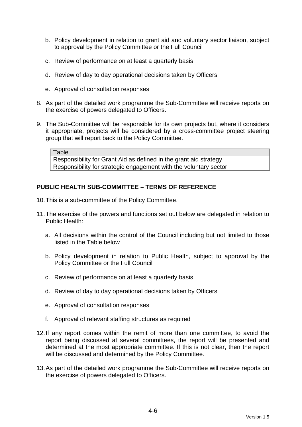- b. Policy development in relation to grant aid and voluntary sector liaison, subject to approval by the Policy Committee or the Full Council
- c. Review of performance on at least a quarterly basis
- d. Review of day to day operational decisions taken by Officers
- e. Approval of consultation responses
- 8. As part of the detailed work programme the Sub-Committee will receive reports on the exercise of powers delegated to Officers.
- 9. The Sub-Committee will be responsible for its own projects but, where it considers it appropriate, projects will be considered by a cross-committee project steering group that will report back to the Policy Committee.

**Table** 

Responsibility for Grant Aid as defined in the grant aid strategy Responsibility for strategic engagement with the voluntary sector

## **PUBLIC HEALTH SUB-COMMITTEE – TERMS OF REFERENCE**

- 10. This is a sub-committee of the Policy Committee.
- 11. The exercise of the powers and functions set out below are delegated in relation to Public Health:
	- a. All decisions within the control of the Council including but not limited to those listed in the Table below
	- b. Policy development in relation to Public Health, subject to approval by the Policy Committee or the Full Council
	- c. Review of performance on at least a quarterly basis
	- d. Review of day to day operational decisions taken by Officers
	- e. Approval of consultation responses
	- f. Approval of relevant staffing structures as required
- 12. If any report comes within the remit of more than one committee, to avoid the report being discussed at several committees, the report will be presented and determined at the most appropriate committee. If this is not clear, then the report will be discussed and determined by the Policy Committee.
- 13. As part of the detailed work programme the Sub-Committee will receive reports on the exercise of powers delegated to Officers.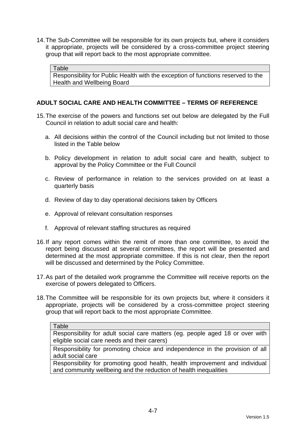14. The Sub-Committee will be responsible for its own projects but, where it considers it appropriate, projects will be considered by a cross-committee project steering group that will report back to the most appropriate committee.

Table

Responsibility for Public Health with the exception of functions reserved to the Health and Wellbeing Board

# **ADULT SOCIAL CARE AND HEALTH COMMITTEE – TERMS OF REFERENCE**

- 15. The exercise of the powers and functions set out below are delegated by the Full Council in relation to adult social care and health:
	- a. All decisions within the control of the Council including but not limited to those listed in the Table below
	- b. Policy development in relation to adult social care and health, subject to approval by the Policy Committee or the Full Council
	- c. Review of performance in relation to the services provided on at least a quarterly basis
	- d. Review of day to day operational decisions taken by Officers
	- e. Approval of relevant consultation responses
	- f. Approval of relevant staffing structures as required
- 16. If any report comes within the remit of more than one committee, to avoid the report being discussed at several committees, the report will be presented and determined at the most appropriate committee. If this is not clear, then the report will be discussed and determined by the Policy Committee.
- 17. As part of the detailed work programme the Committee will receive reports on the exercise of powers delegated to Officers.
- 18. The Committee will be responsible for its own projects but, where it considers it appropriate, projects will be considered by a cross-committee project steering group that will report back to the most appropriate Committee.

Responsibility for adult social care matters (eg. people aged 18 or over with eligible social care needs and their carers)

Responsibility for promoting choice and independence in the provision of all adult social care

Responsibility for promoting good health, health improvement and individual and community wellbeing and the reduction of health inequalities

Table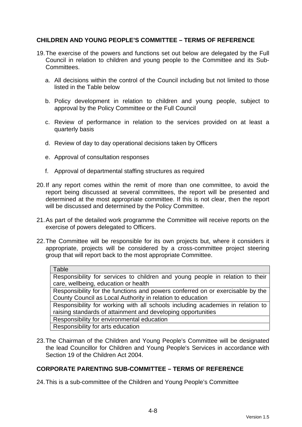# **CHILDREN AND YOUNG PEOPLE'S COMMITTEE – TERMS OF REFERENCE**

- 19. The exercise of the powers and functions set out below are delegated by the Full Council in relation to children and young people to the Committee and its Sub-Committees.
	- a. All decisions within the control of the Council including but not limited to those listed in the Table below
	- b. Policy development in relation to children and young people, subject to approval by the Policy Committee or the Full Council
	- c. Review of performance in relation to the services provided on at least a quarterly basis
	- d. Review of day to day operational decisions taken by Officers
	- e. Approval of consultation responses
	- f. Approval of departmental staffing structures as required
- 20. If any report comes within the remit of more than one committee, to avoid the report being discussed at several committees, the report will be presented and determined at the most appropriate committee. If this is not clear, then the report will be discussed and determined by the Policy Committee.
- 21. As part of the detailed work programme the Committee will receive reports on the exercise of powers delegated to Officers.
- 22. The Committee will be responsible for its own projects but, where it considers it appropriate, projects will be considered by a cross-committee project steering group that will report back to the most appropriate Committee.

| Table                                                                          |
|--------------------------------------------------------------------------------|
| Responsibility for services to children and young people in relation to their  |
| care, wellbeing, education or health                                           |
| Responsibility for the functions and powers conferred on or exercisable by the |
| County Council as Local Authority in relation to education                     |
| Responsibility for working with all schools including academies in relation to |
| raising standards of attainment and developing opportunities                   |
| Responsibility for environmental education                                     |
| Responsibility for arts education                                              |
|                                                                                |

23. The Chairman of the Children and Young People's Committee will be designated the lead Councillor for Children and Young People's Services in accordance with Section 19 of the Children Act 2004.

#### **CORPORATE PARENTING SUB-COMMITTEE – TERMS OF REFERENCE**

24. This is a sub-committee of the Children and Young People's Committee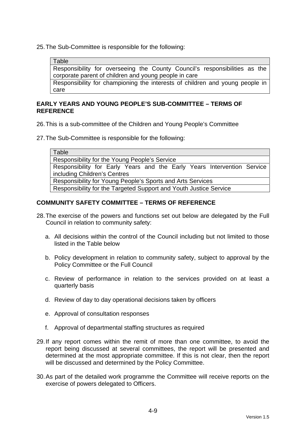25. The Sub-Committee is responsible for the following:

Table

Responsibility for overseeing the County Council's responsibilities as the corporate parent of children and young people in care

Responsibility for championing the interests of children and young people in care

#### **EARLY YEARS AND YOUNG PEOPLE'S SUB-COMMITTEE – TERMS OF REFERENCE**

26. This is a sub-committee of the Children and Young People's Committee

27. The Sub-Committee is responsible for the following:

**Table** 

Responsibility for the Young People's Service

Responsibility for Early Years and the Early Years Intervention Service including Children's Centres

Responsibility for Young People's Sports and Arts Services

Responsibility for the Targeted Support and Youth Justice Service

## **COMMUNITY SAFETY COMMITTEE – TERMS OF REFERENCE**

- 28. The exercise of the powers and functions set out below are delegated by the Full Council in relation to community safety:
	- a. All decisions within the control of the Council including but not limited to those listed in the Table below
	- b. Policy development in relation to community safety, subject to approval by the Policy Committee or the Full Council
	- c. Review of performance in relation to the services provided on at least a quarterly basis
	- d. Review of day to day operational decisions taken by officers
	- e. Approval of consultation responses
	- f. Approval of departmental staffing structures as required
- 29. If any report comes within the remit of more than one committee, to avoid the report being discussed at several committees, the report will be presented and determined at the most appropriate committee. If this is not clear, then the report will be discussed and determined by the Policy Committee.
- 30. As part of the detailed work programme the Committee will receive reports on the exercise of powers delegated to Officers.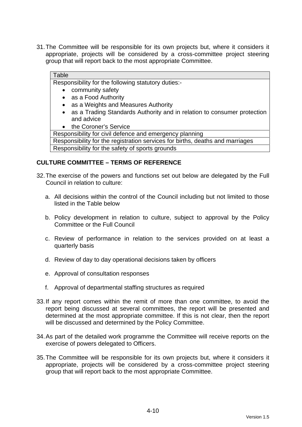31. The Committee will be responsible for its own projects but, where it considers it appropriate, projects will be considered by a cross-committee project steering group that will report back to the most appropriate Committee.

#### **Table**

Responsibility for the following statutory duties:-

- community safety
- as a Food Authority
- as a Weights and Measures Authority
- as a Trading Standards Authority and in relation to consumer protection and advice
- the Coroner's Service

Responsibility for civil defence and emergency planning

Responsibility for the registration services for births, deaths and marriages Responsibility for the safety of sports grounds

#### **CULTURE COMMITTEE – TERMS OF REFERENCE**

- 32. The exercise of the powers and functions set out below are delegated by the Full Council in relation to culture:
	- a. All decisions within the control of the Council including but not limited to those listed in the Table below
	- b. Policy development in relation to culture, subject to approval by the Policy Committee or the Full Council
	- c. Review of performance in relation to the services provided on at least a quarterly basis
	- d. Review of day to day operational decisions taken by officers
	- e. Approval of consultation responses
	- f. Approval of departmental staffing structures as required
- 33. If any report comes within the remit of more than one committee, to avoid the report being discussed at several committees, the report will be presented and determined at the most appropriate committee. If this is not clear, then the report will be discussed and determined by the Policy Committee.
- 34. As part of the detailed work programme the Committee will receive reports on the exercise of powers delegated to Officers.
- 35. The Committee will be responsible for its own projects but, where it considers it appropriate, projects will be considered by a cross-committee project steering group that will report back to the most appropriate Committee.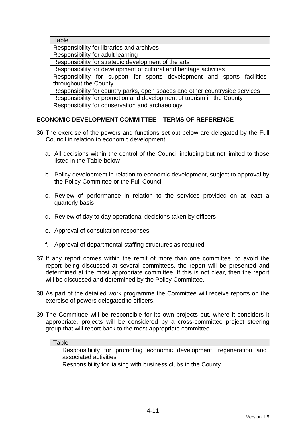| Table                                                                        |
|------------------------------------------------------------------------------|
| Responsibility for libraries and archives                                    |
| Responsibility for adult learning                                            |
| Responsibility for strategic development of the arts                         |
| Responsibility for development of cultural and heritage activities           |
| Responsibility for support for sports development and sports facilities      |
| throughout the County                                                        |
| Responsibility for country parks, open spaces and other countryside services |
| Responsibility for promotion and development of tourism in the County        |
| Responsibility for conservation and archaeology                              |
|                                                                              |

# **ECONOMIC DEVELOPMENT COMMITTEE – TERMS OF REFERENCE**

- 36. The exercise of the powers and functions set out below are delegated by the Full Council in relation to economic development:
	- a. All decisions within the control of the Council including but not limited to those listed in the Table below
	- b. Policy development in relation to economic development, subject to approval by the Policy Committee or the Full Council
	- c. Review of performance in relation to the services provided on at least a quarterly basis
	- d. Review of day to day operational decisions taken by officers
	- e. Approval of consultation responses
	- f. Approval of departmental staffing structures as required
- 37. If any report comes within the remit of more than one committee, to avoid the report being discussed at several committees, the report will be presented and determined at the most appropriate committee. If this is not clear, then the report will be discussed and determined by the Policy Committee.
- 38. As part of the detailed work programme the Committee will receive reports on the exercise of powers delegated to officers.
- 39. The Committee will be responsible for its own projects but, where it considers it appropriate, projects will be considered by a cross-committee project steering group that will report back to the most appropriate committee.

| ı | apı |  |
|---|-----|--|
|   |     |  |

Responsibility for promoting economic development, regeneration and associated activities

Responsibility for liaising with business clubs in the County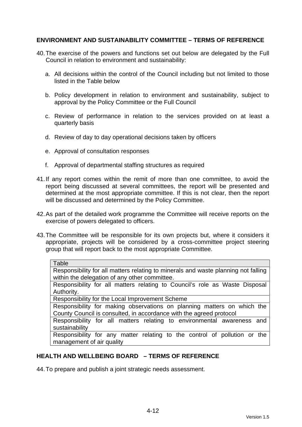# **ENVIRONMENT AND SUSTAINABILITY COMMITTEE – TERMS OF REFERENCE**

- 40. The exercise of the powers and functions set out below are delegated by the Full Council in relation to environment and sustainability:
	- a. All decisions within the control of the Council including but not limited to those listed in the Table below
	- b. Policy development in relation to environment and sustainability, subject to approval by the Policy Committee or the Full Council
	- c. Review of performance in relation to the services provided on at least a quarterly basis
	- d. Review of day to day operational decisions taken by officers
	- e. Approval of consultation responses
	- f. Approval of departmental staffing structures as required
- 41. If any report comes within the remit of more than one committee, to avoid the report being discussed at several committees, the report will be presented and determined at the most appropriate committee. If this is not clear, then the report will be discussed and determined by the Policy Committee.
- 42. As part of the detailed work programme the Committee will receive reports on the exercise of powers delegated to officers.
- 43. The Committee will be responsible for its own projects but, where it considers it appropriate, projects will be considered by a cross-committee project steering group that will report back to the most appropriate Committee.

| Table                                                                              |  |  |  |  |
|------------------------------------------------------------------------------------|--|--|--|--|
| Responsibility for all matters relating to minerals and waste planning not falling |  |  |  |  |
| within the delegation of any other committee.                                      |  |  |  |  |
| Responsibility for all matters relating to Council's role as Waste Disposal        |  |  |  |  |
| Authority.                                                                         |  |  |  |  |
| Responsibility for the Local Improvement Scheme                                    |  |  |  |  |
| Responsibility for making observations on planning matters on which the            |  |  |  |  |
| County Council is consulted, in accordance with the agreed protocol                |  |  |  |  |
| Responsibility for all matters relating to environmental awareness and             |  |  |  |  |
| sustainability                                                                     |  |  |  |  |
| Responsibility for any matter relating to the control of pollution or the          |  |  |  |  |
| management of air quality                                                          |  |  |  |  |
|                                                                                    |  |  |  |  |

#### **HEALTH AND WELLBEING BOARD – TERMS OF REFERENCE**

44. To prepare and publish a joint strategic needs assessment.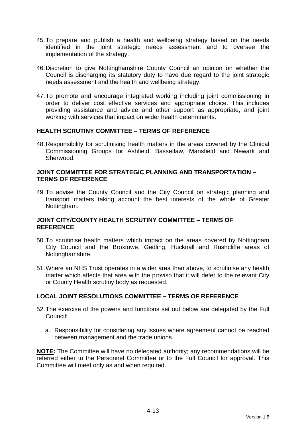- 45. To prepare and publish a health and wellbeing strategy based on the needs identified in the joint strategic needs assessment and to oversee the implementation of the strategy.
- 46. Discretion to give Nottinghamshire County Council an opinion on whether the Council is discharging its statutory duty to have due regard to the joint strategic needs assessment and the health and wellbeing strategy.
- 47. To promote and encourage integrated working including joint commissioning in order to deliver cost effective services and appropriate choice. This includes providing assistance and advice and other support as appropriate, and joint working with services that impact on wider health determinants.

#### **HEALTH SCRUTINY COMMITTEE – TERMS OF REFERENCE**

48. Responsibility for scrutinising health matters in the areas covered by the Clinical Commissioning Groups for Ashfield, Bassetlaw, Mansfield and Newark and Sherwood.

#### **JOINT COMMITTEE FOR STRATEGIC PLANNING AND TRANSPORTATION – TERMS OF REFERENCE**

49. To advise the County Council and the City Council on strategic planning and transport matters taking account the best interests of the whole of Greater Nottingham.

#### **JOINT CITY/COUNTY HEALTH SCRUTINY COMMITTEE – TERMS OF REFERENCE**

- 50. To scrutinise health matters which impact on the areas covered by Nottingham City Council and the Broxtowe, Gedling, Hucknall and Rushcliffe areas of Nottinghamshire.
- 51. Where an NHS Trust operates in a wider area than above, to scrutinise any health matter which affects that area with the proviso that it will defer to the relevant City or County Health scrutiny body as requested.

#### **LOCAL JOINT RESOLUTIONS COMMITTEE – TERMS OF REFERENCE**

- 52. The exercise of the powers and functions set out below are delegated by the Full Council:
	- a. Responsibility for considering any issues where agreement cannot be reached between management and the trade unions.

**NOTE:** The Committee will have no delegated authority; any recommendations will be referred either to the Personnel Committee or to the Full Council for approval. This Committee will meet only as and when required.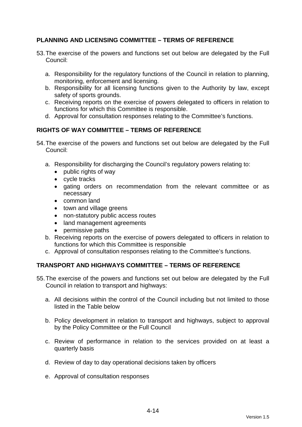# **PLANNING AND LICENSING COMMITTEE – TERMS OF REFERENCE**

- 53. The exercise of the powers and functions set out below are delegated by the Full Council:
	- a. Responsibility for the regulatory functions of the Council in relation to planning, monitoring, enforcement and licensing.
	- b. Responsibility for all licensing functions given to the Authority by law, except safety of sports grounds.
	- c. Receiving reports on the exercise of powers delegated to officers in relation to functions for which this Committee is responsible.
	- d. Approval for consultation responses relating to the Committee's functions.

# **RIGHTS OF WAY COMMITTEE – TERMS OF REFERENCE**

- 54. The exercise of the powers and functions set out below are delegated by the Full Council:
	- a. Responsibility for discharging the Council's regulatory powers relating to:
		- public rights of way
		- cycle tracks
		- gating orders on recommendation from the relevant committee or as necessary
		- common land
		- town and village greens
		- non-statutory public access routes
		- land management agreements
		- permissive paths
	- b. Receiving reports on the exercise of powers delegated to officers in relation to functions for which this Committee is responsible
	- c. Approval of consultation responses relating to the Committee's functions.

# **TRANSPORT AND HIGHWAYS COMMITTEE – TERMS OF REFERENCE**

- 55. The exercise of the powers and functions set out below are delegated by the Full Council in relation to transport and highways:
	- a. All decisions within the control of the Council including but not limited to those listed in the Table below
	- b. Policy development in relation to transport and highways, subject to approval by the Policy Committee or the Full Council
	- c. Review of performance in relation to the services provided on at least a quarterly basis
	- d. Review of day to day operational decisions taken by officers
	- e. Approval of consultation responses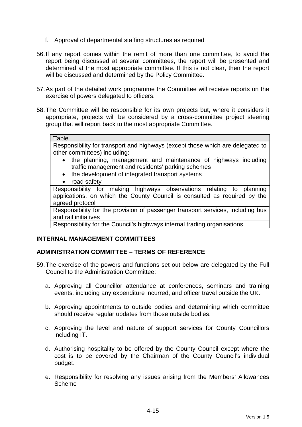- f. Approval of departmental staffing structures as required
- 56. If any report comes within the remit of more than one committee, to avoid the report being discussed at several committees, the report will be presented and determined at the most appropriate committee. If this is not clear, then the report will be discussed and determined by the Policy Committee.
- 57. As part of the detailed work programme the Committee will receive reports on the exercise of powers delegated to officers.
- 58. The Committee will be responsible for its own projects but, where it considers it appropriate, projects will be considered by a cross-committee project steering group that will report back to the most appropriate Committee.

#### **Table**

Responsibility for transport and highways (except those which are delegated to other committees) including:

- the planning, management and maintenance of highways including traffic management and residents' parking schemes
- the development of integrated transport systems
- road safety

Responsibility for making highways observations relating to planning applications, on which the County Council is consulted as required by the agreed protocol

Responsibility for the provision of passenger transport services, including bus and rail initiatives

Responsibility for the Council's highways internal trading organisations

#### **INTERNAL MANAGEMENT COMMITTEES**

#### **ADMINISTRATION COMMITTEE – TERMS OF REFERENCE**

- 59. The exercise of the powers and functions set out below are delegated by the Full Council to the Administration Committee:
	- a. Approving all Councillor attendance at conferences, seminars and training events, including any expenditure incurred, and officer travel outside the UK.
	- b. Approving appointments to outside bodies and determining which committee should receive regular updates from those outside bodies.
	- c. Approving the level and nature of support services for County Councillors including IT.
	- d. Authorising hospitality to be offered by the County Council except where the cost is to be covered by the Chairman of the County Council's individual budget.
	- e. Responsibility for resolving any issues arising from the Members' Allowances Scheme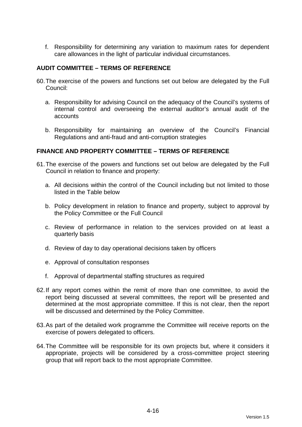f. Responsibility for determining any variation to maximum rates for dependent care allowances in the light of particular individual circumstances.

# **AUDIT COMMITTEE – TERMS OF REFERENCE**

- 60. The exercise of the powers and functions set out below are delegated by the Full Council:
	- a. Responsibility for advising Council on the adequacy of the Council's systems of internal control and overseeing the external auditor's annual audit of the accounts
	- b. Responsibility for maintaining an overview of the Council's Financial Regulations and anti-fraud and anti-corruption strategies

## **FINANCE AND PROPERTY COMMITTEE – TERMS OF REFERENCE**

- 61. The exercise of the powers and functions set out below are delegated by the Full Council in relation to finance and property:
	- a. All decisions within the control of the Council including but not limited to those listed in the Table below
	- b. Policy development in relation to finance and property, subject to approval by the Policy Committee or the Full Council
	- c. Review of performance in relation to the services provided on at least a quarterly basis
	- d. Review of day to day operational decisions taken by officers
	- e. Approval of consultation responses
	- f. Approval of departmental staffing structures as required
- 62. If any report comes within the remit of more than one committee, to avoid the report being discussed at several committees, the report will be presented and determined at the most appropriate committee. If this is not clear, then the report will be discussed and determined by the Policy Committee.
- 63. As part of the detailed work programme the Committee will receive reports on the exercise of powers delegated to officers.
- 64. The Committee will be responsible for its own projects but, where it considers it appropriate, projects will be considered by a cross-committee project steering group that will report back to the most appropriate Committee.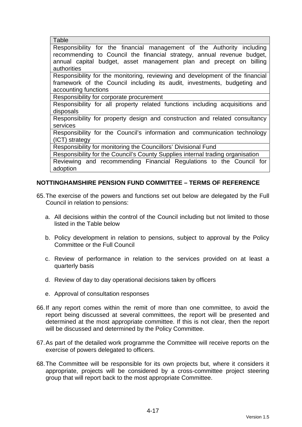| Table                                                                          |
|--------------------------------------------------------------------------------|
| Responsibility for the financial management of the Authority including         |
| recommending to Council the financial strategy, annual revenue budget,         |
| annual capital budget, asset management plan and precept on billing            |
| authorities                                                                    |
| Responsibility for the monitoring, reviewing and development of the financial  |
| framework of the Council including its audit, investments, budgeting and       |
| accounting functions                                                           |
| Responsibility for corporate procurement                                       |
| Responsibility for all property related functions including acquisitions and   |
| disposals                                                                      |
| Responsibility for property design and construction and related consultancy    |
| services                                                                       |
| Responsibility for the Council's information and communication technology      |
| (ICT) strategy                                                                 |
| Responsibility for monitoring the Councillors' Divisional Fund                 |
| Responsibility for the Council's County Supplies internal trading organisation |
| Reviewing and recommending Financial Regulations to the Council for            |
| adoption                                                                       |

## **NOTTINGHAMSHIRE PENSION FUND COMMITTEE – TERMS OF REFERENCE**

- 65. The exercise of the powers and functions set out below are delegated by the Full Council in relation to pensions:
	- a. All decisions within the control of the Council including but not limited to those listed in the Table below
	- b. Policy development in relation to pensions, subject to approval by the Policy Committee or the Full Council
	- c. Review of performance in relation to the services provided on at least a quarterly basis
	- d. Review of day to day operational decisions taken by officers
	- e. Approval of consultation responses
- 66. If any report comes within the remit of more than one committee, to avoid the report being discussed at several committees, the report will be presented and determined at the most appropriate committee. If this is not clear, then the report will be discussed and determined by the Policy Committee.
- 67. As part of the detailed work programme the Committee will receive reports on the exercise of powers delegated to officers.
- 68. The Committee will be responsible for its own projects but, where it considers it appropriate, projects will be considered by a cross-committee project steering group that will report back to the most appropriate Committee.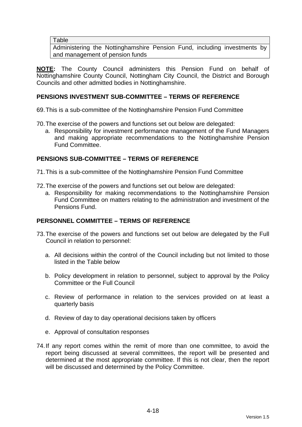#### **Table**

Administering the Nottinghamshire Pension Fund, including investments by and management of pension funds

**NOTE:** The County Council administers this Pension Fund on behalf of Nottinghamshire County Council, Nottingham City Council, the District and Borough Councils and other admitted bodies in Nottinghamshire.

## **PENSIONS INVESTMENT SUB-COMMITTEE – TERMS OF REFERENCE**

69. This is a sub-committee of the Nottinghamshire Pension Fund Committee

- 70. The exercise of the powers and functions set out below are delegated:
	- a. Responsibility for investment performance management of the Fund Managers and making appropriate recommendations to the Nottinghamshire Pension Fund Committee.

### **PENSIONS SUB-COMMITTEE – TERMS OF REFERENCE**

71. This is a sub-committee of the Nottinghamshire Pension Fund Committee

- 72. The exercise of the powers and functions set out below are delegated:
	- a. Responsibility for making recommendations to the Nottinghamshire Pension Fund Committee on matters relating to the administration and investment of the Pensions Fund.

## **PERSONNEL COMMITTEE – TERMS OF REFERENCE**

- 73. The exercise of the powers and functions set out below are delegated by the Full Council in relation to personnel:
	- a. All decisions within the control of the Council including but not limited to those listed in the Table below
	- b. Policy development in relation to personnel, subject to approval by the Policy Committee or the Full Council
	- c. Review of performance in relation to the services provided on at least a quarterly basis
	- d. Review of day to day operational decisions taken by officers
	- e. Approval of consultation responses
- 74. If any report comes within the remit of more than one committee, to avoid the report being discussed at several committees, the report will be presented and determined at the most appropriate committee. If this is not clear, then the report will be discussed and determined by the Policy Committee.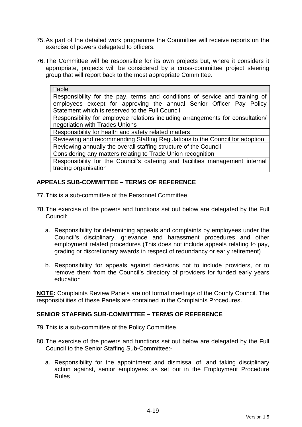- 75. As part of the detailed work programme the Committee will receive reports on the exercise of powers delegated to officers.
- 76. The Committee will be responsible for its own projects but, where it considers it appropriate, projects will be considered by a cross-committee project steering group that will report back to the most appropriate Committee.

| Table                                                                          |
|--------------------------------------------------------------------------------|
| Responsibility for the pay, terms and conditions of service and training of    |
| employees except for approving the annual Senior Officer Pay Policy            |
| Statement which is reserved to the Full Council                                |
| Responsibility for employee relations including arrangements for consultation/ |
| negotiation with Trades Unions                                                 |
| Responsibility for health and safety related matters                           |
| Reviewing and recommending Staffing Regulations to the Council for adoption    |
| Reviewing annually the overall staffing structure of the Council               |
| Considering any matters relating to Trade Union recognition                    |
| Responsibility for the Council's catering and facilities management internal   |
| trading organisation                                                           |

## **APPEALS SUB-COMMITTEE – TERMS OF REFERENCE**

- 77. This is a sub-committee of the Personnel Committee
- 78. The exercise of the powers and functions set out below are delegated by the Full Council:
	- a. Responsibility for determining appeals and complaints by employees under the Council's disciplinary, grievance and harassment procedures and other employment related procedures (This does not include appeals relating to pay, grading or discretionary awards in respect of redundancy or early retirement)
	- b. Responsibility for appeals against decisions not to include providers, or to remove them from the Council's directory of providers for funded early years education

**NOTE:** Complaints Review Panels are not formal meetings of the County Council. The responsibilities of these Panels are contained in the Complaints Procedures.

### **SENIOR STAFFING SUB-COMMITTEE – TERMS OF REFERENCE**

- 79. This is a sub-committee of the Policy Committee.
- 80. The exercise of the powers and functions set out below are delegated by the Full Council to the Senior Staffing Sub-Committee:
	- a. Responsibility for the appointment and dismissal of, and taking disciplinary action against, senior employees as set out in the Employment Procedure Rules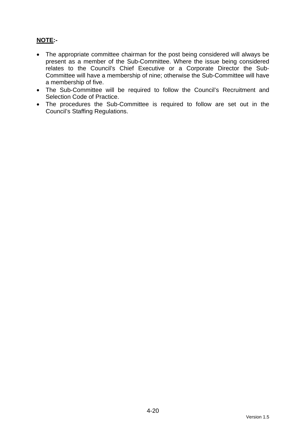# **NOTE:-**

- The appropriate committee chairman for the post being considered will always be present as a member of the Sub-Committee. Where the issue being considered relates to the Council's Chief Executive or a Corporate Director the Sub-Committee will have a membership of nine; otherwise the Sub-Committee will have a membership of five.
- The Sub-Committee will be required to follow the Council's Recruitment and Selection Code of Practice.
- The procedures the Sub-Committee is required to follow are set out in the Council's Staffing Regulations.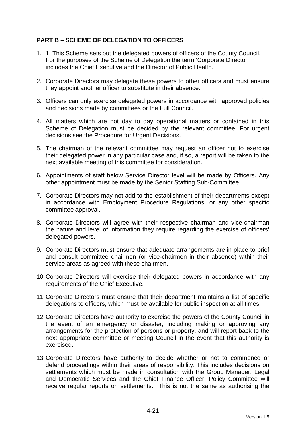## **PART B – SCHEME OF DELEGATION TO OFFICERS**

- 1. 1. This Scheme sets out the delegated powers of officers of the County Council. For the purposes of the Scheme of Delegation the term 'Corporate Director' includes the Chief Executive and the Director of Public Health.
- 2. Corporate Directors may delegate these powers to other officers and must ensure they appoint another officer to substitute in their absence.
- 3. Officers can only exercise delegated powers in accordance with approved policies and decisions made by committees or the Full Council.
- 4. All matters which are not day to day operational matters or contained in this Scheme of Delegation must be decided by the relevant committee. For urgent decisions see the Procedure for Urgent Decisions.
- 5. The chairman of the relevant committee may request an officer not to exercise their delegated power in any particular case and, if so, a report will be taken to the next available meeting of this committee for consideration.
- 6. Appointments of staff below Service Director level will be made by Officers. Any other appointment must be made by the Senior Staffing Sub-Committee.
- 7. Corporate Directors may not add to the establishment of their departments except in accordance with Employment Procedure Regulations, or any other specific committee approval.
- 8. Corporate Directors will agree with their respective chairman and vice-chairman the nature and level of information they require regarding the exercise of officers' delegated powers.
- 9. Corporate Directors must ensure that adequate arrangements are in place to brief and consult committee chairmen (or vice-chairmen in their absence) within their service areas as agreed with these chairmen.
- 10. Corporate Directors will exercise their delegated powers in accordance with any requirements of the Chief Executive.
- 11. Corporate Directors must ensure that their department maintains a list of specific delegations to officers, which must be available for public inspection at all times.
- 12. Corporate Directors have authority to exercise the powers of the County Council in the event of an emergency or disaster, including making or approving any arrangements for the protection of persons or property, and will report back to the next appropriate committee or meeting Council in the event that this authority is exercised.
- 13. Corporate Directors have authority to decide whether or not to commence or defend proceedings within their areas of responsibility. This includes decisions on settlements which must be made in consultation with the Group Manager, Legal and Democratic Services and the Chief Finance Officer. Policy Committee will receive regular reports on settlements. This is not the same as authorising the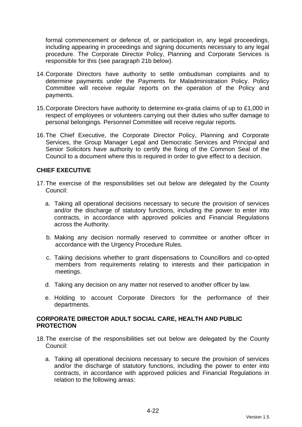formal commencement or defence of, or participation in, any legal proceedings, including appearing in proceedings and signing documents necessary to any legal procedure. The Corporate Director Policy, Planning and Corporate Services is responsible for this (see paragraph 21b below).

- 14. Corporate Directors have authority to settle ombudsman complaints and to determine payments under the Payments for Maladministration Policy. Policy Committee will receive regular reports on the operation of the Policy and payments.
- 15. Corporate Directors have authority to determine ex-gratia claims of up to £1,000 in respect of employees or volunteers carrying out their duties who suffer damage to personal belongings. Personnel Committee will receive regular reports.
- 16. The Chief Executive, the Corporate Director Policy, Planning and Corporate Services, the Group Manager Legal and Democratic Services and Principal and Senior Solicitors have authority to certify the fixing of the Common Seal of the Council to a document where this is required in order to give effect to a decision.

## **CHIEF EXECUTIVE**

- 17. The exercise of the responsibilities set out below are delegated by the County Council:
	- a. Taking all operational decisions necessary to secure the provision of services and/or the discharge of statutory functions, including the power to enter into contracts, in accordance with approved policies and Financial Regulations across the Authority.
	- b. Making any decision normally reserved to committee or another officer in accordance with the Urgency Procedure Rules.
	- c. Taking decisions whether to grant dispensations to Councillors and co-opted members from requirements relating to interests and their participation in meetings.
	- d. Taking any decision on any matter not reserved to another officer by law.
	- e. Holding to account Corporate Directors for the performance of their departments.

### **CORPORATE DIRECTOR ADULT SOCIAL CARE, HEALTH AND PUBLIC PROTECTION**

- 18. The exercise of the responsibilities set out below are delegated by the County Council:
	- a. Taking all operational decisions necessary to secure the provision of services and/or the discharge of statutory functions, including the power to enter into contracts, in accordance with approved policies and Financial Regulations in relation to the following areas: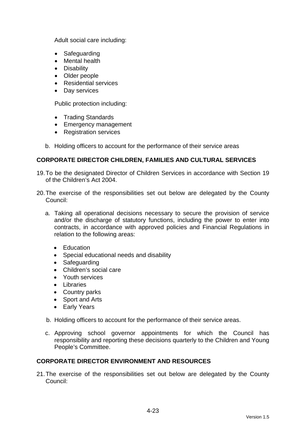Adult social care including:

- Safeguarding
- Mental health
- Disability
- Older people
- Residential services
- Day services

Public protection including:

- Trading Standards
- Emergency management
- Registration services
- b. Holding officers to account for the performance of their service areas

## **CORPORATE DIRECTOR CHILDREN, FAMILIES AND CULTURAL SERVICES**

- 19. To be the designated Director of Children Services in accordance with Section 19 of the Children's Act 2004.
- 20. The exercise of the responsibilities set out below are delegated by the County Council:
	- a. Taking all operational decisions necessary to secure the provision of service and/or the discharge of statutory functions, including the power to enter into contracts, in accordance with approved policies and Financial Regulations in relation to the following areas:
		- **Education**
		- Special educational needs and disability
		- Safeguarding
		- Children's social care
		- Youth services
		- Libraries
		- Country parks
		- Sport and Arts
		- Early Years
	- b. Holding officers to account for the performance of their service areas.
	- c. Approving school governor appointments for which the Council has responsibility and reporting these decisions quarterly to the Children and Young People's Committee.

### **CORPORATE DIRECTOR ENVIRONMENT AND RESOURCES**

21. The exercise of the responsibilities set out below are delegated by the County Council: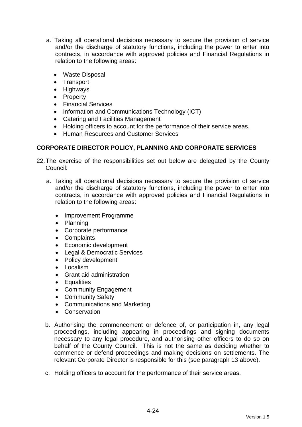- a. Taking all operational decisions necessary to secure the provision of service and/or the discharge of statutory functions, including the power to enter into contracts, in accordance with approved policies and Financial Regulations in relation to the following areas:
	- Waste Disposal
	- Transport
	- Highways
	- Property
	- Financial Services
	- Information and Communications Technology (ICT)
	- Catering and Facilities Management
	- Holding officers to account for the performance of their service areas.
	- Human Resources and Customer Services

## **CORPORATE DIRECTOR POLICY, PLANNING AND CORPORATE SERVICES**

- 22. The exercise of the responsibilities set out below are delegated by the County Council:
	- a. Taking all operational decisions necessary to secure the provision of service and/or the discharge of statutory functions, including the power to enter into contracts, in accordance with approved policies and Financial Regulations in relation to the following areas:
		- Improvement Programme
		- Planning
		- Corporate performance
		- Complaints
		- Economic development
		- Legal & Democratic Services
		- Policy development
		- Localism
		- Grant aid administration
		- Equalities
		- Community Engagement
		- Community Safety
		- Communications and Marketing
		- **Conservation**
	- b. Authorising the commencement or defence of, or participation in, any legal proceedings, including appearing in proceedings and signing documents necessary to any legal procedure, and authorising other officers to do so on behalf of the County Council. This is not the same as deciding whether to commence or defend proceedings and making decisions on settlements. The relevant Corporate Director is responsible for this (see paragraph 13 above).
	- c. Holding officers to account for the performance of their service areas.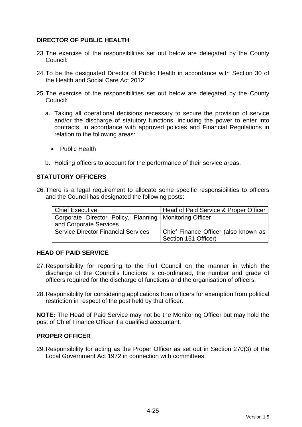## **DIRECTOR OF PUBLIC HEALTH**

- 23. The exercise of the responsibilities set out below are delegated by the County Council:
- 24. To be the designated Director of Public Health in accordance with Section 30 of the Health and Social Care Act 2012.
- 25. The exercise of the responsibilities set out below are delegated by the County Council:
	- a. Taking all operational decisions necessary to secure the provision of service and/or the discharge of statutory functions, including the power to enter into contracts, in accordance with approved policies and Financial Regulations in relation to the following areas:
		- Public Health
	- b. Holding officers to account for the performance of their service areas.

### **STATUTORY OFFICERS**

26. There is a legal requirement to allocate some specific responsibilities to officers and the Council has designated the following posts:

| <b>Chief Executive</b>                                   | Head of Paid Service & Proper Officer |
|----------------------------------------------------------|---------------------------------------|
| Corporate Director Policy, Planning   Monitoring Officer |                                       |
| and Corporate Services                                   |                                       |
| <b>Service Director Financial Services</b>               | Chief Finance Officer (also known as  |
|                                                          | Section 151 Officer)                  |

### **HEAD OF PAID SERVICE**

- 27. Responsibility for reporting to the Full Council on the manner in which the discharge of the Council's functions is co-ordinated, the number and grade of officers required for the discharge of functions and the organisation of officers.
- 28. Responsibility for considering applications from officers for exemption from political restriction in respect of the post held by that officer.

**NOTE:** The Head of Paid Service may not be the Monitoring Officer but may hold the post of Chief Finance Officer if a qualified accountant.

#### **PROPER OFFICER**

29. Responsibility for acting as the Proper Officer as set out in Section 270(3) of the Local Government Act 1972 in connection with committees.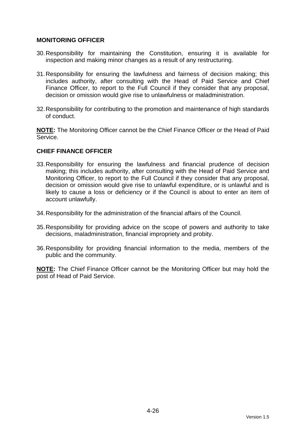### **MONITORING OFFICER**

- 30. Responsibility for maintaining the Constitution, ensuring it is available for inspection and making minor changes as a result of any restructuring.
- 31. Responsibility for ensuring the lawfulness and fairness of decision making; this includes authority, after consulting with the Head of Paid Service and Chief Finance Officer, to report to the Full Council if they consider that any proposal, decision or omission would give rise to unlawfulness or maladministration.
- 32. Responsibility for contributing to the promotion and maintenance of high standards of conduct.

**NOTE:** The Monitoring Officer cannot be the Chief Finance Officer or the Head of Paid Service.

## **CHIEF FINANCE OFFICER**

- 33. Responsibility for ensuring the lawfulness and financial prudence of decision making; this includes authority, after consulting with the Head of Paid Service and Monitoring Officer, to report to the Full Council if they consider that any proposal, decision or omission would give rise to unlawful expenditure, or is unlawful and is likely to cause a loss or deficiency or if the Council is about to enter an item of account unlawfully.
- 34. Responsibility for the administration of the financial affairs of the Council.
- 35. Responsibility for providing advice on the scope of powers and authority to take decisions, maladministration, financial impropriety and probity.
- 36. Responsibility for providing financial information to the media, members of the public and the community.

**NOTE:** The Chief Finance Officer cannot be the Monitoring Officer but may hold the post of Head of Paid Service.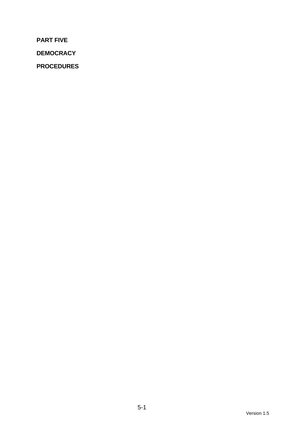**PART FIVE** 

**DEMOCRACY** 

**PROCEDURES**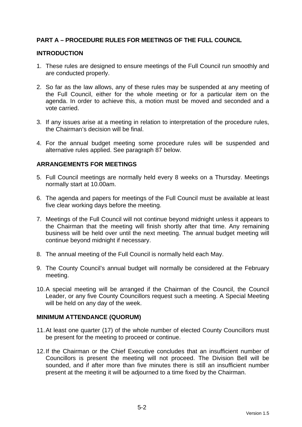## **PART A – PROCEDURE RULES FOR MEETINGS OF THE FULL COUNCIL**

#### **INTRODUCTION**

- 1. These rules are designed to ensure meetings of the Full Council run smoothly and are conducted properly.
- 2. So far as the law allows, any of these rules may be suspended at any meeting of the Full Council, either for the whole meeting or for a particular item on the agenda. In order to achieve this, a motion must be moved and seconded and a vote carried.
- 3. If any issues arise at a meeting in relation to interpretation of the procedure rules, the Chairman's decision will be final.
- 4. For the annual budget meeting some procedure rules will be suspended and alternative rules applied. See paragraph 87 below.

### **ARRANGEMENTS FOR MEETINGS**

- 5. Full Council meetings are normally held every 8 weeks on a Thursday. Meetings normally start at 10.00am.
- 6. The agenda and papers for meetings of the Full Council must be available at least five clear working days before the meeting.
- 7. Meetings of the Full Council will not continue beyond midnight unless it appears to the Chairman that the meeting will finish shortly after that time. Any remaining business will be held over until the next meeting. The annual budget meeting will continue beyond midnight if necessary.
- 8. The annual meeting of the Full Council is normally held each May.
- 9. The County Council's annual budget will normally be considered at the February meeting.
- 10. A special meeting will be arranged if the Chairman of the Council, the Council Leader, or any five County Councillors request such a meeting. A Special Meeting will be held on any day of the week.

#### **MINIMUM ATTENDANCE (QUORUM)**

- 11. At least one quarter (17) of the whole number of elected County Councillors must be present for the meeting to proceed or continue.
- 12. If the Chairman or the Chief Executive concludes that an insufficient number of Councillors is present the meeting will not proceed. The Division Bell will be sounded, and if after more than five minutes there is still an insufficient number present at the meeting it will be adjourned to a time fixed by the Chairman.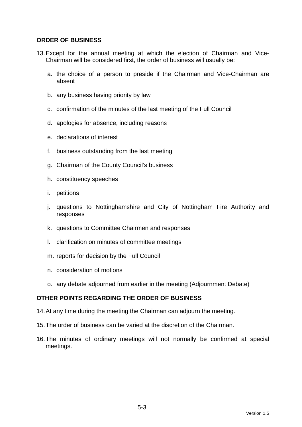### **ORDER OF BUSINESS**

- 13. Except for the annual meeting at which the election of Chairman and Vice-Chairman will be considered first, the order of business will usually be:
	- a. the choice of a person to preside if the Chairman and Vice-Chairman are absent
	- b. any business having priority by law
	- c. confirmation of the minutes of the last meeting of the Full Council
	- d. apologies for absence, including reasons
	- e. declarations of interest
	- f. business outstanding from the last meeting
	- g. Chairman of the County Council's business
	- h. constituency speeches
	- i. petitions
	- j. questions to Nottinghamshire and City of Nottingham Fire Authority and responses
	- k. questions to Committee Chairmen and responses
	- l. clarification on minutes of committee meetings
	- m. reports for decision by the Full Council
	- n. consideration of motions
	- o. any debate adjourned from earlier in the meeting (Adjournment Debate)

### **OTHER POINTS REGARDING THE ORDER OF BUSINESS**

- 14. At any time during the meeting the Chairman can adjourn the meeting.
- 15. The order of business can be varied at the discretion of the Chairman.
- 16. The minutes of ordinary meetings will not normally be confirmed at special meetings.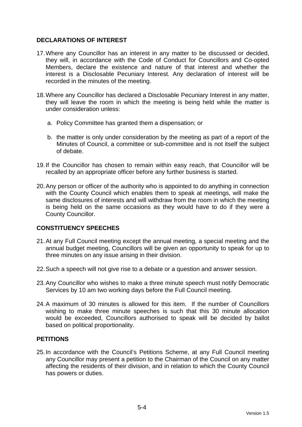## **DECLARATIONS OF INTEREST**

- 17. Where any Councillor has an interest in any matter to be discussed or decided, they will, in accordance with the Code of Conduct for Councillors and Co-opted Members, declare the existence and nature of that interest and whether the interest is a Disclosable Pecuniary Interest. Any declaration of interest will be recorded in the minutes of the meeting.
- 18. Where any Councillor has declared a Disclosable Pecuniary Interest in any matter, they will leave the room in which the meeting is being held while the matter is under consideration unless:
	- a. Policy Committee has granted them a dispensation; or
	- b. the matter is only under consideration by the meeting as part of a report of the Minutes of Council, a committee or sub-committee and is not itself the subject of debate.
- 19. If the Councillor has chosen to remain within easy reach, that Councillor will be recalled by an appropriate officer before any further business is started.
- 20. Any person or officer of the authority who is appointed to do anything in connection with the County Council which enables them to speak at meetings, will make the same disclosures of interests and will withdraw from the room in which the meeting is being held on the same occasions as they would have to do if they were a County Councillor.

## **CONSTITUENCY SPEECHES**

- 21. At any Full Council meeting except the annual meeting, a special meeting and the annual budget meeting, Councillors will be given an opportunity to speak for up to three minutes on any issue arising in their division.
- 22. Such a speech will not give rise to a debate or a question and answer session.
- 23. Any Councillor who wishes to make a three minute speech must notify Democratic Services by 10 am two working days before the Full Council meeting.
- 24. A maximum of 30 minutes is allowed for this item. If the number of Councillors wishing to make three minute speeches is such that this 30 minute allocation would be exceeded, Councillors authorised to speak will be decided by ballot based on political proportionality.

### **PETITIONS**

25. In accordance with the Council's Petitions Scheme, at any Full Council meeting any Councillor may present a petition to the Chairman of the Council on any matter affecting the residents of their division, and in relation to which the County Council has powers or duties.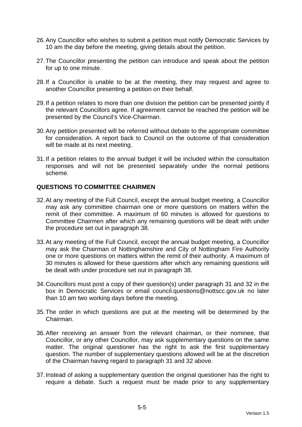- 26. Any Councillor who wishes to submit a petition must notify Democratic Services by 10 am the day before the meeting, giving details about the petition.
- 27. The Councillor presenting the petition can introduce and speak about the petition for up to one minute.
- 28. If a Councillor is unable to be at the meeting, they may request and agree to another Councillor presenting a petition on their behalf.
- 29. If a petition relates to more than one division the petition can be presented jointly if the relevant Councillors agree. If agreement cannot be reached the petition will be presented by the Council's Vice-Chairman.
- 30. Any petition presented will be referred without debate to the appropriate committee for consideration. A report back to Council on the outcome of that consideration will be made at its next meeting.
- 31. If a petition relates to the annual budget it will be included within the consultation responses and will not be presented separately under the normal petitions scheme.

### **QUESTIONS TO COMMITTEE CHAIRMEN**

- 32. At any meeting of the Full Council, except the annual budget meeting, a Councillor may ask any committee chairman one or more questions on matters within the remit of their committee. A maximum of 60 minutes is allowed for questions to Committee Chairmen after which any remaining questions will be dealt with under the procedure set out in paragraph 38.
- 33. At any meeting of the Full Council, except the annual budget meeting, a Councillor may ask the Chairman of Nottinghamshire and City of Nottingham Fire Authority one or more questions on matters within the remit of their authority. A maximum of 30 minutes is allowed for these questions after which any remaining questions will be dealt with under procedure set out in paragraph 38.
- 34. Councillors must post a copy of their question(s) under paragraph 31 and 32 in the box in Democratic Services or email council.questions@nottscc.gov.uk no later than 10 am two working days before the meeting.
- 35. The order in which questions are put at the meeting will be determined by the Chairman.
- 36. After receiving an answer from the relevant chairman, or their nominee, that Councillor, or any other Councillor, may ask supplementary questions on the same matter. The original questioner has the right to ask the first supplementary question. The number of supplementary questions allowed will be at the discretion of the Chairman having regard to paragraph 31 and 32 above.
- 37. Instead of asking a supplementary question the original questioner has the right to require a debate. Such a request must be made prior to any supplementary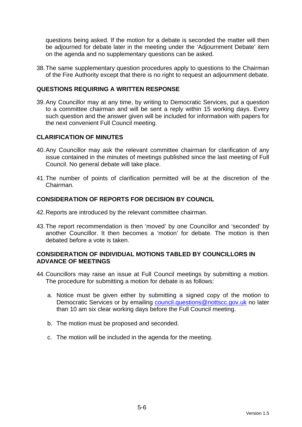questions being asked. If the motion for a debate is seconded the matter will then be adjourned for debate later in the meeting under the 'Adjournment Debate' item on the agenda and no supplementary questions can be asked.

38. The same supplementary question procedures apply to questions to the Chairman of the Fire Authority except that there is no right to request an adjournment debate.

## **QUESTIONS REQUIRING A WRITTEN RESPONSE**

39. Any Councillor may at any time, by writing to Democratic Services, put a question to a committee chairman and will be sent a reply within 15 working days. Every such question and the answer given will be included for information with papers for the next convenient Full Council meeting.

### **CLARIFICATION OF MINUTES**

- 40. Any Councillor may ask the relevant committee chairman for clarification of any issue contained in the minutes of meetings published since the last meeting of Full Council. No general debate will take place.
- 41. The number of points of clarification permitted will be at the discretion of the Chairman.

### **CONSIDERATION OF REPORTS FOR DECISION BY COUNCIL**

- 42. Reports are introduced by the relevant committee chairman.
- 43. The report recommendation is then 'moved' by one Councillor and 'seconded' by another Councillor. It then becomes a 'motion' for debate. The motion is then debated before a vote is taken.

### **CONSIDERATION OF INDIVIDUAL MOTIONS TABLED BY COUNCILLORS IN ADVANCE OF MEETINGS**

- 44. Councillors may raise an issue at Full Council meetings by submitting a motion. The procedure for submitting a motion for debate is as follows:
	- a. Notice must be given either by submitting a signed copy of the motion to Democratic Services or by emailing council.questions@nottscc.gov.uk no later than 10 am six clear working days before the Full Council meeting.
	- b. The motion must be proposed and seconded.
	- c. The motion will be included in the agenda for the meeting.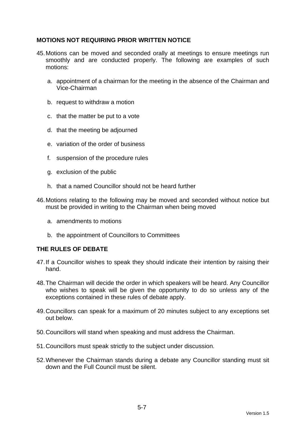## **MOTIONS NOT REQUIRING PRIOR WRITTEN NOTICE**

- 45. Motions can be moved and seconded orally at meetings to ensure meetings run smoothly and are conducted properly. The following are examples of such motions:
	- a. appointment of a chairman for the meeting in the absence of the Chairman and Vice-Chairman
	- b. request to withdraw a motion
	- c. that the matter be put to a vote
	- d. that the meeting be adjourned
	- e. variation of the order of business
	- f. suspension of the procedure rules
	- g. exclusion of the public
	- h. that a named Councillor should not be heard further
- 46. Motions relating to the following may be moved and seconded without notice but must be provided in writing to the Chairman when being moved
	- a. amendments to motions
	- b. the appointment of Councillors to Committees

### **THE RULES OF DEBATE**

- 47. If a Councillor wishes to speak they should indicate their intention by raising their hand.
- 48. The Chairman will decide the order in which speakers will be heard. Any Councillor who wishes to speak will be given the opportunity to do so unless any of the exceptions contained in these rules of debate apply.
- 49. Councillors can speak for a maximum of 20 minutes subject to any exceptions set out below.
- 50. Councillors will stand when speaking and must address the Chairman.
- 51. Councillors must speak strictly to the subject under discussion.
- 52. Whenever the Chairman stands during a debate any Councillor standing must sit down and the Full Council must be silent.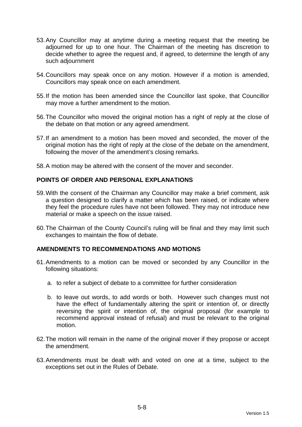- 53. Any Councillor may at anytime during a meeting request that the meeting be adjourned for up to one hour. The Chairman of the meeting has discretion to decide whether to agree the request and, if agreed, to determine the length of any such adjournment
- 54. Councillors may speak once on any motion. However if a motion is amended, Councillors may speak once on each amendment.
- 55. If the motion has been amended since the Councillor last spoke, that Councillor may move a further amendment to the motion.
- 56. The Councillor who moved the original motion has a right of reply at the close of the debate on that motion or any agreed amendment.
- 57. If an amendment to a motion has been moved and seconded, the mover of the original motion has the right of reply at the close of the debate on the amendment, following the mover of the amendment's closing remarks.
- 58. A motion may be altered with the consent of the mover and seconder.

## **POINTS OF ORDER AND PERSONAL EXPLANATIONS**

- 59. With the consent of the Chairman any Councillor may make a brief comment, ask a question designed to clarify a matter which has been raised, or indicate where they feel the procedure rules have not been followed. They may not introduce new material or make a speech on the issue raised.
- 60. The Chairman of the County Council's ruling will be final and they may limit such exchanges to maintain the flow of debate.

### **AMENDMENTS TO RECOMMENDATIONS AND MOTIONS**

- 61. Amendments to a motion can be moved or seconded by any Councillor in the following situations:
	- a. to refer a subject of debate to a committee for further consideration
	- b. to leave out words, to add words or both. However such changes must not have the effect of fundamentally altering the spirit or intention of, or directly reversing the spirit or intention of, the original proposal (for example to recommend approval instead of refusal) and must be relevant to the original motion.
- 62. The motion will remain in the name of the original mover if they propose or accept the amendment.
- 63. Amendments must be dealt with and voted on one at a time, subject to the exceptions set out in the Rules of Debate.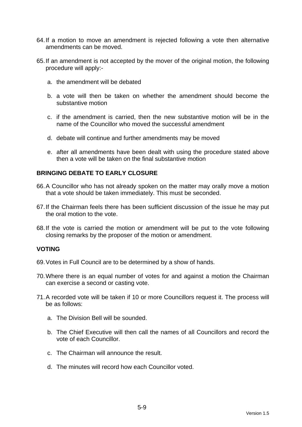- 64. If a motion to move an amendment is rejected following a vote then alternative amendments can be moved.
- 65. If an amendment is not accepted by the mover of the original motion, the following procedure will apply:
	- a. the amendment will be debated
	- b. a vote will then be taken on whether the amendment should become the substantive motion
	- c. if the amendment is carried, then the new substantive motion will be in the name of the Councillor who moved the successful amendment
	- d. debate will continue and further amendments may be moved
	- e. after all amendments have been dealt with using the procedure stated above then a vote will be taken on the final substantive motion

### **BRINGING DEBATE TO EARLY CLOSURE**

- 66. A Councillor who has not already spoken on the matter may orally move a motion that a vote should be taken immediately. This must be seconded.
- 67. If the Chairman feels there has been sufficient discussion of the issue he may put the oral motion to the vote.
- 68. If the vote is carried the motion or amendment will be put to the vote following closing remarks by the proposer of the motion or amendment.

#### **VOTING**

- 69. Votes in Full Council are to be determined by a show of hands.
- 70. Where there is an equal number of votes for and against a motion the Chairman can exercise a second or casting vote.
- 71. A recorded vote will be taken if 10 or more Councillors request it. The process will be as follows:
	- a. The Division Bell will be sounded.
	- b. The Chief Executive will then call the names of all Councillors and record the vote of each Councillor.
	- c. The Chairman will announce the result.
	- d. The minutes will record how each Councillor voted.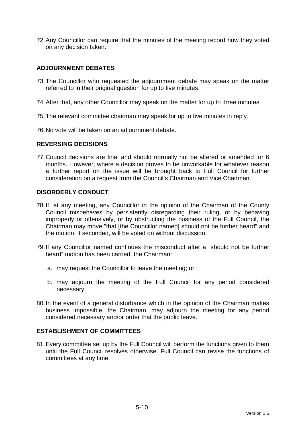72. Any Councillor can require that the minutes of the meeting record how they voted on any decision taken.

## **ADJOURNMENT DEBATES**

- 73. The Councillor who requested the adjournment debate may speak on the matter referred to in their original question for up to five minutes.
- 74. After that, any other Councillor may speak on the matter for up to three minutes.
- 75. The relevant committee chairman may speak for up to five minutes in reply.
- 76. No vote will be taken on an adjournment debate.

#### **REVERSING DECISIONS**

77. Council decisions are final and should normally not be altered or amended for 6 months. However, where a decision proves to be unworkable for whatever reason a further report on the issue will be brought back to Full Council for further consideration on a request from the Council's Chairman and Vice Chairman.

### **DISORDERLY CONDUCT**

- 78. If, at any meeting, any Councillor in the opinion of the Chairman of the County Council misbehaves by persistently disregarding their ruling, or by behaving improperly or offensively, or by obstructing the business of the Full Council, the Chairman may move "that [the Councillor named] should not be further heard" and the motion, if seconded, will be voted on without discussion.
- 79. If any Councillor named continues the misconduct after a "should not be further heard" motion has been carried, the Chairman:
	- a. may request the Councillor to leave the meeting; or
	- b. may adjourn the meeting of the Full Council for any period considered necessary
- 80. In the event of a general disturbance which in the opinion of the Chairman makes business impossible, the Chairman, may adjourn the meeting for any period considered necessary and/or order that the public leave.

## **ESTABLISHMENT OF COMMITTEES**

81. Every committee set up by the Full Council will perform the functions given to them until the Full Council resolves otherwise. Full Council can revise the functions of committees at any time.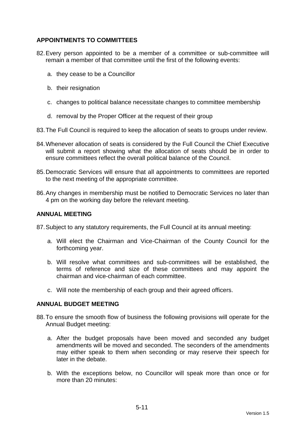## **APPOINTMENTS TO COMMITTEES**

- 82. Every person appointed to be a member of a committee or sub-committee will remain a member of that committee until the first of the following events:
	- a. they cease to be a Councillor
	- b. their resignation
	- c. changes to political balance necessitate changes to committee membership
	- d. removal by the Proper Officer at the request of their group
- 83. The Full Council is required to keep the allocation of seats to groups under review.
- 84. Whenever allocation of seats is considered by the Full Council the Chief Executive will submit a report showing what the allocation of seats should be in order to ensure committees reflect the overall political balance of the Council.
- 85. Democratic Services will ensure that all appointments to committees are reported to the next meeting of the appropriate committee.
- 86. Any changes in membership must be notified to Democratic Services no later than 4 pm on the working day before the relevant meeting.

#### **ANNUAL MEETING**

87. Subject to any statutory requirements, the Full Council at its annual meeting:

- a. Will elect the Chairman and Vice-Chairman of the County Council for the forthcoming year.
- b. Will resolve what committees and sub-committees will be established, the terms of reference and size of these committees and may appoint the chairman and vice-chairman of each committee.
- c. Will note the membership of each group and their agreed officers.

#### **ANNUAL BUDGET MEETING**

- 88. To ensure the smooth flow of business the following provisions will operate for the Annual Budget meeting:
	- a. After the budget proposals have been moved and seconded any budget amendments will be moved and seconded. The seconders of the amendments may either speak to them when seconding or may reserve their speech for later in the debate.
	- b. With the exceptions below, no Councillor will speak more than once or for more than 20 minutes: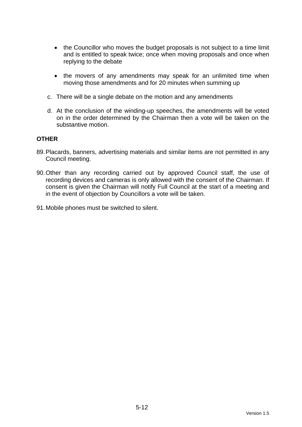- the Councillor who moves the budget proposals is not subject to a time limit and is entitled to speak twice; once when moving proposals and once when replying to the debate
- the movers of any amendments may speak for an unlimited time when moving those amendments and for 20 minutes when summing up
- c. There will be a single debate on the motion and any amendments
- d. At the conclusion of the winding-up speeches, the amendments will be voted on in the order determined by the Chairman then a vote will be taken on the substantive motion.

#### **OTHER**

- 89. Placards, banners, advertising materials and similar items are not permitted in any Council meeting.
- 90. Other than any recording carried out by approved Council staff, the use of recording devices and cameras is only allowed with the consent of the Chairman. If consent is given the Chairman will notify Full Council at the start of a meeting and in the event of objection by Councillors a vote will be taken.
- 91. Mobile phones must be switched to silent.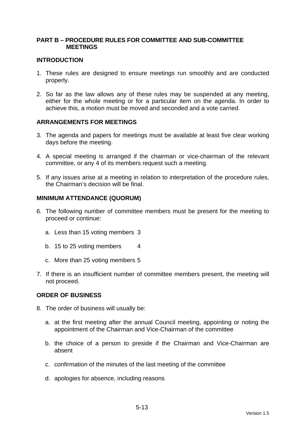### **PART B – PROCEDURE RULES FOR COMMITTEE AND SUB-COMMITTEE MEETINGS**

### **INTRODUCTION**

- 1. These rules are designed to ensure meetings run smoothly and are conducted properly.
- 2. So far as the law allows any of these rules may be suspended at any meeting, either for the whole meeting or for a particular item on the agenda. In order to achieve this, a motion must be moved and seconded and a vote carried.

### **ARRANGEMENTS FOR MEETINGS**

- 3. The agenda and papers for meetings must be available at least five clear working days before the meeting.
- 4. A special meeting is arranged if the chairman or vice-chairman of the relevant committee, or any 4 of its members request such a meeting.
- 5. If any issues arise at a meeting in relation to interpretation of the procedure rules, the Chairman's decision will be final.

#### **MINIMUM ATTENDANCE (QUORUM)**

- 6. The following number of committee members must be present for the meeting to proceed or continue:
	- a. Less than 15 voting members 3
	- b. 15 to 25 voting members 4
	- c. More than 25 voting members 5
- 7. If there is an insufficient number of committee members present, the meeting will not proceed.

#### **ORDER OF BUSINESS**

- 8. The order of business will usually be:
	- a. at the first meeting after the annual Council meeting, appointing or noting the appointment of the Chairman and Vice-Chairman of the committee
	- b. the choice of a person to preside if the Chairman and Vice-Chairman are absent
	- c. confirmation of the minutes of the last meeting of the committee
	- d. apologies for absence, including reasons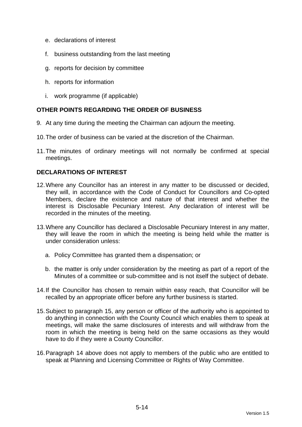- e. declarations of interest
- f. business outstanding from the last meeting
- g. reports for decision by committee
- h. reports for information
- i. work programme (if applicable)

## **OTHER POINTS REGARDING THE ORDER OF BUSINESS**

- 9. At any time during the meeting the Chairman can adjourn the meeting.
- 10. The order of business can be varied at the discretion of the Chairman.
- 11. The minutes of ordinary meetings will not normally be confirmed at special meetings.

### **DECLARATIONS OF INTEREST**

- 12. Where any Councillor has an interest in any matter to be discussed or decided, they will, in accordance with the Code of Conduct for Councillors and Co-opted Members, declare the existence and nature of that interest and whether the interest is Disclosable Pecuniary Interest. Any declaration of interest will be recorded in the minutes of the meeting.
- 13. Where any Councillor has declared a Disclosable Pecuniary Interest in any matter, they will leave the room in which the meeting is being held while the matter is under consideration unless:
	- a. Policy Committee has granted them a dispensation; or
	- b. the matter is only under consideration by the meeting as part of a report of the Minutes of a committee or sub-committee and is not itself the subject of debate.
- 14. If the Councillor has chosen to remain within easy reach, that Councillor will be recalled by an appropriate officer before any further business is started.
- 15. Subject to paragraph 15, any person or officer of the authority who is appointed to do anything in connection with the County Council which enables them to speak at meetings, will make the same disclosures of interests and will withdraw from the room in which the meeting is being held on the same occasions as they would have to do if they were a County Councillor.
- 16. Paragraph 14 above does not apply to members of the public who are entitled to speak at Planning and Licensing Committee or Rights of Way Committee.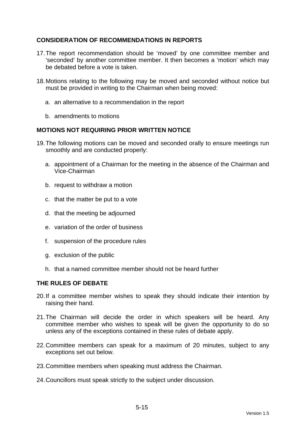## **CONSIDERATION OF RECOMMENDATIONS IN REPORTS**

- 17. The report recommendation should be 'moved' by one committee member and 'seconded' by another committee member. It then becomes a 'motion' which may be debated before a vote is taken.
- 18. Motions relating to the following may be moved and seconded without notice but must be provided in writing to the Chairman when being moved:
	- a. an alternative to a recommendation in the report
	- b. amendments to motions

### **MOTIONS NOT REQUIRING PRIOR WRITTEN NOTICE**

- 19. The following motions can be moved and seconded orally to ensure meetings run smoothly and are conducted properly:
	- a. appointment of a Chairman for the meeting in the absence of the Chairman and Vice-Chairman
	- b. request to withdraw a motion
	- c. that the matter be put to a vote
	- d. that the meeting be adjourned
	- e. variation of the order of business
	- f. suspension of the procedure rules
	- g. exclusion of the public
	- h. that a named committee member should not be heard further

### **THE RULES OF DEBATE**

- 20. If a committee member wishes to speak they should indicate their intention by raising their hand.
- 21. The Chairman will decide the order in which speakers will be heard. Any committee member who wishes to speak will be given the opportunity to do so unless any of the exceptions contained in these rules of debate apply.
- 22. Committee members can speak for a maximum of 20 minutes, subject to any exceptions set out below.
- 23. Committee members when speaking must address the Chairman.
- 24. Councillors must speak strictly to the subject under discussion.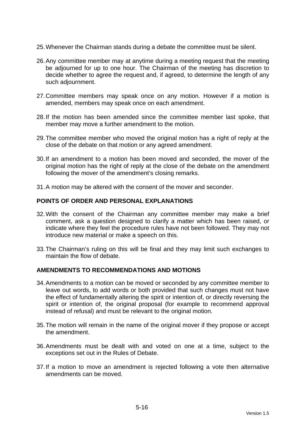- 25. Whenever the Chairman stands during a debate the committee must be silent.
- 26. Any committee member may at anytime during a meeting request that the meeting be adjourned for up to one hour. The Chairman of the meeting has discretion to decide whether to agree the request and, if agreed, to determine the length of any such adjournment.
- 27. Committee members may speak once on any motion. However if a motion is amended, members may speak once on each amendment.
- 28. If the motion has been amended since the committee member last spoke, that member may move a further amendment to the motion.
- 29. The committee member who moved the original motion has a right of reply at the close of the debate on that motion or any agreed amendment.
- 30. If an amendment to a motion has been moved and seconded, the mover of the original motion has the right of reply at the close of the debate on the amendment following the mover of the amendment's closing remarks.
- 31. A motion may be altered with the consent of the mover and seconder.

#### **POINTS OF ORDER AND PERSONAL EXPLANATIONS**

- 32. With the consent of the Chairman any committee member may make a brief comment, ask a question designed to clarify a matter which has been raised, or indicate where they feel the procedure rules have not been followed. They may not introduce new material or make a speech on this.
- 33. The Chairman's ruling on this will be final and they may limit such exchanges to maintain the flow of debate.

#### **AMENDMENTS TO RECOMMENDATIONS AND MOTIONS**

- 34. Amendments to a motion can be moved or seconded by any committee member to leave out words, to add words or both provided that such changes must not have the effect of fundamentally altering the spirit or intention of, or directly reversing the spirit or intention of, the original proposal (for example to recommend approval instead of refusal) and must be relevant to the original motion.
- 35. The motion will remain in the name of the original mover if they propose or accept the amendment.
- 36. Amendments must be dealt with and voted on one at a time, subject to the exceptions set out in the Rules of Debate.
- 37. If a motion to move an amendment is rejected following a vote then alternative amendments can be moved.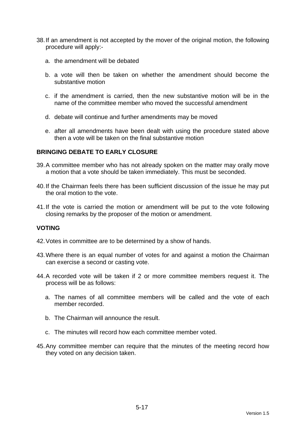- 38. If an amendment is not accepted by the mover of the original motion, the following procedure will apply:
	- a. the amendment will be debated
	- b. a vote will then be taken on whether the amendment should become the substantive motion
	- c. if the amendment is carried, then the new substantive motion will be in the name of the committee member who moved the successful amendment
	- d. debate will continue and further amendments may be moved
	- e. after all amendments have been dealt with using the procedure stated above then a vote will be taken on the final substantive motion

### **BRINGING DEBATE TO EARLY CLOSURE**

- 39. A committee member who has not already spoken on the matter may orally move a motion that a vote should be taken immediately. This must be seconded.
- 40. If the Chairman feels there has been sufficient discussion of the issue he may put the oral motion to the vote.
- 41. If the vote is carried the motion or amendment will be put to the vote following closing remarks by the proposer of the motion or amendment.

### **VOTING**

- 42. Votes in committee are to be determined by a show of hands.
- 43. Where there is an equal number of votes for and against a motion the Chairman can exercise a second or casting vote.
- 44. A recorded vote will be taken if 2 or more committee members request it. The process will be as follows:
	- a. The names of all committee members will be called and the vote of each member recorded.
	- b. The Chairman will announce the result.
	- c. The minutes will record how each committee member voted.
- 45. Any committee member can require that the minutes of the meeting record how they voted on any decision taken.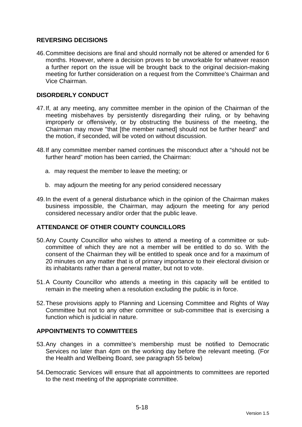## **REVERSING DECISIONS**

46. Committee decisions are final and should normally not be altered or amended for 6 months. However, where a decision proves to be unworkable for whatever reason a further report on the issue will be brought back to the original decision-making meeting for further consideration on a request from the Committee's Chairman and Vice Chairman.

## **DISORDERLY CONDUCT**

- 47. If, at any meeting, any committee member in the opinion of the Chairman of the meeting misbehaves by persistently disregarding their ruling, or by behaving improperly or offensively, or by obstructing the business of the meeting, the Chairman may move "that [the member named] should not be further heard" and the motion, if seconded, will be voted on without discussion.
- 48. If any committee member named continues the misconduct after a "should not be further heard" motion has been carried, the Chairman:
	- a. may request the member to leave the meeting; or
	- b. may adjourn the meeting for any period considered necessary
- 49. In the event of a general disturbance which in the opinion of the Chairman makes business impossible, the Chairman, may adjourn the meeting for any period considered necessary and/or order that the public leave.

### **ATTENDANCE OF OTHER COUNTY COUNCILLORS**

- 50. Any County Councillor who wishes to attend a meeting of a committee or subcommittee of which they are not a member will be entitled to do so. With the consent of the Chairman they will be entitled to speak once and for a maximum of 20 minutes on any matter that is of primary importance to their electoral division or its inhabitants rather than a general matter, but not to vote.
- 51. A County Councillor who attends a meeting in this capacity will be entitled to remain in the meeting when a resolution excluding the public is in force.
- 52. These provisions apply to Planning and Licensing Committee and Rights of Way Committee but not to any other committee or sub-committee that is exercising a function which is judicial in nature.

## **APPOINTMENTS TO COMMITTEES**

- 53. Any changes in a committee's membership must be notified to Democratic Services no later than 4pm on the working day before the relevant meeting. (For the Health and Wellbeing Board, see paragraph 55 below)
- 54. Democratic Services will ensure that all appointments to committees are reported to the next meeting of the appropriate committee.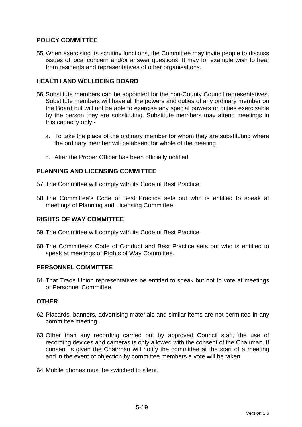## **POLICY COMMITTEE**

55. When exercising its scrutiny functions, the Committee may invite people to discuss issues of local concern and/or answer questions. It may for example wish to hear from residents and representatives of other organisations.

## **HEALTH AND WELLBEING BOARD**

- 56. Substitute members can be appointed for the non-County Council representatives. Substitute members will have all the powers and duties of any ordinary member on the Board but will not be able to exercise any special powers or duties exercisable by the person they are substituting. Substitute members may attend meetings in this capacity only:
	- a. To take the place of the ordinary member for whom they are substituting where the ordinary member will be absent for whole of the meeting
	- b. After the Proper Officer has been officially notified

### **PLANNING AND LICENSING COMMITTEE**

- 57. The Committee will comply with its Code of Best Practice
- 58. The Committee's Code of Best Practice sets out who is entitled to speak at meetings of Planning and Licensing Committee.

### **RIGHTS OF WAY COMMITTEE**

- 59. The Committee will comply with its Code of Best Practice
- 60. The Committee's Code of Conduct and Best Practice sets out who is entitled to speak at meetings of Rights of Way Committee.

### **PERSONNEL COMMITTEE**

61. That Trade Union representatives be entitled to speak but not to vote at meetings of Personnel Committee.

### **OTHER**

- 62. Placards, banners, advertising materials and similar items are not permitted in any committee meeting.
- 63. Other than any recording carried out by approved Council staff, the use of recording devices and cameras is only allowed with the consent of the Chairman. If consent is given the Chairman will notify the committee at the start of a meeting and in the event of objection by committee members a vote will be taken.
- 64. Mobile phones must be switched to silent.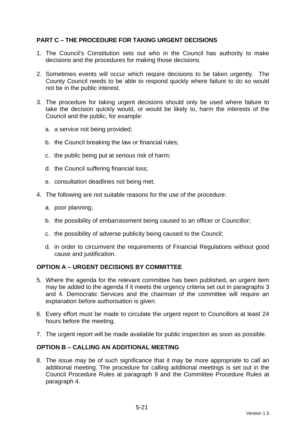## **PART C – THE PROCEDURE FOR TAKING URGENT DECISIONS**

- 1. The Council's Constitution sets out who in the Council has authority to make decisions and the procedures for making those decisions.
- 2. Sometimes events will occur which require decisions to be taken urgently. The County Council needs to be able to respond quickly where failure to do so would not be in the public interest.
- 3. The procedure for taking urgent decisions should only be used where failure to take the decision quickly would, or would be likely to, harm the interests of the Council and the public, for example:
	- a. a service not being provided;
	- b. the Council breaking the law or financial rules;
	- c. the public being put at serious risk of harm;
	- d. the Council suffering financial loss;
	- e. consultation deadlines not being met.
- 4. The following are not suitable reasons for the use of the procedure:
	- a. poor planning;
	- b. the possibility of embarrassment being caused to an officer or Councillor;
	- c. the possibility of adverse publicity being caused to the Council;
	- d. in order to circumvent the requirements of Financial Regulations without good cause and justification.

### **OPTION A – URGENT DECISIONS BY COMMITTEE**

- 5. Where the agenda for the relevant committee has been published, an urgent item may be added to the agenda if it meets the urgency criteria set out in paragraphs 3 and 4. Democratic Services and the chairman of the committee will require an explanation before authorisation is given.
- 6. Every effort must be made to circulate the urgent report to Councillors at least 24 hours before the meeting.
- 7. The urgent report will be made available for public inspection as soon as possible.

### **OPTION B – CALLING AN ADDITIONAL MEETING**

8. The issue may be of such significance that it may be more appropriate to call an additional meeting. The procedure for calling additional meetings is set out in the Council Procedure Rules at paragraph 9 and the Committee Procedure Rules at paragraph 4.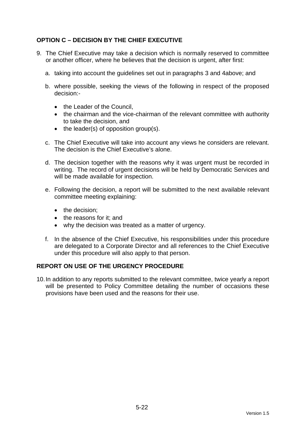## **OPTION C – DECISION BY THE CHIEF EXECUTIVE**

- 9. The Chief Executive may take a decision which is normally reserved to committee or another officer, where he believes that the decision is urgent, after first:
	- a. taking into account the guidelines set out in paragraphs 3 and 4above; and
	- b. where possible, seeking the views of the following in respect of the proposed decision:-
		- the Leader of the Council.
		- the chairman and the vice-chairman of the relevant committee with authority to take the decision, and
		- $\bullet$  the leader(s) of opposition group(s).
	- c. The Chief Executive will take into account any views he considers are relevant. The decision is the Chief Executive's alone.
	- d. The decision together with the reasons why it was urgent must be recorded in writing. The record of urgent decisions will be held by Democratic Services and will be made available for inspection.
	- e. Following the decision, a report will be submitted to the next available relevant committee meeting explaining:
		- the decision:
		- the reasons for it: and
		- why the decision was treated as a matter of urgency.
	- f. In the absence of the Chief Executive, his responsibilities under this procedure are delegated to a Corporate Director and all references to the Chief Executive under this procedure will also apply to that person.

### **REPORT ON USE OF THE URGENCY PROCEDURE**

10. In addition to any reports submitted to the relevant committee, twice yearly a report will be presented to Policy Committee detailing the number of occasions these provisions have been used and the reasons for their use.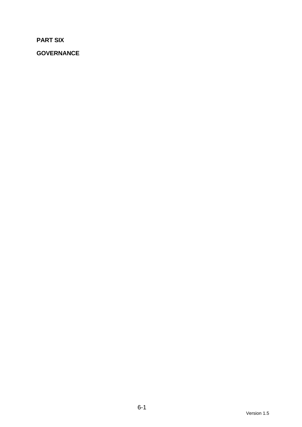**PART SIX** 

**GOVERNANCE**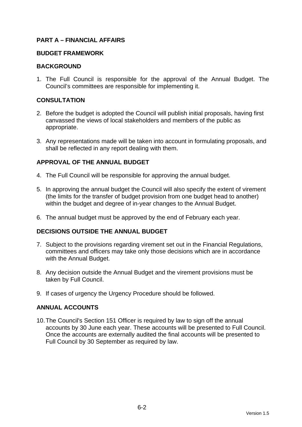## **PART A – FINANCIAL AFFAIRS**

#### **BUDGET FRAMEWORK**

### **BACKGROUND**

1. The Full Council is responsible for the approval of the Annual Budget. The Council's committees are responsible for implementing it.

### **CONSULTATION**

- 2. Before the budget is adopted the Council will publish initial proposals, having first canvassed the views of local stakeholders and members of the public as appropriate.
- 3. Any representations made will be taken into account in formulating proposals, and shall be reflected in any report dealing with them.

## **APPROVAL OF THE ANNUAL BUDGET**

- 4. The Full Council will be responsible for approving the annual budget.
- 5. In approving the annual budget the Council will also specify the extent of virement (the limits for the transfer of budget provision from one budget head to another) within the budget and degree of in-year changes to the Annual Budget.
- 6. The annual budget must be approved by the end of February each year.

### **DECISIONS OUTSIDE THE ANNUAL BUDGET**

- 7. Subject to the provisions regarding virement set out in the Financial Regulations, committees and officers may take only those decisions which are in accordance with the Annual Budget.
- 8. Any decision outside the Annual Budget and the virement provisions must be taken by Full Council.
- 9. If cases of urgency the Urgency Procedure should be followed.

### **ANNUAL ACCOUNTS**

10. The Council's Section 151 Officer is required by law to sign off the annual accounts by 30 June each year. These accounts will be presented to Full Council. Once the accounts are externally audited the final accounts will be presented to Full Council by 30 September as required by law.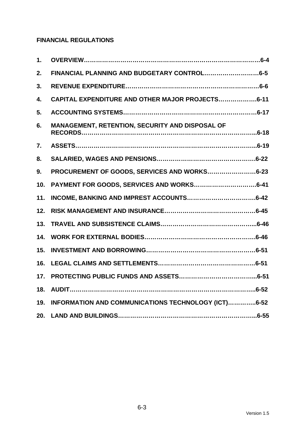# **FINANCIAL REGULATIONS**

| 1.  |                                                     |
|-----|-----------------------------------------------------|
| 2.  | FINANCIAL PLANNING AND BUDGETARY CONTROL6-5         |
| 3.  |                                                     |
| 4.  | CAPITAL EXPENDITURE AND OTHER MAJOR PROJECTS6-11    |
| 5.  |                                                     |
| 6.  | MANAGEMENT, RETENTION, SECURITY AND DISPOSAL OF     |
| 7.  |                                                     |
| 8.  |                                                     |
| 9.  | PROCUREMENT OF GOODS, SERVICES AND WORKS6-23        |
| 10. |                                                     |
| 11. |                                                     |
| 12. |                                                     |
| 13. |                                                     |
| 14. |                                                     |
| 15. |                                                     |
| 16. |                                                     |
| 17. |                                                     |
| 18. |                                                     |
| 19. | INFORMATION AND COMMUNICATIONS TECHNOLOGY (ICT)6-52 |
| 20. |                                                     |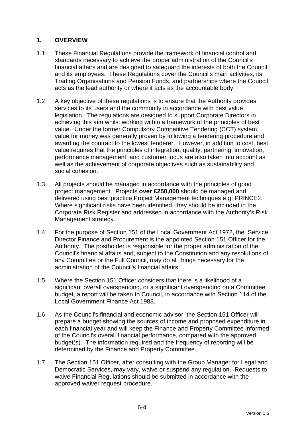## **1. OVERVIEW**

- 1.1 These Financial Regulations provide the framework of financial control and standards necessary to achieve the proper administration of the Council's financial affairs and are designed to safeguard the interests of both the Council and its employees. These Regulations cover the Council's main activities, its Trading Organisations and Pension Funds, and partnerships where the Council acts as the lead authority or where it acts as the accountable body.
- 1.2 A key objective of these regulations is to ensure that the Authority provides services to its users and the community in accordance with best value legislation. The regulations are designed to support Corporate Directors in achieving this aim whilst working within a framework of the principles of best value. Under the former Compulsory Competitive Tendering (CCT) system, value for money was generally proven by following a tendering procedure and awarding the contract to the lowest tenderer. However, in addition to cost, best value requires that the principles of integration, quality, partnering, innovation, performance management, and customer focus are also taken into account as well as the achievement of corporate objectives such as sustainability and social cohesion.
- 1.3 All projects should be managed in accordance with the principles of good project management. Projects **over £250,000** should be managed and delivered using best practice Project Management techniques e.g. PRINCE2. Where significant risks have been identified, they should be included in the Corporate Risk Register and addressed in accordance with the Authority's Risk Management strategy.
- 1.4 For the purpose of Section 151 of the Local Government Act 1972, the Service Director Finance and Procurement is the appointed Section 151 Officer for the Authority. The postholder is responsible for the proper administration of the Council's financial affairs and, subject to the Constitution and any resolutions of any Committee or the Full Council, may do all things necessary for the administration of the Council's financial affairs.
- 1.5 Where the Section 151 Officer considers that there is a likelihood of a significant overall overspending, or a significant overspending on a Committee budget, a report will be taken to Council, in accordance with Section 114 of the Local Government Finance Act 1988.
- 1.6 As the Council's financial and economic advisor, the Section 151 Officer will prepare a budget showing the sources of income and proposed expenditure in each financial year and will keep the Finance and Property Committee informed of the Council's overall financial performance, compared with the approved budget(s). The information required and the frequency of reporting will be determined by the Finance and Property Committee.
- 1.7 The Section 151 Officer, after consulting with the Group Manager for Legal and Democratic Services, may vary, waive or suspend any regulation. Requests to waive Financial Regulations should be submitted in accordance with the approved waiver request procedure.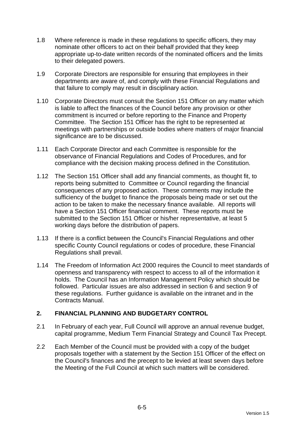- 1.8 Where reference is made in these regulations to specific officers, they may nominate other officers to act on their behalf provided that they keep appropriate up-to-date written records of the nominated officers and the limits to their delegated powers.
- 1.9 Corporate Directors are responsible for ensuring that employees in their departments are aware of, and comply with these Financial Regulations and that failure to comply may result in disciplinary action.
- 1.10 Corporate Directors must consult the Section 151 Officer on any matter which is liable to affect the finances of the Council before any provision or other commitment is incurred or before reporting to the Finance and Property Committee. The Section 151 Officer has the right to be represented at meetings with partnerships or outside bodies where matters of major financial significance are to be discussed.
- 1.11 Each Corporate Director and each Committee is responsible for the observance of Financial Regulations and Codes of Procedures, and for compliance with the decision making process defined in the Constitution.
- 1.12 The Section 151 Officer shall add any financial comments, as thought fit, to reports being submitted to Committee or Council regarding the financial consequences of any proposed action. These comments may include the sufficiency of the budget to finance the proposals being made or set out the action to be taken to make the necessary finance available. All reports will have a Section 151 Officer financial comment. These reports must be submitted to the Section 151 Officer or his/her representative, at least 5 working days before the distribution of papers.
- 1.13 If there is a conflict between the Council's Financial Regulations and other specific County Council regulations or codes of procedure, these Financial Regulations shall prevail.
- 1.14 The Freedom of Information Act 2000 requires the Council to meet standards of openness and transparency with respect to access to all of the information it holds. The Council has an Information Management Policy which should be followed. Particular issues are also addressed in section 6 and section 9 of these regulations. Further guidance is available on the intranet and in the Contracts Manual.

# **2. FINANCIAL PLANNING AND BUDGETARY CONTROL**

- 2.1 In February of each year, Full Council will approve an annual revenue budget, capital programme, Medium Term Financial Strategy and Council Tax Precept.
- 2.2 Each Member of the Council must be provided with a copy of the budget proposals together with a statement by the Section 151 Officer of the effect on the Council's finances and the precept to be levied at least seven days before the Meeting of the Full Council at which such matters will be considered.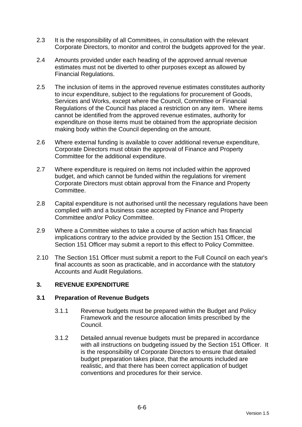- 2.3 It is the responsibility of all Committees, in consultation with the relevant Corporate Directors, to monitor and control the budgets approved for the year.
- 2.4 Amounts provided under each heading of the approved annual revenue estimates must not be diverted to other purposes except as allowed by Financial Regulations.
- 2.5 The inclusion of items in the approved revenue estimates constitutes authority to incur expenditure, subject to the regulations for procurement of Goods, Services and Works, except where the Council, Committee or Financial Regulations of the Council has placed a restriction on any item. Where items cannot be identified from the approved revenue estimates, authority for expenditure on those items must be obtained from the appropriate decision making body within the Council depending on the amount.
- 2.6 Where external funding is available to cover additional revenue expenditure, Corporate Directors must obtain the approval of Finance and Property Committee for the additional expenditure.
- 2.7 Where expenditure is required on items not included within the approved budget, and which cannot be funded within the regulations for virement Corporate Directors must obtain approval from the Finance and Property Committee.
- 2.8 Capital expenditure is not authorised until the necessary regulations have been complied with and a business case accepted by Finance and Property Committee and/or Policy Committee.
- 2.9 Where a Committee wishes to take a course of action which has financial implications contrary to the advice provided by the Section 151 Officer, the Section 151 Officer may submit a report to this effect to Policy Committee.
- 2.10 The Section 151 Officer must submit a report to the Full Council on each year's final accounts as soon as practicable, and in accordance with the statutory Accounts and Audit Regulations.

# **3. REVENUE EXPENDITURE**

### **3.1 Preparation of Revenue Budgets**

- 3.1.1 Revenue budgets must be prepared within the Budget and Policy Framework and the resource allocation limits prescribed by the Council.
- 3.1.2 Detailed annual revenue budgets must be prepared in accordance with all instructions on budgeting issued by the Section 151 Officer. It is the responsibility of Corporate Directors to ensure that detailed budget preparation takes place, that the amounts included are realistic, and that there has been correct application of budget conventions and procedures for their service.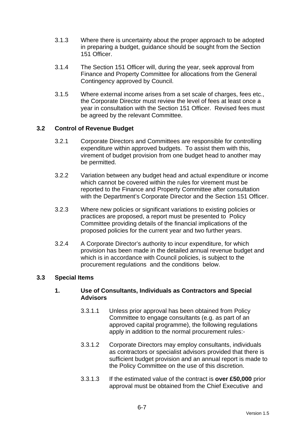- 3.1.3 Where there is uncertainty about the proper approach to be adopted in preparing a budget, guidance should be sought from the Section 151 Officer.
- 3.1.4 The Section 151 Officer will, during the year, seek approval from Finance and Property Committee for allocations from the General Contingency approved by Council.
- 3.1.5 Where external income arises from a set scale of charges, fees etc., the Corporate Director must review the level of fees at least once a year in consultation with the Section 151 Officer. Revised fees must be agreed by the relevant Committee.

### **3.2 Control of Revenue Budget**

- 3.2.1 Corporate Directors and Committees are responsible for controlling expenditure within approved budgets. To assist them with this, virement of budget provision from one budget head to another may be permitted.
- 3.2.2 Variation between any budget head and actual expenditure or income which cannot be covered within the rules for virement must be reported to the Finance and Property Committee after consultation with the Department's Corporate Director and the Section 151 Officer.
- 3.2.3 Where new policies or significant variations to existing policies or practices are proposed, a report must be presented to Policy Committee providing details of the financial implications of the proposed policies for the current year and two further years.
- 3.2.4 A Corporate Director's authority to incur expenditure, for which provision has been made in the detailed annual revenue budget and which is in accordance with Council policies, is subject to the procurement regulations and the conditions below.

### **3.3 Special Items**

### **1. Use of Consultants, Individuals as Contractors and Special Advisors**

- 3.3.1.1 Unless prior approval has been obtained from Policy Committee to engage consultants (e.g. as part of an approved capital programme), the following regulations apply in addition to the normal procurement rules:-
- 3.3.1.2 Corporate Directors may employ consultants, individuals as contractors or specialist advisors provided that there is sufficient budget provision and an annual report is made to the Policy Committee on the use of this discretion.
- 3.3.1.3 If the estimated value of the contract is **over £50,000** prior approval must be obtained from the Chief Executive and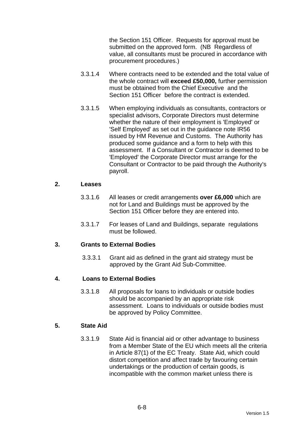the Section 151 Officer. Requests for approval must be submitted on the approved form. (NB Regardless of value, all consultants must be procured in accordance with procurement procedures.)

- 3.3.1.4 Where contracts need to be extended and the total value of the whole contract will **exceed £50,000,** further permission must be obtained from the Chief Executive and the Section 151 Officer before the contract is extended.
- 3.3.1.5 When employing individuals as consultants, contractors or specialist advisors, Corporate Directors must determine whether the nature of their employment is 'Employed' or 'Self Employed' as set out in the guidance note IR56 issued by HM Revenue and Customs. The Authority has produced some guidance and a form to help with this assessment. If a Consultant or Contractor is deemed to be 'Employed' the Corporate Director must arrange for the Consultant or Contractor to be paid through the Authority's payroll.

#### **2. Leases**

- 3.3.1.6 All leases or credit arrangements **over £6,000** which are not for Land and Buildings must be approved by the Section 151 Officer before they are entered into.
- 3.3.1.7 For leases of Land and Buildings, separate regulations must be followed.

### **3. Grants to External Bodies**

3.3.3.1 Grant aid as defined in the grant aid strategy must be approved by the Grant Aid Sub-Committee.

### **4. Loans to External Bodies**

3.3.1.8 All proposals for loans to individuals or outside bodies should be accompanied by an appropriate risk assessment. Loans to individuals or outside bodies must be approved by Policy Committee.

# **5. State Aid**

3.3.1.9 State Aid is financial aid or other advantage to business from a Member State of the EU which meets all the criteria in Article 87(1) of the EC Treaty. State Aid, which could distort competition and affect trade by favouring certain undertakings or the production of certain goods, is incompatible with the common market unless there is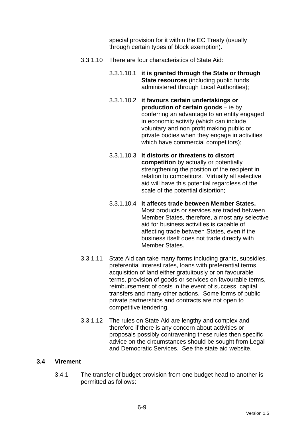special provision for it within the EC Treaty (usually through certain types of block exemption).

- 3.3.1.10 There are four characteristics of State Aid:
	- 3.3.1.10.1 **it is granted through the State or through State resources** (including public funds administered through Local Authorities);
	- 3.3.1.10.2 **it favours certain undertakings or production of certain goods** – ie by conferring an advantage to an entity engaged in economic activity (which can include voluntary and non profit making public or private bodies when they engage in activities which have commercial competitors);
	- 3.3.1.10.3 **it distorts or threatens to distort competition** by actually or potentially strengthening the position of the recipient in relation to competitors. Virtually all selective aid will have this potential regardless of the scale of the potential distortion;
	- 3.3.1.10.4 **it affects trade between Member States.** Most products or services are traded between Member States, therefore, almost any selective aid for business activities is capable of affecting trade between States, even if the business itself does not trade directly with Member States.
- 3.3.1.11 State Aid can take many forms including grants, subsidies, preferential interest rates, loans with preferential terms, acquisition of land either gratuitously or on favourable terms, provision of goods or services on favourable terms, reimbursement of costs in the event of success, capital transfers and many other actions. Some forms of public private partnerships and contracts are not open to competitive tendering.
- 3.3.1.12 The rules on State Aid are lengthy and complex and therefore if there is any concern about activities or proposals possibly contravening these rules then specific advice on the circumstances should be sought from Legal and Democratic Services. See the state aid website.

### **3.4 Virement**

3.4.1 The transfer of budget provision from one budget head to another is permitted as follows: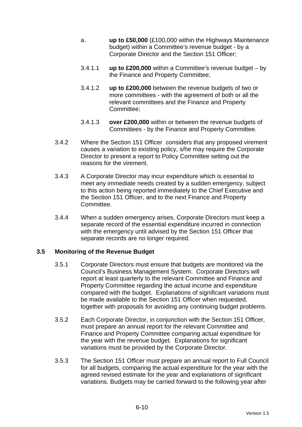- a. **up to £50,000** (£100,000 within the Highways Maintenance budget) within a Committee's revenue budget - by a Corporate Director and the Section 151 Officer;
- 3.4.1.1 **up to £200,000** within a Committee's revenue budget by the Finance and Property Committee;
- 3.4.1.2 **up to £200,000** between the revenue budgets of two or more committees - with the agreement of both or all the relevant committees and the Finance and Property Committee;
- 3.4.1.3 **over £200,000** within or between the revenue budgets of Committees - by the Finance and Property Committee.
- 3.4.2 Where the Section 151 Officer considers that any proposed virement causes a variation to existing policy, s/he may require the Corporate Director to present a report to Policy Committee setting out the reasons for the virement.
- 3.4.3 A Corporate Director may incur expenditure which is essential to meet any immediate needs created by a sudden emergency, subject to this action being reported immediately to the Chief Executive and the Section 151 Officer, and to the next Finance and Property Committee.
- 3.4.4 When a sudden emergency arises, Corporate Directors must keep a separate record of the essential expenditure incurred in connection with the emergency until advised by the Section 151 Officer that separate records are no longer required.

### **3.5 Monitoring of the Revenue Budget**

- 3.5.1 Corporate Directors must ensure that budgets are monitored via the Council's Business Management System. Corporate Directors will report at least quarterly to the relevant Committee and Finance and Property Committee regarding the actual income and expenditure compared with the budget. Explanations of significant variations must be made available to the Section 151 Officer when requested, together with proposals for avoiding any continuing budget problems.
- 3.5.2 Each Corporate Director, in conjunction with the Section 151 Officer, must prepare an annual report for the relevant Committee and Finance and Property Committee comparing actual expenditure for the year with the revenue budget. Explanations for significant variations must be provided by the Corporate Director.
- 3.5.3 The Section 151 Officer must prepare an annual report to Full Council for all budgets, comparing the actual expenditure for the year with the agreed revised estimate for the year and explanations of significant variations. Budgets may be carried forward to the following year after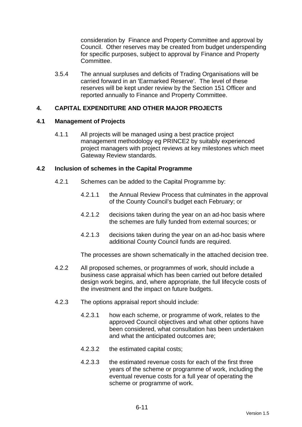consideration by Finance and Property Committee and approval by Council. Other reserves may be created from budget underspending for specific purposes, subject to approval by Finance and Property Committee.

3.5.4 The annual surpluses and deficits of Trading Organisations will be carried forward in an 'Earmarked Reserve'. The level of these reserves will be kept under review by the Section 151 Officer and reported annually to Finance and Property Committee.

#### **4. CAPITAL EXPENDITURE AND OTHER MAJOR PROJECTS**

#### **4.1 Management of Projects**

4.1.1 All projects will be managed using a best practice project management methodology eg PRINCE2 by suitably experienced project managers with project reviews at key milestones which meet Gateway Review standards.

#### **4.2 Inclusion of schemes in the Capital Programme**

- 4.2.1 Schemes can be added to the Capital Programme by:
	- 4.2.1.1 the Annual Review Process that culminates in the approval of the County Council's budget each February; or
	- 4.2.1.2 decisions taken during the year on an ad-hoc basis where the schemes are fully funded from external sources; or
	- 4.2.1.3 decisions taken during the year on an ad-hoc basis where additional County Council funds are required.

The processes are shown schematically in the attached decision tree.

- 4.2.2 All proposed schemes, or programmes of work, should include a business case appraisal which has been carried out before detailed design work begins, and, where appropriate, the full lifecycle costs of the investment and the impact on future budgets.
- 4.2.3 The options appraisal report should include:
	- 4.2.3.1 how each scheme, or programme of work, relates to the approved Council objectives and what other options have been considered, what consultation has been undertaken and what the anticipated outcomes are;
	- 4.2.3.2 the estimated capital costs;
	- 4.2.3.3 the estimated revenue costs for each of the first three years of the scheme or programme of work, including the eventual revenue costs for a full year of operating the scheme or programme of work.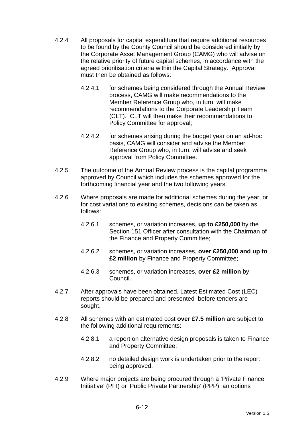- 4.2.4 All proposals for capital expenditure that require additional resources to be found by the County Council should be considered initially by the Corporate Asset Management Group (CAMG) who will advise on the relative priority of future capital schemes, in accordance with the agreed prioritisation criteria within the Capital Strategy. Approval must then be obtained as follows:
	- 4.2.4.1 for schemes being considered through the Annual Review process, CAMG will make recommendations to the Member Reference Group who, in turn, will make recommendations to the Corporate Leadership Team (CLT). CLT will then make their recommendations to Policy Committee for approval;
	- 4.2.4.2 for schemes arising during the budget year on an ad-hoc basis, CAMG will consider and advise the Member Reference Group who, in turn, will advise and seek approval from Policy Committee.
- 4.2.5 The outcome of the Annual Review process is the capital programme approved by Council which includes the schemes approved for the forthcoming financial year and the two following years.
- 4.2.6 Where proposals are made for additional schemes during the year, or for cost variations to existing schemes, decisions can be taken as follows:
	- 4.2.6.1 schemes, or variation increases, **up to £250,000** by the Section 151 Officer after consultation with the Chairman of the Finance and Property Committee;
	- 4.2.6.2 schemes, or variation increases, **over £250,000 and up to £2 million** by Finance and Property Committee;
	- 4.2.6.3 schemes, or variation increases, **over £2 million** by Council.
- 4.2.7 After approvals have been obtained, Latest Estimated Cost (LEC) reports should be prepared and presented before tenders are sought.
- 4.2.8 All schemes with an estimated cost **over £7.5 million** are subject to the following additional requirements:
	- 4.2.8.1 a report on alternative design proposals is taken to Finance and Property Committee;
	- 4.2.8.2 no detailed design work is undertaken prior to the report being approved.
- 4.2.9 Where major projects are being procured through a 'Private Finance Initiative' (PFI) or 'Public Private Partnership' (PPP), an options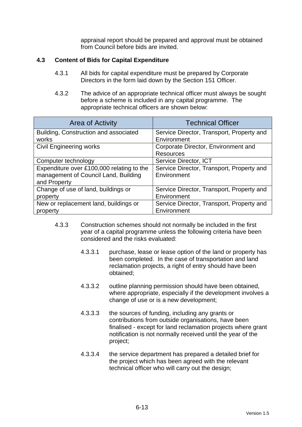appraisal report should be prepared and approval must be obtained from Council before bids are invited.

# **4.3 Content of Bids for Capital Expenditure**

- 4.3.1 All bids for capital expenditure must be prepared by Corporate Directors in the form laid down by the Section 151 Officer.
- 4.3.2 The advice of an appropriate technical officer must always be sought before a scheme is included in any capital programme. The appropriate technical officers are shown below:

| <b>Area of Activity</b>                   | <b>Technical Officer</b>                  |  |
|-------------------------------------------|-------------------------------------------|--|
| Building, Construction and associated     | Service Director, Transport, Property and |  |
| works                                     | Environment                               |  |
| <b>Civil Engineering works</b>            | Corporate Director, Environment and       |  |
|                                           | <b>Resources</b>                          |  |
| Computer technology                       | Service Director, ICT                     |  |
| Expenditure over £100,000 relating to the | Service Director, Transport, Property and |  |
| management of Council Land, Building      | Environment                               |  |
| and Property                              |                                           |  |
| Change of use of land, buildings or       | Service Director, Transport, Property and |  |
| property                                  | Environment                               |  |
| New or replacement land, buildings or     | Service Director, Transport, Property and |  |
| property                                  | Environment                               |  |

- 4.3.3 Construction schemes should not normally be included in the first year of a capital programme unless the following criteria have been considered and the risks evaluated:
	- 4.3.3.1 purchase, lease or lease option of the land or property has been completed. In the case of transportation and land reclamation projects, a right of entry should have been obtained;
	- 4.3.3.2 outline planning permission should have been obtained, where appropriate, especially if the development involves a change of use or is a new development;
	- 4.3.3.3 the sources of funding, including any grants or contributions from outside organisations, have been finalised - except for land reclamation projects where grant notification is not normally received until the year of the project;
	- 4.3.3.4 the service department has prepared a detailed brief for the project which has been agreed with the relevant technical officer who will carry out the design;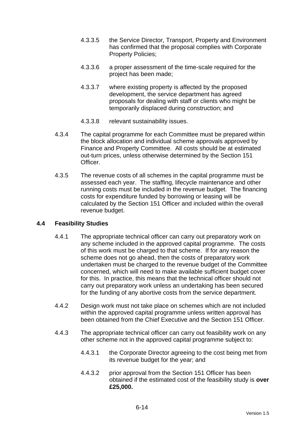- 4.3.3.5 the Service Director, Transport, Property and Environment has confirmed that the proposal complies with Corporate Property Policies;
- 4.3.3.6 a proper assessment of the time-scale required for the project has been made;
- 4.3.3.7 where existing property is affected by the proposed development, the service department has agreed proposals for dealing with staff or clients who might be temporarily displaced during construction; and
- 4.3.3.8 relevant sustainability issues.
- 4.3.4 The capital programme for each Committee must be prepared within the block allocation and individual scheme approvals approved by Finance and Property Committee. All costs should be at estimated out-turn prices, unless otherwise determined by the Section 151 Officer.
- 4.3.5 The revenue costs of all schemes in the capital programme must be assessed each year. The staffing, lifecycle maintenance and other running costs must be included in the revenue budget. The financing costs for expenditure funded by borrowing or leasing will be calculated by the Section 151 Officer and included within the overall revenue budget.

### **4.4 Feasibility Studies**

- 4.4.1 The appropriate technical officer can carry out preparatory work on any scheme included in the approved capital programme. The costs of this work must be charged to that scheme. If for any reason the scheme does not go ahead, then the costs of preparatory work undertaken must be charged to the revenue budget of the Committee concerned, which will need to make available sufficient budget cover for this. In practice, this means that the technical officer should not carry out preparatory work unless an undertaking has been secured for the funding of any abortive costs from the service department.
- 4.4.2 Design work must not take place on schemes which are not included within the approved capital programme unless written approval has been obtained from the Chief Executive and the Section 151 Officer.
- 4.4.3 The appropriate technical officer can carry out feasibility work on any other scheme not in the approved capital programme subject to:
	- 4.4.3.1 the Corporate Director agreeing to the cost being met from its revenue budget for the year; and
	- 4.4.3.2 prior approval from the Section 151 Officer has been obtained if the estimated cost of the feasibility study is **over £25,000.**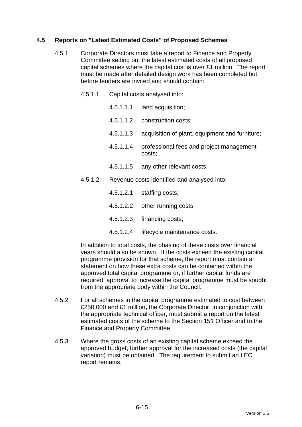# **4.5 Reports on "Latest Estimated Costs" of Proposed Schemes**

- 4.5.1 Corporate Directors must take a report to Finance and Property Committee setting out the latest estimated costs of all proposed capital schemes where the capital cost is over £1 million. The report must be made after detailed design work has been completed but before tenders are invited and should contain:
	- 4.5.1.1 Capital costs analysed into:
		- 4.5.1.1.1 land acquisition;
		- 4.5.1.1.2 construction costs;
		- 4.5.1.1.3 acquisition of plant, equipment and furniture;
		- 4.5.1.1.4 professional fees and project management costs;
		- 4.5.1.1.5 any other relevant costs.
	- 4.5.1.2 Revenue costs identified and analysed into:
		- 4.5.1.2.1 staffing costs;
		- 4.5.1.2.2 other running costs;
		- 4.5.1.2.3 financing costs;
		- 4.5.1.2.4 lifecycle maintenance costs.

In addition to total costs, the phasing of these costs over financial years should also be shown. If the costs exceed the existing capital programme provision for that scheme, the report must contain a statement on how these extra costs can be contained within the approved total capital programme or, if further capital funds are required, approval to increase the capital programme must be sought from the appropriate body within the Council.

- 4.5.2 For all schemes in the capital programme estimated to cost between £250,000 and £1 million**,** the Corporate Director, in conjunction with the appropriate technical officer, must submit a report on the latest estimated costs of the scheme to the Section 151 Officer and to the Finance and Property Committee.
- 4.5.3 Where the gross costs of an existing capital scheme exceed the approved budget, further approval for the increased costs (the capital variation) must be obtained. The requirement to submit an LEC report remains.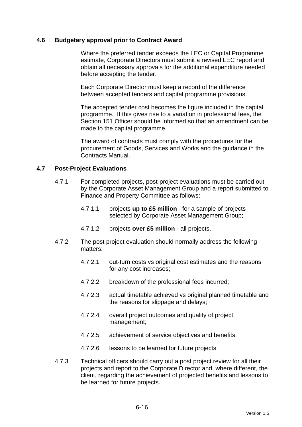#### **4.6 Budgetary approval prior to Contract Award**

 Where the preferred tender exceeds the LEC or Capital Programme estimate, Corporate Directors must submit a revised LEC report and obtain all necessary approvals for the additional expenditure needed before accepting the tender.

 Each Corporate Director must keep a record of the difference between accepted tenders and capital programme provisions.

 The accepted tender cost becomes the figure included in the capital programme. If this gives rise to a variation in professional fees, the Section 151 Officer should be informed so that an amendment can be made to the capital programme.

 The award of contracts must comply with the procedures for the procurement of Goods, Services and Works and the guidance in the Contracts Manual.

#### **4.7 Post-Project Evaluations**

- 4.7.1 For completed projects, post-project evaluations must be carried out by the Corporate Asset Management Group and a report submitted to Finance and Property Committee as follows:
	- 4.7.1.1 projects **up to £5 million** for a sample of projects selected by Corporate Asset Management Group;
	- 4.7.1.2 projects **over £5 million** all projects.
- 4.7.2 The post project evaluation should normally address the following matters:
	- 4.7.2.1 out-turn costs vs original cost estimates and the reasons for any cost increases;
	- 4.7.2.2 breakdown of the professional fees incurred;
	- 4.7.2.3 actual timetable achieved vs original planned timetable and the reasons for slippage and delays;
	- 4.7.2.4 overall project outcomes and quality of project management;
	- 4.7.2.5 achievement of service objectives and benefits;
	- 4.7.2.6 lessons to be learned for future projects.
- 4.7.3 Technical officers should carry out a post project review for all their projects and report to the Corporate Director and, where different, the client, regarding the achievement of projected benefits and lessons to be learned for future projects.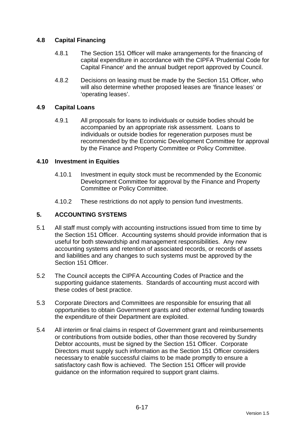# **4.8 Capital Financing**

- 4.8.1 The Section 151 Officer will make arrangements for the financing of capital expenditure in accordance with the CIPFA 'Prudential Code for Capital Finance' and the annual budget report approved by Council.
- 4.8.2 Decisions on leasing must be made by the Section 151 Officer, who will also determine whether proposed leases are 'finance leases' or 'operating leases'.

### **4.9 Capital Loans**

4.9.1 All proposals for loans to individuals or outside bodies should be accompanied by an appropriate risk assessment. Loans to individuals or outside bodies for regeneration purposes must be recommended by the Economic Development Committee for approval by the Finance and Property Committee or Policy Committee.

#### **4.10 Investment in Equities**

- 4.10.1 Investment in equity stock must be recommended by the Economic Development Committee for approval by the Finance and Property Committee or Policy Committee.
- 4.10.2 These restrictions do not apply to pension fund investments.

## **5. ACCOUNTING SYSTEMS**

- 5.1 All staff must comply with accounting instructions issued from time to time by the Section 151 Officer. Accounting systems should provide information that is useful for both stewardship and management responsibilities. Any new accounting systems and retention of associated records, or records of assets and liabilities and any changes to such systems must be approved by the Section 151 Officer.
- 5.2 The Council accepts the CIPFA Accounting Codes of Practice and the supporting guidance statements. Standards of accounting must accord with these codes of best practice.
- 5.3 Corporate Directors and Committees are responsible for ensuring that all opportunities to obtain Government grants and other external funding towards the expenditure of their Department are exploited.
- 5.4 All interim or final claims in respect of Government grant and reimbursements or contributions from outside bodies, other than those recovered by Sundry Debtor accounts, must be signed by the Section 151 Officer. Corporate Directors must supply such information as the Section 151 Officer considers necessary to enable successful claims to be made promptly to ensure a satisfactory cash flow is achieved. The Section 151 Officer will provide guidance on the information required to support grant claims.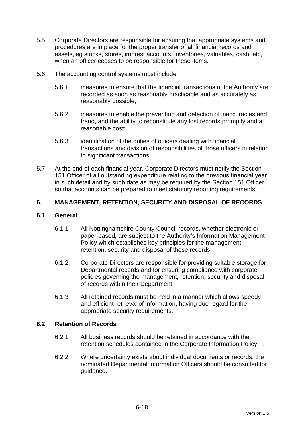- 5.5 Corporate Directors are responsible for ensuring that appropriate systems and procedures are in place for the proper transfer of all financial records and assets, eg stocks, stores, imprest accounts, inventories, valuables, cash, etc, when an officer ceases to be responsible for these items.
- 5.6 The accounting control systems must include:
	- 5.6.1 measures to ensure that the financial transactions of the Authority are recorded as soon as reasonably practicable and as accurately as reasonably possible;
	- 5.6.2 measures to enable the prevention and detection of inaccuracies and fraud, and the ability to reconstitute any lost records promptly and at reasonable cost;
	- 5.6.3 identification of the duties of officers dealing with financial transactions and division of responsibilities of those officers in relation to significant transactions.
- 5.7 At the end of each financial year, Corporate Directors must notify the Section 151 Officer of all outstanding expenditure relating to the previous financial year in such detail and by such date as may be required by the Section 151 Officer so that accounts can be prepared to meet statutory reporting requirements.

# **6. MANAGEMENT, RETENTION, SECURITY AND DISPOSAL OF RECORDS**

## **6.1 General**

- 6.1.1 All Nottinghamshire County Council records, whether electronic or paper-based, are subject to the Authority's Information Management Policy which establishes key principles for the management, retention, security and disposal of these records.
- 6.1.2 Corporate Directors are responsible for providing suitable storage for Departmental records and for ensuring compliance with corporate policies governing the management, retention, security and disposal of records within their Department.
- 6.1.3 All retained records must be held in a manner which allows speedy and efficient retrieval of information, having due regard for the appropriate security requirements.

### **6.2 Retention of Records**

- 6.2.1 All business records should be retained in accordance with the retention schedules contained in the Corporate Information Policy. .
- 6.2.2 Where uncertainty exists about individual documents or records, the nominated Departmental Information Officers should be consulted for guidance.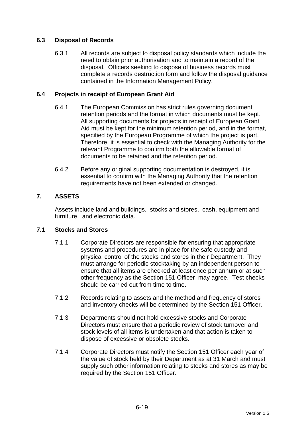# **6.3 Disposal of Records**

6.3.1 All records are subject to disposal policy standards which include the need to obtain prior authorisation and to maintain a record of the disposal. Officers seeking to dispose of business records must complete a records destruction form and follow the disposal guidance contained in the Information Management Policy.

# **6.4 Projects in receipt of European Grant Aid**

- 6.4.1 The European Commission has strict rules governing document retention periods and the format in which documents must be kept. All supporting documents for projects in receipt of European Grant Aid must be kept for the minimum retention period, and in the format, specified by the European Programme of which the project is part. Therefore, it is essential to check with the Managing Authority for the relevant Programme to confirm both the allowable format of documents to be retained and the retention period.
- 6.4.2 Before any original supporting documentation is destroyed, it is essential to confirm with the Managing Authority that the retention requirements have not been extended or changed.

# **7. ASSETS**

Assets include land and buildings, stocks and stores, cash, equipment and furniture, and electronic data.

### **7.1 Stocks and Stores**

- 7.1.1 Corporate Directors are responsible for ensuring that appropriate systems and procedures are in place for the safe custody and physical control of the stocks and stores in their Department. They must arrange for periodic stocktaking by an independent person to ensure that all items are checked at least once per annum or at such other frequency as the Section 151 Officer may agree. Test checks should be carried out from time to time.
- 7.1.2 Records relating to assets and the method and frequency of stores and inventory checks will be determined by the Section 151 Officer.
- 7.1.3 Departments should not hold excessive stocks and Corporate Directors must ensure that a periodic review of stock turnover and stock levels of all items is undertaken and that action is taken to dispose of excessive or obsolete stocks.
- 7.1.4 Corporate Directors must notify the Section 151 Officer each year of the value of stock held by their Department as at 31 March and must supply such other information relating to stocks and stores as may be required by the Section 151 Officer.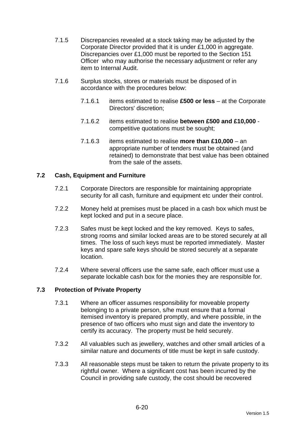- 7.1.5 Discrepancies revealed at a stock taking may be adjusted by the Corporate Director provided that it is under £1,000 in aggregate. Discrepancies over £1,000 must be reported to the Section 151 Officer who may authorise the necessary adjustment or refer any item to Internal Audit.
- 7.1.6 Surplus stocks, stores or materials must be disposed of in accordance with the procedures below:
	- 7.1.6.1 items estimated to realise **£500 or less** at the Corporate Directors' discretion;
	- 7.1.6.2 items estimated to realise **between £500 and £10,000** competitive quotations must be sought;
	- 7.1.6.3 items estimated to realise **more than £10,000** an appropriate number of tenders must be obtained (and retained) to demonstrate that best value has been obtained from the sale of the assets.

# **7.2 Cash, Equipment and Furniture**

- 7.2.1 Corporate Directors are responsible for maintaining appropriate security for all cash, furniture and equipment etc under their control.
- 7.2.2 Money held at premises must be placed in a cash box which must be kept locked and put in a secure place.
- 7.2.3 Safes must be kept locked and the key removed. Keys to safes, strong rooms and similar locked areas are to be stored securely at all times. The loss of such keys must be reported immediately. Master keys and spare safe keys should be stored securely at a separate location.
- 7.2.4 Where several officers use the same safe, each officer must use a separate lockable cash box for the monies they are responsible for.

### **7.3 Protection of Private Property**

- 7.3.1 Where an officer assumes responsibility for moveable property belonging to a private person, s/he must ensure that a formal itemised inventory is prepared promptly, and where possible, in the presence of two officers who must sign and date the inventory to certify its accuracy. The property must be held securely.
- 7.3.2 All valuables such as jewellery, watches and other small articles of a similar nature and documents of title must be kept in safe custody.
- 7.3.3 All reasonable steps must be taken to return the private property to its rightful owner. Where a significant cost has been incurred by the Council in providing safe custody, the cost should be recovered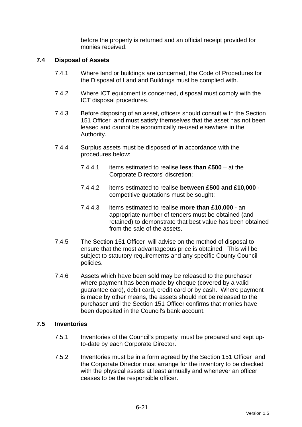before the property is returned and an official receipt provided for monies received.

#### **7.4 Disposal of Assets**

- 7.4.1 Where land or buildings are concerned, the Code of Procedures for the Disposal of Land and Buildings must be complied with.
- 7.4.2 Where ICT equipment is concerned, disposal must comply with the ICT disposal procedures.
- 7.4.3 Before disposing of an asset, officers should consult with the Section 151 Officer and must satisfy themselves that the asset has not been leased and cannot be economically re-used elsewhere in the Authority.
- 7.4.4 Surplus assets must be disposed of in accordance with the procedures below:
	- 7.4.4.1 items estimated to realise **less than £500** at the Corporate Directors' discretion;
	- 7.4.4.2 items estimated to realise **between £500 and £10,000** competitive quotations must be sought;
	- 7.4.4.3 items estimated to realise **more than £10,000** an appropriate number of tenders must be obtained (and retained) to demonstrate that best value has been obtained from the sale of the assets.
- 7.4.5 The Section 151 Officer will advise on the method of disposal to ensure that the most advantageous price is obtained. This will be subject to statutory requirements and any specific County Council policies.
- 7.4.6 Assets which have been sold may be released to the purchaser where payment has been made by cheque (covered by a valid guarantee card), debit card, credit card or by cash. Where payment is made by other means, the assets should not be released to the purchaser until the Section 151 Officer confirms that monies have been deposited in the Council's bank account.

#### **7.5 Inventories**

- 7.5.1 Inventories of the Council's property must be prepared and kept upto-date by each Corporate Director.
- 7.5.2 Inventories must be in a form agreed by the Section 151 Officer and the Corporate Director must arrange for the inventory to be checked with the physical assets at least annually and whenever an officer ceases to be the responsible officer.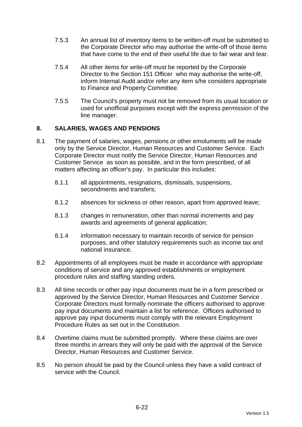- 7.5.3 An annual list of inventory items to be written-off must be submitted to the Corporate Director who may authorise the write-off of those items that have come to the end of their useful life due to fair wear and tear.
- 7.5.4 All other items for write-off must be reported by the Corporate Director to the Section 151 Officer who may authorise the write-off, inform Internal Audit and/or refer any item s/he considers appropriate to Finance and Property Committee.
- 7.5.5 The Council's property must not be removed from its usual location or used for unofficial purposes except with the express permission of the line manager.

# **8. SALARIES, WAGES AND PENSIONS**

- 8.1 The payment of salaries, wages, pensions or other emoluments will be made only by the Service Director, Human Resources and Customer Service. Each Corporate Director must notify the Service Director, Human Resources and Customer Service as soon as possible, and in the form prescribed, of all matters affecting an officer's pay. In particular this includes:
	- 8.1.1 all appointments, resignations, dismissals, suspensions, secondments and transfers;
	- 8.1.2 absences for sickness or other reason, apart from approved leave;
	- 8.1.3 changes in remuneration, other than normal increments and pay awards and agreements of general application;
	- 8.1.4 information necessary to maintain records of service for pension purposes, and other statutory requirements such as income tax and national insurance.
- 8.2 Appointments of all employees must be made in accordance with appropriate conditions of service and any approved establishments or employment procedure rules and staffing standing orders.
- 8.3 All time records or other pay input documents must be in a form prescribed or approved by the Service Director, Human Resources and Customer Service . Corporate Directors must formally nominate the officers authorised to approve pay input documents and maintain a list for reference. Officers authorised to approve pay input documents must comply with the relevant Employment Procedure Rules as set out in the Constitution.
- 8.4 Overtime claims must be submitted promptly. Where these claims are over three months in arrears they will only be paid with the approval of the Service Director, Human Resources and Customer Service.
- 8.5 No person should be paid by the Council unless they have a valid contract of service with the Council.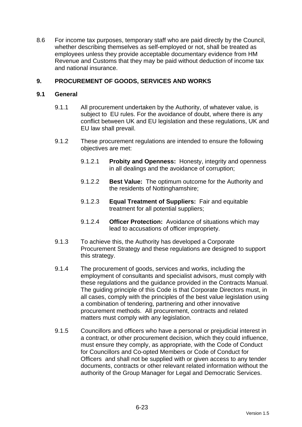8.6 For income tax purposes, temporary staff who are paid directly by the Council, whether describing themselves as self-employed or not, shall be treated as employees unless they provide acceptable documentary evidence from HM Revenue and Customs that they may be paid without deduction of income tax and national insurance.

# **9. PROCUREMENT OF GOODS, SERVICES AND WORKS**

### **9.1 General**

- 9.1.1 All procurement undertaken by the Authority, of whatever value, is subject to EU rules. For the avoidance of doubt, where there is any conflict between UK and EU legislation and these regulations, UK and EU law shall prevail.
- 9.1.2 These procurement regulations are intended to ensure the following objectives are met:
	- 9.1.2.1 **Probity and Openness:** Honesty, integrity and openness in all dealings and the avoidance of corruption;
	- 9.1.2.2 **Best Value:** The optimum outcome for the Authority and the residents of Nottinghamshire;
	- 9.1.2.3 **Equal Treatment of Suppliers:** Fair and equitable treatment for all potential suppliers;
	- 9.1.2.4 **Officer Protection:** Avoidance of situations which may lead to accusations of officer impropriety.
- 9.1.3 To achieve this, the Authority has developed a Corporate Procurement Strategy and these regulations are designed to support this strategy.
- 9.1.4 The procurement of goods, services and works, including the employment of consultants and specialist advisors, must comply with these regulations and the guidance provided in the Contracts Manual. The guiding principle of this Code is that Corporate Directors must, in all cases, comply with the principles of the best value legislation using a combination of tendering, partnering and other innovative procurement methods. All procurement, contracts and related matters must comply with any legislation.
- 9.1.5 Councillors and officers who have a personal or prejudicial interest in a contract, or other procurement decision, which they could influence, must ensure they comply, as appropriate, with the Code of Conduct for Councillors and Co-opted Members or Code of Conduct for Officers and shall not be supplied with or given access to any tender documents, contracts or other relevant related information without the authority of the Group Manager for Legal and Democratic Services.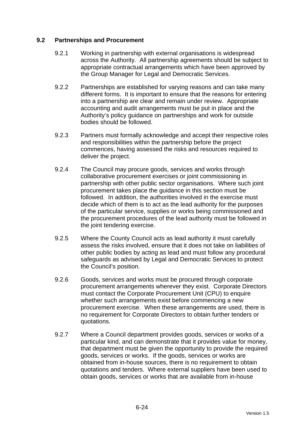## **9.2 Partnerships and Procurement**

- 9.2.1 Working in partnership with external organisations is widespread across the Authority. All partnership agreements should be subject to appropriate contractual arrangements which have been approved by the Group Manager for Legal and Democratic Services.
- 9.2.2 Partnerships are established for varying reasons and can take many different forms. It is important to ensure that the reasons for entering into a partnership are clear and remain under review. Appropriate accounting and audit arrangements must be put in place and the Authority's policy guidance on partnerships and work for outside bodies should be followed.
- 9.2.3 Partners must formally acknowledge and accept their respective roles and responsibilities within the partnership before the project commences, having assessed the risks and resources required to deliver the project.
- 9.2.4 The Council may procure goods, services and works through collaborative procurement exercises or joint commissioning in partnership with other public sector organisations. Where such joint procurement takes place the guidance in this section must be followed. In addition, the authorities involved in the exercise must decide which of them is to act as the lead authority for the purposes of the particular service, supplies or works being commissioned and the procurement procedures of the lead authority must be followed in the joint tendering exercise.
- 9.2.5 Where the County Council acts as lead authority it must carefully assess the risks involved, ensure that it does not take on liabilities of other public bodies by acting as lead and must follow any procedural safeguards as advised by Legal and Democratic Services to protect the Council's position.
- 9.2.6 Goods, services and works must be procured through corporate procurement arrangements wherever they exist. Corporate Directors must contact the Corporate Procurement Unit (CPU) to enquire whether such arrangements exist before commencing a new procurement exercise. When these arrangements are used, there is no requirement for Corporate Directors to obtain further tenders or quotations.
- 9.2.7 Where a Council department provides goods, services or works of a particular kind, and can demonstrate that it provides value for money, that department must be given the opportunity to provide the required goods, services or works. If the goods, services or works are obtained from in-house sources, there is no requirement to obtain quotations and tenders. Where external suppliers have been used to obtain goods, services or works that are available from in-house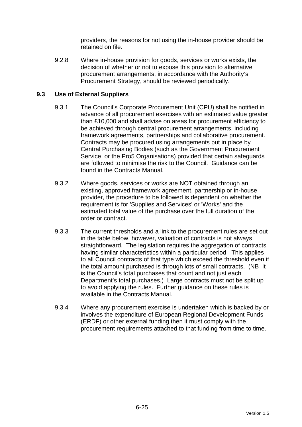providers, the reasons for not using the in-house provider should be retained on file.

9.2.8 Where in-house provision for goods, services or works exists, the decision of whether or not to expose this provision to alternative procurement arrangements, in accordance with the Authority's Procurement Strategy, should be reviewed periodically.

# **9.3 Use of External Suppliers**

- 9.3.1 The Council's Corporate Procurement Unit (CPU) shall be notified in advance of all procurement exercises with an estimated value greater than £10,000 and shall advise on areas for procurement efficiency to be achieved through central procurement arrangements, including framework agreements, partnerships and collaborative procurement. Contracts may be procured using arrangements put in place by Central Purchasing Bodies (such as the Government Procurement Service or the Pro5 Organisations) provided that certain safeguards are followed to minimise the risk to the Council. Guidance can be found in the Contracts Manual.
- 9.3.2 Where goods, services or works are NOT obtained through an existing, approved framework agreement, partnership or in-house provider, the procedure to be followed is dependent on whether the requirement is for 'Supplies and Services' or 'Works' and the estimated total value of the purchase over the full duration of the order or contract.
- 9.3.3 The current thresholds and a link to the procurement rules are set out in the table below, however, valuation of contracts is not always straightforward. The legislation requires the aggregation of contracts having similar characteristics within a particular period. This applies to all Council contracts of that type which exceed the threshold even if the total amount purchased is through lots of small contracts. (NB It is the Council's total purchases that count and not just each Department's total purchases.) Large contracts must not be split up to avoid applying the rules. Further guidance on these rules is available in the Contracts Manual.
- 9.3.4 Where any procurement exercise is undertaken which is backed by or involves the expenditure of European Regional Development Funds (ERDF) or other external funding then it must comply with the procurement requirements attached to that funding from time to time.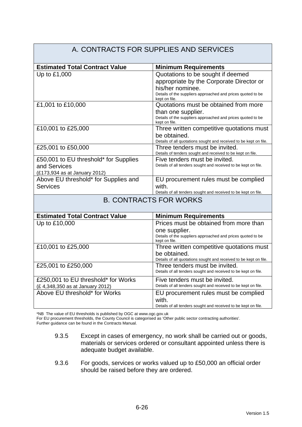#### A. CONTRACTS FOR SUPPLIES AND SERVICES **Estimated Total Contract Value | Minimum Requirements** Up to £1,000  $\vert$  Quotations to be sought if deemed appropriate by the Corporate Director or his/her nominee. Details of the suppliers approached and prices quoted to be kept on file. £1,001 to £10,000 Quotations must be obtained from more than one supplier. Details of the suppliers approached and prices quoted to be kept on file. £10,001 to £25,000 Three written competitive quotations must be obtained. Details of all quotations sought and received to be kept on file. £25,001 to £50,000 Three tenders must be invited. Details of tenders sought and received to be kept on file. £50,001 to EU threshold\* for Supplies and Services (£173,934 as at January 2012) Five tenders must be invited. Details of all tenders sought and received to be kept on file. Above EU threshold\* for Supplies and **Services** EU procurement rules must be complied with. Details of all tenders sought and received to be kept on file. B. CONTRACTS FOR WORKS **Estimated Total Contract Value Minimum Requirements** Up to £10,000 Prices must be obtained from more than one supplier. Details of the suppliers approached and prices quoted to be kept on file. £10,001 to £25,000 Three written competitive quotations must be obtained. Details of all quotations sought and received to be kept on file. £25,001 to £250,000 Three tenders must be invited. Details of all tenders sought and received to be kept on file. £250,001 to EU threshold\* for Works (£ 4,348,350 as at January 2012) Five tenders must be invited. Details of all tenders sought and received to be kept on file. Above EU threshold\* for Works **EU** procurement rules must be complied with. Details of all tenders sought and received to be kept on file.

\*NB The value of EU thresholds is published by OGC at www.ogc.gov.uk

For EU procurement thresholds, the County Council is categorised as 'Other public sector contracting authorities'.

Further guidance can be found in the Contracts Manual.

- 9.3.5 Except in cases of emergency, no work shall be carried out or goods, materials or services ordered or consultant appointed unless there is adequate budget available.
- 9.3.6 For goods, services or works valued up to £50,000 an official order should be raised before they are ordered.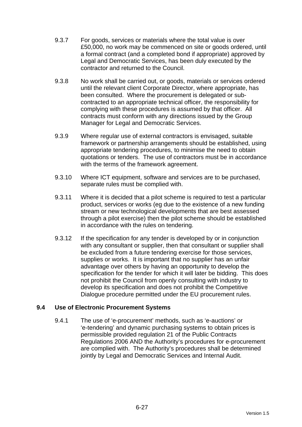- 9.3.7 For goods, services or materials where the total value is over £50,000, no work may be commenced on site or goods ordered, until a formal contract (and a completed bond if appropriate) approved by Legal and Democratic Services, has been duly executed by the contractor and returned to the Council.
- 9.3.8 No work shall be carried out, or goods, materials or services ordered until the relevant client Corporate Director, where appropriate, has been consulted. Where the procurement is delegated or subcontracted to an appropriate technical officer, the responsibility for complying with these procedures is assumed by that officer. All contracts must conform with any directions issued by the Group Manager for Legal and Democratic Services.
- 9.3.9 Where regular use of external contractors is envisaged, suitable framework or partnership arrangements should be established, using appropriate tendering procedures, to minimise the need to obtain quotations or tenders. The use of contractors must be in accordance with the terms of the framework agreement.
- 9.3.10 Where ICT equipment, software and services are to be purchased, separate rules must be complied with.
- 9.3.11 Where it is decided that a pilot scheme is required to test a particular product, services or works (eg due to the existence of a new funding stream or new technological developments that are best assessed through a pilot exercise) then the pilot scheme should be established in accordance with the rules on tendering.
- 9.3.12 If the specification for any tender is developed by or in conjunction with any consultant or supplier, then that consultant or supplier shall be excluded from a future tendering exercise for those services, supplies or works. It is important that no supplier has an unfair advantage over others by having an opportunity to develop the specification for the tender for which it will later be bidding. This does not prohibit the Council from openly consulting with industry to develop its specification and does not prohibit the Competitive Dialogue procedure permitted under the EU procurement rules.

### **9.4 Use of Electronic Procurement Systems**

9.4.1 The use of 'e-procurement' methods, such as 'e-auctions' or 'e-tendering' and dynamic purchasing systems to obtain prices is permissible provided regulation 21 of the Public Contracts Regulations 2006 AND the Authority's procedures for e-procurement are complied with. The Authority's procedures shall be determined jointly by Legal and Democratic Services and Internal Audit.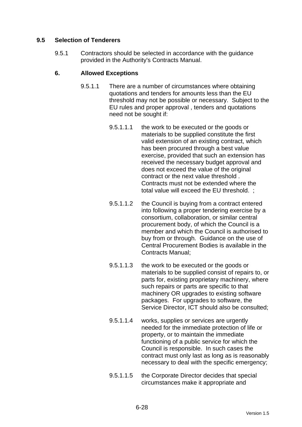# **9.5 Selection of Tenderers**

9.5.1 Contractors should be selected in accordance with the guidance provided in the Authority's Contracts Manual.

### **6. Allowed Exceptions**

- 9.5.1.1 There are a number of circumstances where obtaining quotations and tenders for amounts less than the EU threshold may not be possible or necessary. Subject to the EU rules and proper approval , tenders and quotations need not be sought if:
	- 9.5.1.1.1 the work to be executed or the goods or materials to be supplied constitute the first valid extension of an existing contract, which has been procured through a best value exercise, provided that such an extension has received the necessary budget approval and does not exceed the value of the original contract or the next value threshold . Contracts must not be extended where the total value will exceed the EU threshold. ;
	- 9.5.1.1.2 the Council is buying from a contract entered into following a proper tendering exercise by a consortium, collaboration, or similar central procurement body, of which the Council is a member and which the Council is authorised to buy from or through. Guidance on the use of Central Procurement Bodies is available in the Contracts Manual;
	- 9.5.1.1.3 the work to be executed or the goods or materials to be supplied consist of repairs to, or parts for, existing proprietary machinery, where such repairs or parts are specific to that machinery OR upgrades to existing software packages. For upgrades to software, the Service Director, ICT should also be consulted;
	- 9.5.1.1.4 works, supplies or services are urgently needed for the immediate protection of life or property, or to maintain the immediate functioning of a public service for which the Council is responsible. In such cases the contract must only last as long as is reasonably necessary to deal with the specific emergency;
	- 9.5.1.1.5 the Corporate Director decides that special circumstances make it appropriate and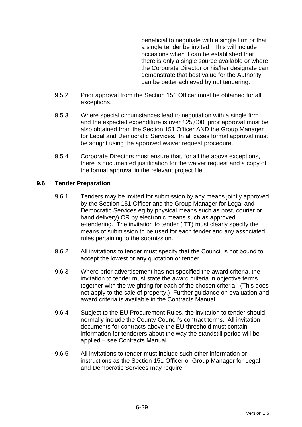beneficial to negotiate with a single firm or that a single tender be invited. This will include occasions when it can be established that there is only a single source available or where the Corporate Director or his/her designate can demonstrate that best value for the Authority can be better achieved by not tendering.

- 9.5.2 Prior approval from the Section 151 Officer must be obtained for all exceptions.
- 9.5.3 Where special circumstances lead to negotiation with a single firm and the expected expenditure is over £25,000, prior approval must be also obtained from the Section 151 Officer AND the Group Manager for Legal and Democratic Services. In all cases formal approval must be sought using the approved waiver request procedure.
- 9.5.4 Corporate Directors must ensure that, for all the above exceptions, there is documented justification for the waiver request and a copy of the formal approval in the relevant project file.

### **9.6 Tender Preparation**

- 9.6.1 Tenders may be invited for submission by any means jointly approved by the Section 151 Officer and the Group Manager for Legal and Democratic Services eg by physical means such as post, courier or hand delivery) OR by electronic means such as approved e-tendering. The invitation to tender (ITT) must clearly specify the means of submission to be used for each tender and any associated rules pertaining to the submission.
- 9.6.2 All invitations to tender must specify that the Council is not bound to accept the lowest or any quotation or tender.
- 9.6.3 Where prior advertisement has not specified the award criteria, the invitation to tender must state the award criteria in objective terms together with the weighting for each of the chosen criteria. (This does not apply to the sale of property.) Further guidance on evaluation and award criteria is available in the Contracts Manual.
- 9.6.4 Subject to the EU Procurement Rules, the invitation to tender should normally include the County Council's contract terms. All invitation documents for contracts above the EU threshold must contain information for tenderers about the way the standstill period will be applied – see Contracts Manual.
- 9.6.5 All invitations to tender must include such other information or instructions as the Section 151 Officer or Group Manager for Legal and Democratic Services may require.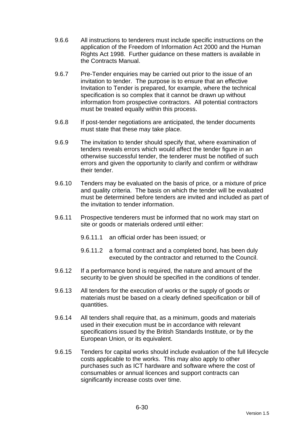- 9.6.6 All instructions to tenderers must include specific instructions on the application of the Freedom of Information Act 2000 and the Human Rights Act 1998. Further guidance on these matters is available in the Contracts Manual.
- 9.6.7 Pre-Tender enquiries may be carried out prior to the issue of an invitation to tender. The purpose is to ensure that an effective Invitation to Tender is prepared, for example, where the technical specification is so complex that it cannot be drawn up without information from prospective contractors. All potential contractors must be treated equally within this process.
- 9.6.8 If post-tender negotiations are anticipated, the tender documents must state that these may take place.
- 9.6.9 The invitation to tender should specify that, where examination of tenders reveals errors which would affect the tender figure in an otherwise successful tender, the tenderer must be notified of such errors and given the opportunity to clarify and confirm or withdraw their tender.
- 9.6.10 Tenders may be evaluated on the basis of price, or a mixture of price and quality criteria. The basis on which the tender will be evaluated must be determined before tenders are invited and included as part of the invitation to tender information.
- 9.6.11 Prospective tenderers must be informed that no work may start on site or goods or materials ordered until either:
	- 9.6.11.1 an official order has been issued; or
	- 9.6.11.2 a formal contract and a completed bond, has been duly executed by the contractor and returned to the Council.
- 9.6.12 If a performance bond is required, the nature and amount of the security to be given should be specified in the conditions of tender.
- 9.6.13 All tenders for the execution of works or the supply of goods or materials must be based on a clearly defined specification or bill of quantities.
- 9.6.14 All tenders shall require that, as a minimum, goods and materials used in their execution must be in accordance with relevant specifications issued by the British Standards Institute, or by the European Union, or its equivalent.
- 9.6.15 Tenders for capital works should include evaluation of the full lifecycle costs applicable to the works. This may also apply to other purchases such as ICT hardware and software where the cost of consumables or annual licences and support contracts can significantly increase costs over time.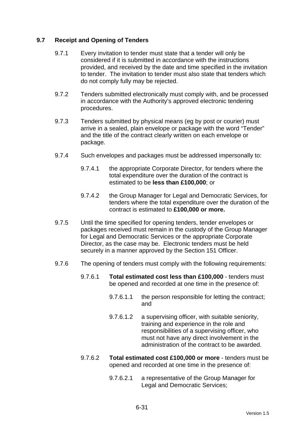# **9.7 Receipt and Opening of Tenders**

- 9.7.1 Every invitation to tender must state that a tender will only be considered if it is submitted in accordance with the instructions provided, and received by the date and time specified in the invitation to tender. The invitation to tender must also state that tenders which do not comply fully may be rejected.
- 9.7.2 Tenders submitted electronically must comply with, and be processed in accordance with the Authority's approved electronic tendering procedures.
- 9.7.3 Tenders submitted by physical means (eg by post or courier) must arrive in a sealed, plain envelope or package with the word "Tender" and the title of the contract clearly written on each envelope or package.
- 9.7.4 Such envelopes and packages must be addressed impersonally to:
	- 9.7.4.1 the appropriate Corporate Director, for tenders where the total expenditure over the duration of the contract is estimated to be **less than £100,000**; or
	- 9.7.4.2 the Group Manager for Legal and Democratic Services, for tenders where the total expenditure over the duration of the contract is estimated to **£100,000 or more.**
- 9.7.5 Until the time specified for opening tenders, tender envelopes or packages received must remain in the custody of the Group Manager for Legal and Democratic Services or the appropriate Corporate Director, as the case may be. Electronic tenders must be held securely in a manner approved by the Section 151 Officer.
- 9.7.6 The opening of tenders must comply with the following requirements:
	- 9.7.6.1 **Total estimated cost less than £100,000** tenders must be opened and recorded at one time in the presence of:
		- 9.7.6.1.1 the person responsible for letting the contract; and
		- 9.7.6.1.2 a supervising officer, with suitable seniority, training and experience in the role and responsibilities of a supervising officer, who must not have any direct involvement in the administration of the contract to be awarded.
	- 9.7.6.2 **Total estimated cost £100,000 or more** tenders must be opened and recorded at one time in the presence of:
		- 9.7.6.2.1 a representative of the Group Manager for Legal and Democratic Services;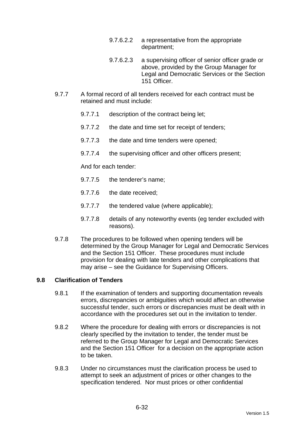- 9.7.6.2.2 a representative from the appropriate department;
- 9.7.6.2.3 a supervising officer of senior officer grade or above, provided by the Group Manager for Legal and Democratic Services or the Section 151 Officer.
- 9.7.7 A formal record of all tenders received for each contract must be retained and must include:
	- 9.7.7.1 description of the contract being let;
	- 9.7.7.2 the date and time set for receipt of tenders;
	- 9.7.7.3 the date and time tenders were opened;
	- 9.7.7.4 the supervising officer and other officers present;

And for each tender:

- 9.7.7.5 the tenderer's name;
- 9.7.7.6 the date received;
- 9.7.7.7 the tendered value (where applicable);
- 9.7.7.8 details of any noteworthy events (eg tender excluded with reasons).
- 9.7.8 The procedures to be followed when opening tenders will be determined by the Group Manager for Legal and Democratic Services and the Section 151 Officer. These procedures must include provision for dealing with late tenders and other complications that may arise – see the Guidance for Supervising Officers.

### **9.8 Clarification of Tenders**

- 9.8.1 If the examination of tenders and supporting documentation reveals errors, discrepancies or ambiguities which would affect an otherwise successful tender, such errors or discrepancies must be dealt with in accordance with the procedures set out in the invitation to tender.
- 9.8.2 Where the procedure for dealing with errors or discrepancies is not clearly specified by the invitation to tender, the tender must be referred to the Group Manager for Legal and Democratic Services and the Section 151 Officer for a decision on the appropriate action to be taken.
- 9.8.3 Under no circumstances must the clarification process be used to attempt to seek an adjustment of prices or other changes to the specification tendered. Nor must prices or other confidential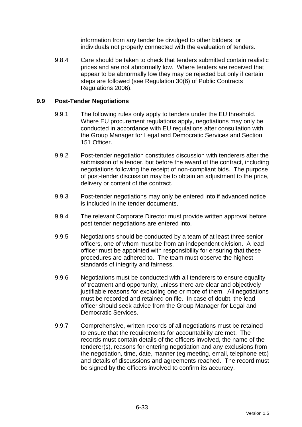information from any tender be divulged to other bidders, or individuals not properly connected with the evaluation of tenders.

9.8.4 Care should be taken to check that tenders submitted contain realistic prices and are not abnormally low. Where tenders are received that appear to be abnormally low they may be rejected but only if certain steps are followed (see Regulation 30(6) of Public Contracts Regulations 2006).

## **9.9 Post-Tender Negotiations**

- 9.9.1 The following rules only apply to tenders under the EU threshold. Where EU procurement regulations apply, negotiations may only be conducted in accordance with EU regulations after consultation with the Group Manager for Legal and Democratic Services and Section 151 Officer.
- 9.9.2 Post-tender negotiation constitutes discussion with tenderers after the submission of a tender, but before the award of the contract, including negotiations following the receipt of non-compliant bids. The purpose of post-tender discussion may be to obtain an adjustment to the price, delivery or content of the contract.
- 9.9.3 Post-tender negotiations may only be entered into if advanced notice is included in the tender documents.
- 9.9.4 The relevant Corporate Director must provide written approval before post tender negotiations are entered into.
- 9.9.5 Negotiations should be conducted by a team of at least three senior officers, one of whom must be from an independent division. A lead officer must be appointed with responsibility for ensuring that these procedures are adhered to. The team must observe the highest standards of integrity and fairness.
- 9.9.6 Negotiations must be conducted with all tenderers to ensure equality of treatment and opportunity, unless there are clear and objectively justifiable reasons for excluding one or more of them. All negotiations must be recorded and retained on file. In case of doubt, the lead officer should seek advice from the Group Manager for Legal and Democratic Services.
- 9.9.7 Comprehensive, written records of all negotiations must be retained to ensure that the requirements for accountability are met. The records must contain details of the officers involved, the name of the tenderer(s), reasons for entering negotiation and any exclusions from the negotiation, time, date, manner (eg meeting, email, telephone etc) and details of discussions and agreements reached. The record must be signed by the officers involved to confirm its accuracy.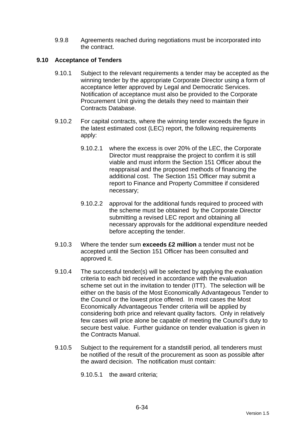9.9.8 Agreements reached during negotiations must be incorporated into the contract.

# **9.10 Acceptance of Tenders**

- 9.10.1 Subject to the relevant requirements a tender may be accepted as the winning tender by the appropriate Corporate Director using a form of acceptance letter approved by Legal and Democratic Services. Notification of acceptance must also be provided to the Corporate Procurement Unit giving the details they need to maintain their Contracts Database.
- 9.10.2 For capital contracts, where the winning tender exceeds the figure in the latest estimated cost (LEC) report, the following requirements apply:
	- 9.10.2.1 where the excess is over 20% of the LEC, the Corporate Director must reappraise the project to confirm it is still viable and must inform the Section 151 Officer about the reappraisal and the proposed methods of financing the additional cost. The Section 151 Officer may submit a report to Finance and Property Committee if considered necessary;
	- 9.10.2.2 approval for the additional funds required to proceed with the scheme must be obtained by the Corporate Director submitting a revised LEC report and obtaining all necessary approvals for the additional expenditure needed before accepting the tender.
- 9.10.3 Where the tender sum **exceeds £2 million** a tender must not be accepted until the Section 151 Officer has been consulted and approved it.
- 9.10.4 The successful tender(s) will be selected by applying the evaluation criteria to each bid received in accordance with the evaluation scheme set out in the invitation to tender (ITT). The selection will be either on the basis of the Most Economically Advantageous Tender to the Council or the lowest price offered. In most cases the Most Economically Advantageous Tender criteria will be applied by considering both price and relevant quality factors. Only in relatively few cases will price alone be capable of meeting the Council's duty to secure best value. Further guidance on tender evaluation is given in the Contracts Manual.
- 9.10.5 Subject to the requirement for a standstill period, all tenderers must be notified of the result of the procurement as soon as possible after the award decision. The notification must contain:

9.10.5.1 the award criteria;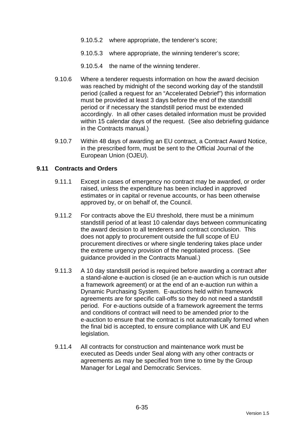- 9.10.5.2 where appropriate, the tenderer's score;
- 9.10.5.3 where appropriate, the winning tenderer's score;
- 9.10.5.4 the name of the winning tenderer.
- 9.10.6 Where a tenderer requests information on how the award decision was reached by midnight of the second working day of the standstill period (called a request for an "Accelerated Debrief") this information must be provided at least 3 days before the end of the standstill period or if necessary the standstill period must be extended accordingly. In all other cases detailed information must be provided within 15 calendar days of the request. (See also debriefing quidance in the Contracts manual.)
- 9.10.7 Within 48 days of awarding an EU contract, a Contract Award Notice, in the prescribed form, must be sent to the Official Journal of the European Union (OJEU).

#### **9.11 Contracts and Orders**

- 9.11.1 Except in cases of emergency no contract may be awarded, or order raised, unless the expenditure has been included in approved estimates or in capital or revenue accounts, or has been otherwise approved by, or on behalf of, the Council.
- 9.11.2 For contracts above the EU threshold, there must be a minimum standstill period of at least 10 calendar days between communicating the award decision to all tenderers and contract conclusion. This does not apply to procurement outside the full scope of EU procurement directives or where single tendering takes place under the extreme urgency provision of the negotiated process. (See guidance provided in the Contracts Manual.)
- 9.11.3 A 10 day standstill period is required before awarding a contract after a stand-alone e-auction is closed (ie an e-auction which is run outside a framework agreement) or at the end of an e-auction run within a Dynamic Purchasing System. E-auctions held within framework agreements are for specific call-offs so they do not need a standstill period. For e-auctions outside of a framework agreement the terms and conditions of contract will need to be amended prior to the e-auction to ensure that the contract is not automatically formed when the final bid is accepted, to ensure compliance with UK and EU legislation.
- 9.11.4 All contracts for construction and maintenance work must be executed as Deeds under Seal along with any other contracts or agreements as may be specified from time to time by the Group Manager for Legal and Democratic Services.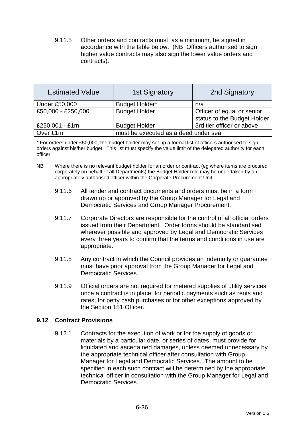9.11.5 Other orders and contracts must, as a minimum, be signed in accordance with the table below. (NB Officers authorised to sign higher value contracts may also sign the lower value orders and contracts):

| <b>Estimated Value</b> | <b>1st Signatory</b>                  | 2nd Signatory                                             |
|------------------------|---------------------------------------|-----------------------------------------------------------|
| <b>Under £50,000</b>   | Budget Holder*                        | n/a                                                       |
| £50,000 - £250,000     | <b>Budget Holder</b>                  | Officer of equal or senior<br>status to the Budget Holder |
| £250,001 - £1m         | <b>Budget Holder</b>                  | 3rd tier officer or above                                 |
| Over £1m               | must be executed as a deed under seal |                                                           |

\* For orders under £50,000, the budget holder may set up a formal list of officers authorised to sign orders against his/her budget. This list must specify the value limit of the delegated authority for each officer.

- NB Where there is no relevant budget holder for an order or contract (eg where items are procured corporately on behalf of all Departments) the Budget Holder role may be undertaken by an appropriately authorised officer within the Corporate Procurement Unit.
	- 9.11.6 All tender and contract documents and orders must be in a form drawn up or approved by the Group Manager for Legal and Democratic Services and Group Manager Procurement.
	- 9.11.7 Corporate Directors are responsible for the control of all official orders issued from their Department. Order forms should be standardised wherever possible and approved by Legal and Democratic Services every three years to confirm that the terms and conditions in use are appropriate.
	- 9.11.8 Any contract in which the Council provides an indemnity or guarantee must have prior approval from the Group Manager for Legal and Democratic Services.
	- 9.11.9 Official orders are not required for metered supplies of utility services once a contract is in place; for periodic payments such as rents and rates; for petty cash purchases or for other exceptions approved by the Section 151 Officer.

### **9.12 Contract Provisions**

9.12.1 Contracts for the execution of work or for the supply of goods or materials by a particular date, or series of dates, must provide for liquidated and ascertained damages, unless deemed unnecessary by the appropriate technical officer after consultation with Group Manager for Legal and Democratic Services. The amount to be specified in each such contract will be determined by the appropriate technical officer in consultation with the Group Manager for Legal and Democratic Services.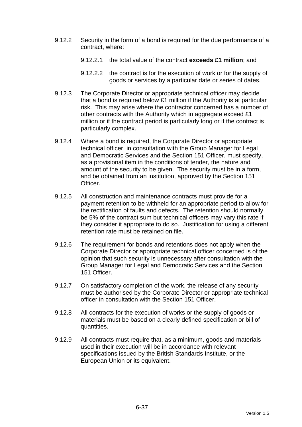- 9.12.2 Security in the form of a bond is required for the due performance of a contract, where:
	- 9.12.2.1 the total value of the contract **exceeds £1 million**; and
	- 9.12.2.2 the contract is for the execution of work or for the supply of goods or services by a particular date or series of dates.
- 9.12.3 The Corporate Director or appropriate technical officer may decide that a bond is required below £1 million if the Authority is at particular risk. This may arise where the contractor concerned has a number of other contracts with the Authority which in aggregate exceed £1 million or if the contract period is particularly long or if the contract is particularly complex.
- 9.12.4 Where a bond is required, the Corporate Director or appropriate technical officer, in consultation with the Group Manager for Legal and Democratic Services and the Section 151 Officer, must specify, as a provisional item in the conditions of tender, the nature and amount of the security to be given. The security must be in a form, and be obtained from an institution, approved by the Section 151 Officer.
- 9.12.5 All construction and maintenance contracts must provide for a payment retention to be withheld for an appropriate period to allow for the rectification of faults and defects. The retention should normally be 5% of the contract sum but technical officers may vary this rate if they consider it appropriate to do so. Justification for using a different retention rate must be retained on file.
- 9.12.6 The requirement for bonds and retentions does not apply when the Corporate Director or appropriate technical officer concerned is of the opinion that such security is unnecessary after consultation with the Group Manager for Legal and Democratic Services and the Section 151 Officer.
- 9.12.7 On satisfactory completion of the work, the release of any security must be authorised by the Corporate Director or appropriate technical officer in consultation with the Section 151 Officer.
- 9.12.8 All contracts for the execution of works or the supply of goods or materials must be based on a clearly defined specification or bill of quantities.
- 9.12.9 All contracts must require that, as a minimum, goods and materials used in their execution will be in accordance with relevant specifications issued by the British Standards Institute, or the European Union or its equivalent.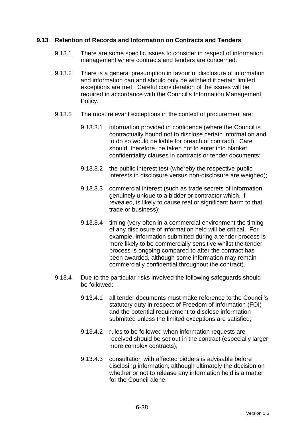### **9.13 Retention of Records and Information on Contracts and Tenders**

- 9.13.1 There are some specific issues to consider in respect of information management where contracts and tenders are concerned.
- 9.13.2 There is a general presumption in favour of disclosure of information and information can and should only be withheld if certain limited exceptions are met. Careful consideration of the issues will be required in accordance with the Council's Information Management Policy.
- 9.13.3 The most relevant exceptions in the context of procurement are:
	- 9.13.3.1 information provided in confidence (where the Council is contractually bound not to disclose certain information and to do so would be liable for breach of contract). Care should, therefore, be taken not to enter into blanket confidentiality clauses in contracts or tender documents;
	- 9.13.3.2 the public interest test (whereby the respective public interests in disclosure versus non-disclosure are weighed);
	- 9.13.3.3 commercial interest (such as trade secrets of information genuinely unique to a bidder or contractor which, if revealed, is likely to cause real or significant harm to that trade or business);
	- 9.13.3.4 timing (very often in a commercial environment the timing of any disclosure of information held will be critical. For example, information submitted during a tender process is more likely to be commercially sensitive whilst the tender process is ongoing compared to after the contract has been awarded, although some information may remain commercially confidential throughout the contract).
- 9.13.4 Due to the particular risks involved the following safeguards should be followed:
	- 9.13.4.1 all tender documents must make reference to the Council's statutory duty in respect of Freedom of Information (FOI) and the potential requirement to disclose information submitted unless the limited exceptions are satisfied;
	- 9.13.4.2 rules to be followed when information requests are received should be set out in the contract (especially larger more complex contracts);
	- 9.13.4.3 consultation with affected bidders is advisable before disclosing information, although ultimately the decision on whether or not to release any information held is a matter for the Council alone.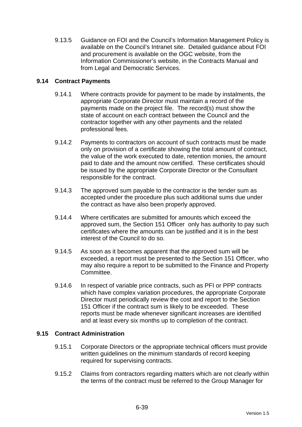9.13.5 Guidance on FOI and the Council's Information Management Policy is available on the Council's Intranet site. Detailed guidance about FOI and procurement is available on the OGC website, from the Information Commissioner's website, in the Contracts Manual and from Legal and Democratic Services.

# **9.14 Contract Payments**

- 9.14.1 Where contracts provide for payment to be made by instalments, the appropriate Corporate Director must maintain a record of the payments made on the project file. The record(s) must show the state of account on each contract between the Council and the contractor together with any other payments and the related professional fees.
- 9.14.2 Payments to contractors on account of such contracts must be made only on provision of a certificate showing the total amount of contract, the value of the work executed to date, retention monies, the amount paid to date and the amount now certified. These certificates should be issued by the appropriate Corporate Director or the Consultant responsible for the contract.
- 9.14.3 The approved sum payable to the contractor is the tender sum as accepted under the procedure plus such additional sums due under the contract as have also been properly approved.
- 9.14.4 Where certificates are submitted for amounts which exceed the approved sum, the Section 151 Officer only has authority to pay such certificates where the amounts can be justified and it is in the best interest of the Council to do so.
- 9.14.5 As soon as it becomes apparent that the approved sum will be exceeded, a report must be presented to the Section 151 Officer, who may also require a report to be submitted to the Finance and Property Committee.
- 9.14.6 In respect of variable price contracts, such as PFI or PPP contracts which have complex variation procedures, the appropriate Corporate Director must periodically review the cost and report to the Section 151 Officer if the contract sum is likely to be exceeded. These reports must be made whenever significant increases are identified and at least every six months up to completion of the contract.

### **9.15 Contract Administration**

- 9.15.1 Corporate Directors or the appropriate technical officers must provide written guidelines on the minimum standards of record keeping required for supervising contracts.
- 9.15.2 Claims from contractors regarding matters which are not clearly within the terms of the contract must be referred to the Group Manager for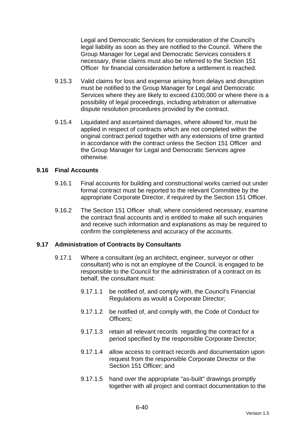Legal and Democratic Services for consideration of the Council's legal liability as soon as they are notified to the Council. Where the Group Manager for Legal and Democratic Services considers it necessary, these claims must also be referred to the Section 151 Officer for financial consideration before a settlement is reached.

- 9.15.3 Valid claims for loss and expense arising from delays and disruption must be notified to the Group Manager for Legal and Democratic Services where they are likely to exceed £100,000 or where there is a possibility of legal proceedings, including arbitration or alternative dispute resolution procedures provided by the contract.
- 9.15.4 Liquidated and ascertained damages, where allowed for, must be applied in respect of contracts which are not completed within the original contract period together with any extensions of time granted in accordance with the contract unless the Section 151 Officer and the Group Manager for Legal and Democratic Services agree otherwise.

#### **9.16 Final Accounts**

- 9.16.1 Final accounts for building and constructional works carried out under formal contract must be reported to the relevant Committee by the appropriate Corporate Director, if required by the Section 151 Officer.
- 9.16.2 The Section 151 Officer shall, where considered necessary, examine the contract final accounts and is entitled to make all such enquiries and receive such information and explanations as may be required to confirm the completeness and accuracy of the accounts.

### **9.17 Administration of Contracts by Consultants**

- 9.17.1 Where a consultant (eg an architect, engineer, surveyor or other consultant) who is not an employee of the Council, is engaged to be responsible to the Council for the administration of a contract on its behalf, the consultant must:
	- 9.17.1.1 be notified of, and comply with, the Council's Financial Regulations as would a Corporate Director;
	- 9.17.1.2 be notified of, and comply with, the Code of Conduct for Officers;
	- 9.17.1.3 retain all relevant records regarding the contract for a period specified by the responsible Corporate Director;
	- 9.17.1.4 allow access to contract records and documentation upon request from the responsible Corporate Director or the Section 151 Officer: and
	- 9.17.1.5 hand over the appropriate "as-built" drawings promptly together with all project and contract documentation to the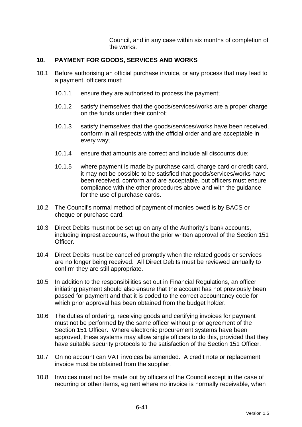Council, and in any case within six months of completion of the works.

## **10. PAYMENT FOR GOODS, SERVICES AND WORKS**

- 10.1 Before authorising an official purchase invoice, or any process that may lead to a payment, officers must:
	- 10.1.1 ensure they are authorised to process the payment;
	- 10.1.2 satisfy themselves that the goods/services/works are a proper charge on the funds under their control;
	- 10.1.3 satisfy themselves that the goods/services/works have been received, conform in all respects with the official order and are acceptable in every way;
	- 10.1.4 ensure that amounts are correct and include all discounts due;
	- 10.1.5 where payment is made by purchase card, charge card or credit card, it may not be possible to be satisfied that goods/services/works have been received, conform and are acceptable, but officers must ensure compliance with the other procedures above and with the guidance for the use of purchase cards.
- 10.2 The Council's normal method of payment of monies owed is by BACS or cheque or purchase card.
- 10.3 Direct Debits must not be set up on any of the Authority's bank accounts, including imprest accounts, without the prior written approval of the Section 151 Officer.
- 10.4 Direct Debits must be cancelled promptly when the related goods or services are no longer being received. All Direct Debits must be reviewed annually to confirm they are still appropriate.
- 10.5 In addition to the responsibilities set out in Financial Regulations, an officer initiating payment should also ensure that the account has not previously been passed for payment and that it is coded to the correct accountancy code for which prior approval has been obtained from the budget holder.
- 10.6 The duties of ordering, receiving goods and certifying invoices for payment must not be performed by the same officer without prior agreement of the Section 151 Officer. Where electronic procurement systems have been approved, these systems may allow single officers to do this, provided that they have suitable security protocols to the satisfaction of the Section 151 Officer.
- 10.7 On no account can VAT invoices be amended. A credit note or replacement invoice must be obtained from the supplier.
- 10.8 Invoices must not be made out by officers of the Council except in the case of recurring or other items, eg rent where no invoice is normally receivable, when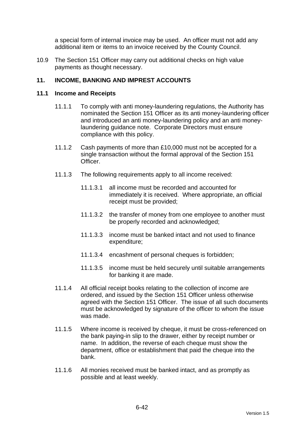a special form of internal invoice may be used. An officer must not add any additional item or items to an invoice received by the County Council.

10.9 The Section 151 Officer may carry out additional checks on high value payments as thought necessary.

# **11. INCOME, BANKING AND IMPREST ACCOUNTS**

#### **11.1 Income and Receipts**

- 11.1.1 To comply with anti money-laundering regulations, the Authority has nominated the Section 151 Officer as its anti money-laundering officer and introduced an anti money-laundering policy and an anti moneylaundering guidance note. Corporate Directors must ensure compliance with this policy.
- 11.1.2 Cash payments of more than £10,000 must not be accepted for a single transaction without the formal approval of the Section 151 Officer.
- 11.1.3 The following requirements apply to all income received:
	- 11.1.3.1 all income must be recorded and accounted for immediately it is received. Where appropriate, an official receipt must be provided;
	- 11.1.3.2 the transfer of money from one employee to another must be properly recorded and acknowledged;
	- 11.1.3.3 income must be banked intact and not used to finance expenditure;
	- 11.1.3.4 encashment of personal cheques is forbidden;
	- 11.1.3.5 income must be held securely until suitable arrangements for banking it are made.
- 11.1.4 All official receipt books relating to the collection of income are ordered, and issued by the Section 151 Officer unless otherwise agreed with the Section 151 Officer. The issue of all such documents must be acknowledged by signature of the officer to whom the issue was made.
- 11.1.5 Where income is received by cheque, it must be cross-referenced on the bank paying-in slip to the drawer, either by receipt number or name. In addition, the reverse of each cheque must show the department, office or establishment that paid the cheque into the bank.
- 11.1.6 All monies received must be banked intact, and as promptly as possible and at least weekly.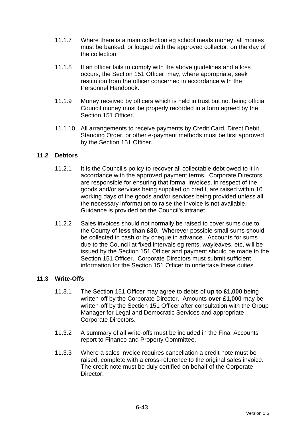- 11.1.7 Where there is a main collection eg school meals money, all monies must be banked, or lodged with the approved collector, on the day of the collection.
- 11.1.8 If an officer fails to comply with the above guidelines and a loss occurs, the Section 151 Officer may, where appropriate, seek restitution from the officer concerned in accordance with the Personnel Handbook.
- 11.1.9 Money received by officers which is held in trust but not being official Council money must be properly recorded in a form agreed by the Section 151 Officer
- 11.1.10 All arrangements to receive payments by Credit Card, Direct Debit, Standing Order, or other e-payment methods must be first approved by the Section 151 Officer.

# **11.2 Debtors**

- 11.2.1 It is the Council's policy to recover all collectable debt owed to it in accordance with the approved payment terms. Corporate Directors are responsible for ensuring that formal invoices, in respect of the goods and/or services being supplied on credit, are raised within 10 working days of the goods and/or services being provided unless all the necessary information to raise the invoice is not available. Guidance is provided on the Council's intranet.
- 11.2.2 Sales invoices should not normally be raised to cover sums due to the County of **less than £30**. Wherever possible small sums should be collected in cash or by cheque in advance. Accounts for sums due to the Council at fixed intervals eg rents, wayleaves, etc, will be issued by the Section 151 Officer and payment should be made to the Section 151 Officer. Corporate Directors must submit sufficient information for the Section 151 Officer to undertake these duties.

#### **11.3 Write-Offs**

- 11.3.1 The Section 151 Officer may agree to debts of **up to £1,000** being written-off by the Corporate Director. Amounts **over £1,000** may be written-off by the Section 151 Officer after consultation with the Group Manager for Legal and Democratic Services and appropriate Corporate Directors.
- 11.3.2 A summary of all write-offs must be included in the Final Accounts report to Finance and Property Committee.
- 11.3.3 Where a sales invoice requires cancellation a credit note must be raised, complete with a cross-reference to the original sales invoice. The credit note must be duly certified on behalf of the Corporate Director.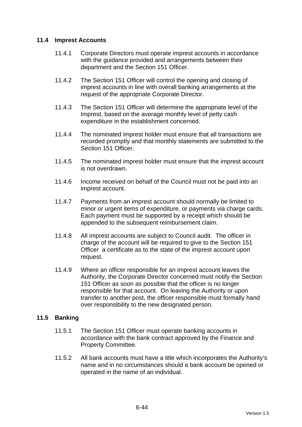# **11.4 Imprest Accounts**

- 11.4.1 Corporate Directors must operate imprest accounts in accordance with the guidance provided and arrangements between their department and the Section 151 Officer.
- 11.4.2 The Section 151 Officer will control the opening and closing of imprest accounts in line with overall banking arrangements at the request of the appropriate Corporate Director.
- 11.4.3 The Section 151 Officer will determine the appropriate level of the Imprest, based on the average monthly level of petty cash expenditure in the establishment concerned.
- 11.4.4 The nominated imprest holder must ensure that all transactions are recorded promptly and that monthly statements are submitted to the Section 151 Officer.
- 11.4.5 The nominated imprest holder must ensure that the imprest account is not overdrawn.
- 11.4.6 Income received on behalf of the Council must not be paid into an imprest account.
- 11.4.7 Payments from an imprest account should normally be limited to minor or urgent items of expenditure, or payments via charge cards. Each payment must be supported by a receipt which should be appended to the subsequent reimbursement claim.
- 11.4.8 All imprest accounts are subject to Council audit. The officer in charge of the account will be required to give to the Section 151 Officer a certificate as to the state of the imprest account upon request.
- 11.4.9 Where an officer responsible for an imprest account leaves the Authority, the Corporate Director concerned must notify the Section 151 Officer as soon as possible that the officer is no longer responsible for that account. On leaving the Authority or upon transfer to another post, the officer responsible must formally hand over responsibility to the new designated person.

#### **11.5 Banking**

- 11.5.1 The Section 151 Officer must operate banking accounts in accordance with the bank contract approved by the Finance and Property Committee.
- 11.5.2 All bank accounts must have a title which incorporates the Authority's name and in no circumstances should a bank account be opened or operated in the name of an individual.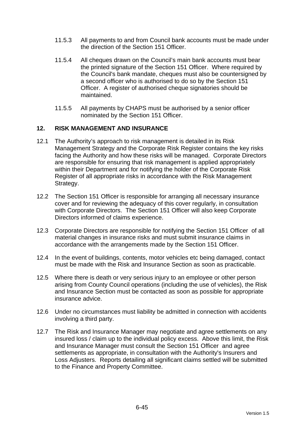- 11.5.3 All payments to and from Council bank accounts must be made under the direction of the Section 151 Officer.
- 11.5.4 All cheques drawn on the Council's main bank accounts must bear the printed signature of the Section 151 Officer. Where required by the Council's bank mandate, cheques must also be countersigned by a second officer who is authorised to do so by the Section 151 Officer. A register of authorised cheque signatories should be maintained.
- 11.5.5 All payments by CHAPS must be authorised by a senior officer nominated by the Section 151 Officer.

# **12. RISK MANAGEMENT AND INSURANCE**

- 12.1 The Authority's approach to risk management is detailed in its Risk Management Strategy and the Corporate Risk Register contains the key risks facing the Authority and how these risks will be managed. Corporate Directors are responsible for ensuring that risk management is applied appropriately within their Department and for notifying the holder of the Corporate Risk Register of all appropriate risks in accordance with the Risk Management Strategy.
- 12.2 The Section 151 Officer is responsible for arranging all necessary insurance cover and for reviewing the adequacy of this cover regularly, in consultation with Corporate Directors. The Section 151 Officer will also keep Corporate Directors informed of claims experience.
- 12.3 Corporate Directors are responsible for notifying the Section 151 Officer of all material changes in insurance risks and must submit insurance claims in accordance with the arrangements made by the Section 151 Officer.
- 12.4 In the event of buildings, contents, motor vehicles etc being damaged, contact must be made with the Risk and Insurance Section as soon as practicable.
- 12.5 Where there is death or very serious injury to an employee or other person arising from County Council operations (including the use of vehicles), the Risk and Insurance Section must be contacted as soon as possible for appropriate insurance advice.
- 12.6 Under no circumstances must liability be admitted in connection with accidents involving a third party.
- 12.7 The Risk and Insurance Manager may negotiate and agree settlements on any insured loss / claim up to the individual policy excess. Above this limit, the Risk and Insurance Manager must consult the Section 151 Officer and agree settlements as appropriate, in consultation with the Authority's Insurers and Loss Adjusters. Reports detailing all significant claims settled will be submitted to the Finance and Property Committee.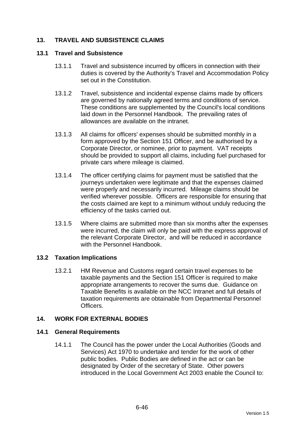# **13. TRAVEL AND SUBSISTENCE CLAIMS**

#### **13.1 Travel and Subsistence**

- 13.1.1 Travel and subsistence incurred by officers in connection with their duties is covered by the Authority's Travel and Accommodation Policy set out in the Constitution.
- 13.1.2 Travel, subsistence and incidental expense claims made by officers are governed by nationally agreed terms and conditions of service. These conditions are supplemented by the Council's local conditions laid down in the Personnel Handbook. The prevailing rates of allowances are available on the intranet.
- 13.1.3 All claims for officers' expenses should be submitted monthly in a form approved by the Section 151 Officer, and be authorised by a Corporate Director, or nominee, prior to payment. VAT receipts should be provided to support all claims, including fuel purchased for private cars where mileage is claimed.
- 13.1.4 The officer certifying claims for payment must be satisfied that the journeys undertaken were legitimate and that the expenses claimed were properly and necessarily incurred. Mileage claims should be verified wherever possible. Officers are responsible for ensuring that the costs claimed are kept to a minimum without unduly reducing the efficiency of the tasks carried out.
- 13.1.5 Where claims are submitted more than six months after the expenses were incurred, the claim will only be paid with the express approval of the relevant Corporate Director, and will be reduced in accordance with the Personnel Handbook.

#### **13.2 Taxation Implications**

13.2.1 HM Revenue and Customs regard certain travel expenses to be taxable payments and the Section 151 Officer is required to make appropriate arrangements to recover the sums due. Guidance on Taxable Benefits is available on the NCC Intranet and full details of taxation requirements are obtainable from Departmental Personnel **Officers** 

#### **14. WORK FOR EXTERNAL BODIES**

#### **14.1 General Requirements**

14.1.1 The Council has the power under the Local Authorities (Goods and Services) Act 1970 to undertake and tender for the work of other public bodies. Public Bodies are defined in the act or can be designated by Order of the secretary of State. Other powers introduced in the Local Government Act 2003 enable the Council to: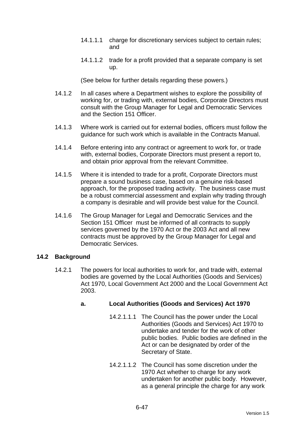- 14.1.1.1 charge for discretionary services subject to certain rules; and
- 14.1.1.2 trade for a profit provided that a separate company is set up.

(See below for further details regarding these powers.)

- 14.1.2 In all cases where a Department wishes to explore the possibility of working for, or trading with, external bodies, Corporate Directors must consult with the Group Manager for Legal and Democratic Services and the Section 151 Officer.
- 14.1.3 Where work is carried out for external bodies, officers must follow the guidance for such work which is available in the Contracts Manual.
- 14.1.4 Before entering into any contract or agreement to work for, or trade with, external bodies, Corporate Directors must present a report to, and obtain prior approval from the relevant Committee.
- 14.1.5 Where it is intended to trade for a profit, Corporate Directors must prepare a sound business case, based on a genuine risk-based approach, for the proposed trading activity. The business case must be a robust commercial assessment and explain why trading through a company is desirable and will provide best value for the Council.
- 14.1.6 The Group Manager for Legal and Democratic Services and the Section 151 Officer must be informed of all contracts to supply services governed by the 1970 Act or the 2003 Act and all new contracts must be approved by the Group Manager for Legal and Democratic Services.

#### **14.2 Background**

14.2.1 The powers for local authorities to work for, and trade with, external bodies are governed by the Local Authorities (Goods and Services) Act 1970, Local Government Act 2000 and the Local Government Act 2003.

# **a. Local Authorities (Goods and Services) Act 1970**

- 14.2.1.1.1 The Council has the power under the Local Authorities (Goods and Services) Act 1970 to undertake and tender for the work of other public bodies. Public bodies are defined in the Act or can be designated by order of the Secretary of State.
- 14.2.1.1.2 The Council has some discretion under the 1970 Act whether to charge for any work undertaken for another public body. However, as a general principle the charge for any work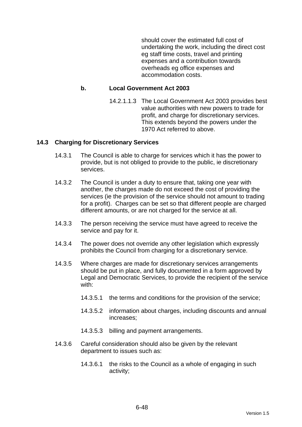should cover the estimated full cost of undertaking the work, including the direct cost eg staff time costs, travel and printing expenses and a contribution towards overheads eg office expenses and accommodation costs.

#### **b. Local Government Act 2003**

14.2.1.1.3 The Local Government Act 2003 provides best value authorities with new powers to trade for profit, and charge for discretionary services. This extends beyond the powers under the 1970 Act referred to above.

#### **14.3 Charging for Discretionary Services**

- 14.3.1 The Council is able to charge for services which it has the power to provide, but is not obliged to provide to the public, ie discretionary services.
- 14.3.2 The Council is under a duty to ensure that, taking one year with another, the charges made do not exceed the cost of providing the services (ie the provision of the service should not amount to trading for a profit). Charges can be set so that different people are charged different amounts, or are not charged for the service at all.
- 14.3.3 The person receiving the service must have agreed to receive the service and pay for it.
- 14.3.4 The power does not override any other legislation which expressly prohibits the Council from charging for a discretionary service.
- 14.3.5 Where charges are made for discretionary services arrangements should be put in place, and fully documented in a form approved by Legal and Democratic Services, to provide the recipient of the service with:
	- 14.3.5.1 the terms and conditions for the provision of the service;
	- 14.3.5.2 information about charges, including discounts and annual increases;
	- 14.3.5.3 billing and payment arrangements.
- 14.3.6 Careful consideration should also be given by the relevant department to issues such as:
	- 14.3.6.1 the risks to the Council as a whole of engaging in such activity;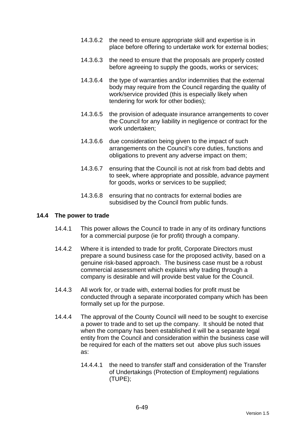- 14.3.6.2 the need to ensure appropriate skill and expertise is in place before offering to undertake work for external bodies;
- 14.3.6.3 the need to ensure that the proposals are properly costed before agreeing to supply the goods, works or services;
- 14.3.6.4 the type of warranties and/or indemnities that the external body may require from the Council regarding the quality of work/service provided (this is especially likely when tendering for work for other bodies);
- 14.3.6.5 the provision of adequate insurance arrangements to cover the Council for any liability in negligence or contract for the work undertaken;
- 14.3.6.6 due consideration being given to the impact of such arrangements on the Council's core duties, functions and obligations to prevent any adverse impact on them;
- 14.3.6.7 ensuring that the Council is not at risk from bad debts and to seek, where appropriate and possible, advance payment for goods, works or services to be supplied;
- 14.3.6.8 ensuring that no contracts for external bodies are subsidised by the Council from public funds.

#### **14.4 The power to trade**

- 14.4.1 This power allows the Council to trade in any of its ordinary functions for a commercial purpose (ie for profit) through a company.
- 14.4.2 Where it is intended to trade for profit, Corporate Directors must prepare a sound business case for the proposed activity, based on a genuine risk-based approach. The business case must be a robust commercial assessment which explains why trading through a company is desirable and will provide best value for the Council.
- 14.4.3 All work for, or trade with, external bodies for profit must be conducted through a separate incorporated company which has been formally set up for the purpose.
- 14.4.4 The approval of the County Council will need to be sought to exercise a power to trade and to set up the company. It should be noted that when the company has been established it will be a separate legal entity from the Council and consideration within the business case will be required for each of the matters set out above plus such issues as:
	- 14.4.4.1 the need to transfer staff and consideration of the Transfer of Undertakings (Protection of Employment) regulations (TUPE);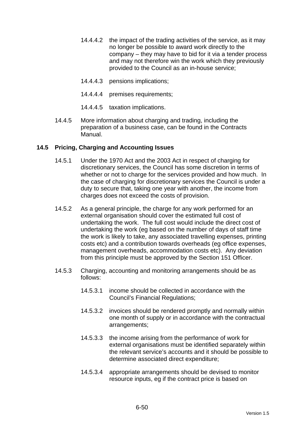- 14.4.4.2 the impact of the trading activities of the service, as it may no longer be possible to award work directly to the company – they may have to bid for it via a tender process and may not therefore win the work which they previously provided to the Council as an in-house service;
- 14.4.4.3 pensions implications;
- 14.4.4.4 premises requirements;
- 14.4.4.5 taxation implications.
- 14.4.5 More information about charging and trading, including the preparation of a business case, can be found in the Contracts Manual.

# **14.5 Pricing, Charging and Accounting Issues**

- 14.5.1 Under the 1970 Act and the 2003 Act in respect of charging for discretionary services, the Council has some discretion in terms of whether or not to charge for the services provided and how much. In the case of charging for discretionary services the Council is under a duty to secure that, taking one year with another, the income from charges does not exceed the costs of provision.
- 14.5.2 As a general principle, the charge for any work performed for an external organisation should cover the estimated full cost of undertaking the work. The full cost would include the direct cost of undertaking the work (eg based on the number of days of staff time the work is likely to take, any associated travelling expenses, printing costs etc) and a contribution towards overheads (eg office expenses, management overheads, accommodation costs etc). Any deviation from this principle must be approved by the Section 151 Officer.
- 14.5.3 Charging, accounting and monitoring arrangements should be as follows:
	- 14.5.3.1 income should be collected in accordance with the Council's Financial Regulations;
	- 14.5.3.2 invoices should be rendered promptly and normally within one month of supply or in accordance with the contractual arrangements;
	- 14.5.3.3 the income arising from the performance of work for external organisations must be identified separately within the relevant service's accounts and it should be possible to determine associated direct expenditure;
	- 14.5.3.4 appropriate arrangements should be devised to monitor resource inputs, eg if the contract price is based on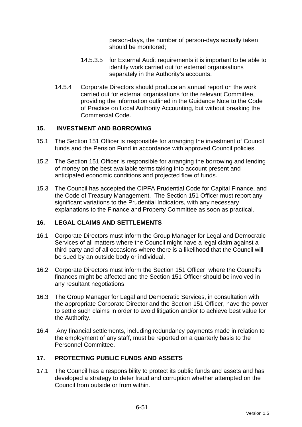person-days, the number of person-days actually taken should be monitored;

- 14.5.3.5 for External Audit requirements it is important to be able to identify work carried out for external organisations separately in the Authority's accounts.
- 14.5.4 Corporate Directors should produce an annual report on the work carried out for external organisations for the relevant Committee, providing the information outlined in the Guidance Note to the Code of Practice on Local Authority Accounting, but without breaking the Commercial Code.

# **15. INVESTMENT AND BORROWING**

- 15.1 The Section 151 Officer is responsible for arranging the investment of Council funds and the Pension Fund in accordance with approved Council policies.
- 15.2 The Section 151 Officer is responsible for arranging the borrowing and lending of money on the best available terms taking into account present and anticipated economic conditions and projected flow of funds.
- 15.3 The Council has accepted the CIPFA Prudential Code for Capital Finance, and the Code of Treasury Management. The Section 151 Officer must report any significant variations to the Prudential Indicators, with any necessary explanations to the Finance and Property Committee as soon as practical.

#### **16. LEGAL CLAIMS AND SETTLEMENTS**

- 16.1 Corporate Directors must inform the Group Manager for Legal and Democratic Services of all matters where the Council might have a legal claim against a third party and of all occasions where there is a likelihood that the Council will be sued by an outside body or individual.
- 16.2 Corporate Directors must inform the Section 151 Officer where the Council's finances might be affected and the Section 151 Officer should be involved in any resultant negotiations.
- 16.3 The Group Manager for Legal and Democratic Services, in consultation with the appropriate Corporate Director and the Section 151 Officer, have the power to settle such claims in order to avoid litigation and/or to achieve best value for the Authority.
- 16.4 Any financial settlements, including redundancy payments made in relation to the employment of any staff, must be reported on a quarterly basis to the Personnel Committee.

# **17. PROTECTING PUBLIC FUNDS AND ASSETS**

17.1 The Council has a responsibility to protect its public funds and assets and has developed a strategy to deter fraud and corruption whether attempted on the Council from outside or from within.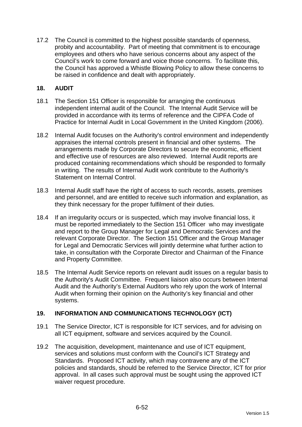17.2 The Council is committed to the highest possible standards of openness, probity and accountability. Part of meeting that commitment is to encourage employees and others who have serious concerns about any aspect of the Council's work to come forward and voice those concerns. To facilitate this, the Council has approved a Whistle Blowing Policy to allow these concerns to be raised in confidence and dealt with appropriately.

# **18. AUDIT**

- 18.1 The Section 151 Officer is responsible for arranging the continuous independent internal audit of the Council. The Internal Audit Service will be provided in accordance with its terms of reference and the CIPFA Code of Practice for Internal Audit in Local Government in the United Kingdom (2006).
- 18.2 Internal Audit focuses on the Authority's control environment and independently appraises the internal controls present in financial and other systems. The arrangements made by Corporate Directors to secure the economic, efficient and effective use of resources are also reviewed. Internal Audit reports are produced containing recommendations which should be responded to formally in writing. The results of Internal Audit work contribute to the Authority's Statement on Internal Control.
- 18.3 Internal Audit staff have the right of access to such records, assets, premises and personnel, and are entitled to receive such information and explanation, as they think necessary for the proper fulfilment of their duties.
- 18.4 If an irregularity occurs or is suspected, which may involve financial loss, it must be reported immediately to the Section 151 Officer who may investigate and report to the Group Manager for Legal and Democratic Services and the relevant Corporate Director. The Section 151 Officer and the Group Manager for Legal and Democratic Services will jointly determine what further action to take, in consultation with the Corporate Director and Chairman of the Finance and Property Committee.
- 18.5 The Internal Audit Service reports on relevant audit issues on a regular basis to the Authority's Audit Committee. Frequent liaison also occurs between Internal Audit and the Authority's External Auditors who rely upon the work of Internal Audit when forming their opinion on the Authority's key financial and other systems.

# **19. INFORMATION AND COMMUNICATIONS TECHNOLOGY (ICT)**

- 19.1 The Service Director, ICT is responsible for ICT services, and for advising on all ICT equipment, software and services acquired by the Council.
- 19.2 The acquisition, development, maintenance and use of ICT equipment, services and solutions must conform with the Council's ICT Strategy and Standards. Proposed ICT activity, which may contravene any of the ICT policies and standards, should be referred to the Service Director, ICT for prior approval. In all cases such approval must be sought using the approved ICT waiver request procedure.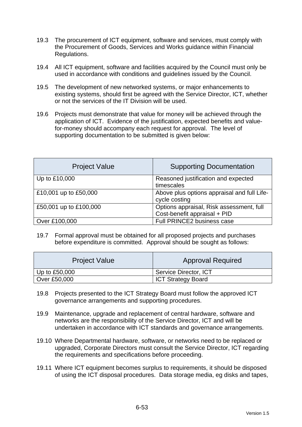- 19.3 The procurement of ICT equipment, software and services, must comply with the Procurement of Goods, Services and Works guidance within Financial Regulations.
- 19.4 All ICT equipment, software and facilities acquired by the Council must only be used in accordance with conditions and guidelines issued by the Council.
- 19.5 The development of new networked systems, or major enhancements to existing systems, should first be agreed with the Service Director, ICT, whether or not the services of the IT Division will be used.
- 19.6 Projects must demonstrate that value for money will be achieved through the application of ICT. Evidence of the justification, expected benefits and valuefor-money should accompany each request for approval. The level of supporting documentation to be submitted is given below:

| <b>Project Value</b>   | <b>Supporting Documentation</b>                                          |
|------------------------|--------------------------------------------------------------------------|
| Up to £10,000          | Reasoned justification and expected<br>timescales                        |
| £10,001 up to £50,000  | Above plus options appraisal and full Life-<br>cycle costing             |
| £50,001 up to £100,000 | Options appraisal, Risk assessment, full<br>Cost-benefit appraisal + PID |
| Over £100,000          | Full PRINCE2 business case                                               |

19.7 Formal approval must be obtained for all proposed projects and purchases before expenditure is committed. Approval should be sought as follows:

| <b>Project Value</b> | <b>Approval Required</b>  |
|----------------------|---------------------------|
| Up to $£50,000$      | Service Director, ICT     |
| Over £50,000         | <b>ICT Strategy Board</b> |

- 19.8 Projects presented to the ICT Strategy Board must follow the approved ICT governance arrangements and supporting procedures.
- 19.9 Maintenance, upgrade and replacement of central hardware, software and networks are the responsibility of the Service Director, ICT and will be undertaken in accordance with ICT standards and governance arrangements.
- 19.10 Where Departmental hardware, software, or networks need to be replaced or upgraded, Corporate Directors must consult the Service Director, ICT regarding the requirements and specifications before proceeding.
- 19.11 Where ICT equipment becomes surplus to requirements, it should be disposed of using the ICT disposal procedures. Data storage media, eg disks and tapes,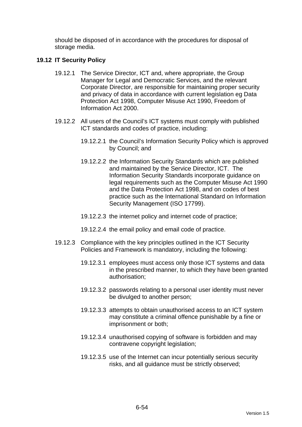should be disposed of in accordance with the procedures for disposal of storage media.

## **19.12 IT Security Policy**

- 19.12.1 The Service Director, ICT and, where appropriate, the Group Manager for Legal and Democratic Services, and the relevant Corporate Director, are responsible for maintaining proper security and privacy of data in accordance with current legislation eg Data Protection Act 1998, Computer Misuse Act 1990, Freedom of Information Act 2000.
- 19.12.2 All users of the Council's ICT systems must comply with published ICT standards and codes of practice, including:
	- 19.12.2.1 the Council's Information Security Policy which is approved by Council; and
	- 19.12.2.2 the Information Security Standards which are published and maintained by the Service Director, ICT. The Information Security Standards incorporate guidance on legal requirements such as the Computer Misuse Act 1990 and the Data Protection Act 1998, and on codes of best practice such as the International Standard on Information Security Management (ISO 17799).
	- 19.12.2.3 the internet policy and internet code of practice;
	- 19.12.2.4 the email policy and email code of practice.
- 19.12.3 Compliance with the key principles outlined in the ICT Security Policies and Framework is mandatory, including the following:
	- 19.12.3.1 employees must access only those ICT systems and data in the prescribed manner, to which they have been granted authorisation;
	- 19.12.3.2 passwords relating to a personal user identity must never be divulged to another person;
	- 19.12.3.3 attempts to obtain unauthorised access to an ICT system may constitute a criminal offence punishable by a fine or imprisonment or both;
	- 19.12.3.4 unauthorised copying of software is forbidden and may contravene copyright legislation;
	- 19.12.3.5 use of the Internet can incur potentially serious security risks, and all guidance must be strictly observed;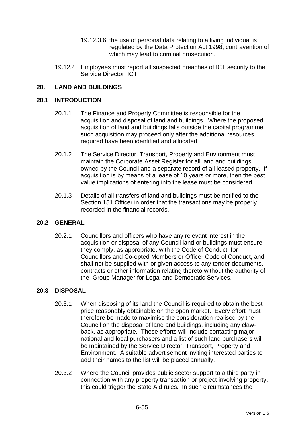- 19.12.3.6 the use of personal data relating to a living individual is regulated by the Data Protection Act 1998, contravention of which may lead to criminal prosecution.
- 19.12.4 Employees must report all suspected breaches of ICT security to the Service Director, ICT.

# **20. LAND AND BUILDINGS**

#### **20.1 INTRODUCTION**

- 20.1.1 The Finance and Property Committee is responsible for the acquisition and disposal of land and buildings. Where the proposed acquisition of land and buildings falls outside the capital programme, such acquisition may proceed only after the additional resources required have been identified and allocated.
- 20.1.2 The Service Director, Transport, Property and Environment must maintain the Corporate Asset Register for all land and buildings owned by the Council and a separate record of all leased property. If acquisition is by means of a lease of 10 years or more, then the best value implications of entering into the lease must be considered.
- 20.1.3 Details of all transfers of land and buildings must be notified to the Section 151 Officer in order that the transactions may be properly recorded in the financial records.

#### **20.2 GENERAL**

20.2.1 Councillors and officers who have any relevant interest in the acquisition or disposal of any Council land or buildings must ensure they comply, as appropriate, with the Code of Conduct for Councillors and Co-opted Members or Officer Code of Conduct, and shall not be supplied with or given access to any tender documents, contracts or other information relating thereto without the authority of the Group Manager for Legal and Democratic Services.

#### **20.3 DISPOSAL**

- 20.3.1 When disposing of its land the Council is required to obtain the best price reasonably obtainable on the open market. Every effort must therefore be made to maximise the consideration realised by the Council on the disposal of land and buildings, including any clawback, as appropriate. These efforts will include contacting major national and local purchasers and a list of such land purchasers will be maintained by the Service Director, Transport, Property and Environment. A suitable advertisement inviting interested parties to add their names to the list will be placed annually.
- 20.3.2 Where the Council provides public sector support to a third party in connection with any property transaction or project involving property, this could trigger the State Aid rules. In such circumstances the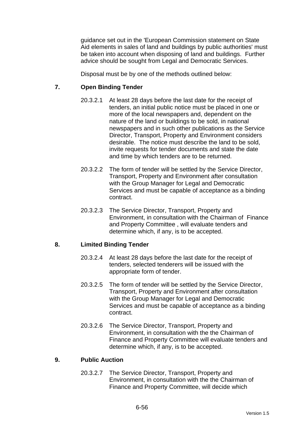guidance set out in the 'European Commission statement on State Aid elements in sales of land and buildings by public authorities' must be taken into account when disposing of land and buildings. Further advice should be sought from Legal and Democratic Services.

Disposal must be by one of the methods outlined below:

# **7. Open Binding Tender**

- 20.3.2.1 At least 28 days before the last date for the receipt of tenders, an initial public notice must be placed in one or more of the local newspapers and, dependent on the nature of the land or buildings to be sold, in national newspapers and in such other publications as the Service Director, Transport, Property and Environment considers desirable. The notice must describe the land to be sold, invite requests for tender documents and state the date and time by which tenders are to be returned.
- 20.3.2.2 The form of tender will be settled by the Service Director, Transport, Property and Environment after consultation with the Group Manager for Legal and Democratic Services and must be capable of acceptance as a binding contract.
- 20.3.2.3 The Service Director, Transport, Property and Environment, in consultation with the Chairman of Finance and Property Committee , will evaluate tenders and determine which, if any, is to be accepted.

#### **8. Limited Binding Tender**

- 20.3.2.4 At least 28 days before the last date for the receipt of tenders, selected tenderers will be issued with the appropriate form of tender.
- 20.3.2.5 The form of tender will be settled by the Service Director, Transport, Property and Environment after consultation with the Group Manager for Legal and Democratic Services and must be capable of acceptance as a binding contract.
- 20.3.2.6 The Service Director, Transport, Property and Environment, in consultation with the the Chairman of Finance and Property Committee will evaluate tenders and determine which, if any, is to be accepted.

#### **9. Public Auction**

20.3.2.7 The Service Director, Transport, Property and Environment, in consultation with the the Chairman of Finance and Property Committee, will decide which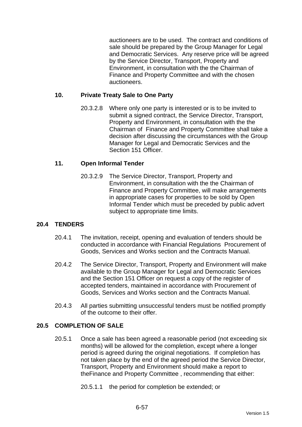auctioneers are to be used. The contract and conditions of sale should be prepared by the Group Manager for Legal and Democratic Services. Any reserve price will be agreed by the Service Director, Transport, Property and Environment, in consultation with the the Chairman of Finance and Property Committee and with the chosen auctioneers.

# **10. Private Treaty Sale to One Party**

20.3.2.8 Where only one party is interested or is to be invited to submit a signed contract, the Service Director, Transport, Property and Environment, in consultation with the the Chairman of Finance and Property Committee shall take a decision after discussing the circumstances with the Group Manager for Legal and Democratic Services and the Section 151 Officer.

# **11. Open Informal Tender**

20.3.2.9 The Service Director, Transport, Property and Environment, in consultation with the the Chairman of Finance and Property Committee, will make arrangements in appropriate cases for properties to be sold by Open Informal Tender which must be preceded by public advert subject to appropriate time limits.

# **20.4 TENDERS**

- 20.4.1 The invitation, receipt, opening and evaluation of tenders should be conducted in accordance with Financial Regulations Procurement of Goods, Services and Works section and the Contracts Manual.
- 20.4.2 The Service Director, Transport, Property and Environment will make available to the Group Manager for Legal and Democratic Services and the Section 151 Officer on request a copy of the register of accepted tenders, maintained in accordance with Procurement of Goods, Services and Works section and the Contracts Manual.
- 20.4.3 All parties submitting unsuccessful tenders must be notified promptly of the outcome to their offer.

#### **20.5 COMPLETION OF SALE**

20.5.1 Once a sale has been agreed a reasonable period (not exceeding six months) will be allowed for the completion, except where a longer period is agreed during the original negotiations. If completion has not taken place by the end of the agreed period the Service Director, Transport, Property and Environment should make a report to theFinance and Property Committee , recommending that either:

20.5.1.1 the period for completion be extended; or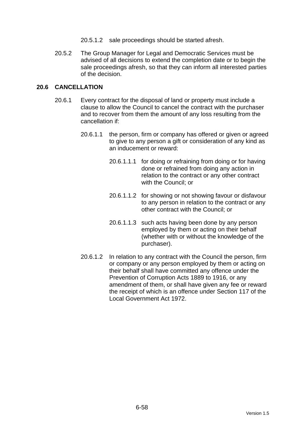- 20.5.1.2 sale proceedings should be started afresh.
- 20.5.2 The Group Manager for Legal and Democratic Services must be advised of all decisions to extend the completion date or to begin the sale proceedings afresh, so that they can inform all interested parties of the decision.

# **20.6 CANCELLATION**

- 20.6.1 Every contract for the disposal of land or property must include a clause to allow the Council to cancel the contract with the purchaser and to recover from them the amount of any loss resulting from the cancellation if:
	- 20.6.1.1 the person, firm or company has offered or given or agreed to give to any person a gift or consideration of any kind as an inducement or reward:
		- 20.6.1.1.1 for doing or refraining from doing or for having done or refrained from doing any action in relation to the contract or any other contract with the Council; or
		- 20.6.1.1.2 for showing or not showing favour or disfavour to any person in relation to the contract or any other contract with the Council; or
		- 20.6.1.1.3 such acts having been done by any person employed by them or acting on their behalf (whether with or without the knowledge of the purchaser).
	- 20.6.1.2 In relation to any contract with the Council the person, firm or company or any person employed by them or acting on their behalf shall have committed any offence under the Prevention of Corruption Acts 1889 to 1916, or any amendment of them, or shall have given any fee or reward the receipt of which is an offence under Section 117 of the Local Government Act 1972.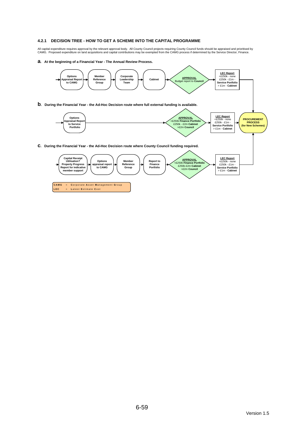#### **4.2.1 DECISION TREE - HOW TO GET A SCHEME INTO THE CAPITAL PROGRAMME**

All capital expenditure requires approval by the relevant approval body. All County Council projects requiring County Council funds should be appraised and prioritised by<br>CAMG. Proposed expenditure on land acquisitions an

#### **a. At the beginning of a Financial Year - The Annual Review Process.**

**LEC** = **L** atest **E** stimate **C** ost

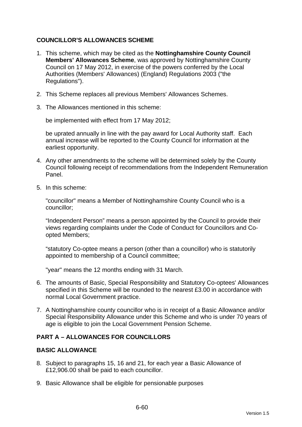# **COUNCILLOR'S ALLOWANCES SCHEME**

- 1. This scheme, which may be cited as the **Nottinghamshire County Council Members' Allowances Scheme**, was approved by Nottinghamshire County Council on 17 May 2012, in exercise of the powers conferred by the Local Authorities (Members' Allowances) (England) Regulations 2003 ("the Regulations").
- 2. This Scheme replaces all previous Members' Allowances Schemes.
- 3. The Allowances mentioned in this scheme:

be implemented with effect from 17 May 2012;

be uprated annually in line with the pay award for Local Authority staff. Each annual increase will be reported to the County Council for information at the earliest opportunity.

- 4. Any other amendments to the scheme will be determined solely by the County Council following receipt of recommendations from the Independent Remuneration Panel.
- 5. In this scheme:

"councillor" means a Member of Nottinghamshire County Council who is a councillor;

"Independent Person" means a person appointed by the Council to provide their views regarding complaints under the Code of Conduct for Councillors and Coopted Members;

"statutory Co-optee means a person (other than a councillor) who is statutorily appointed to membership of a Council committee;

"year" means the 12 months ending with 31 March.

- 6. The amounts of Basic, Special Responsibility and Statutory Co-optees' Allowances specified in this Scheme will be rounded to the nearest £3.00 in accordance with normal Local Government practice.
- 7. A Nottinghamshire county councillor who is in receipt of a Basic Allowance and/or Special Responsibility Allowance under this Scheme and who is under 70 years of age is eligible to join the Local Government Pension Scheme.

## **PART A – ALLOWANCES FOR COUNCILLORS**

#### **BASIC ALLOWANCE**

- 8. Subject to paragraphs 15, 16 and 21, for each year a Basic Allowance of £12,906.00 shall be paid to each councillor.
- 9. Basic Allowance shall be eligible for pensionable purposes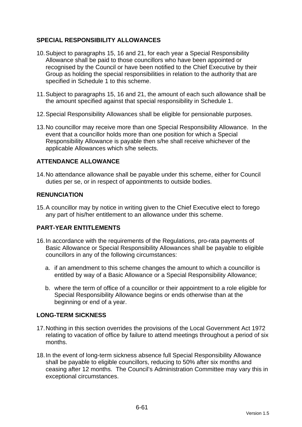# **SPECIAL RESPONSIBILITY ALLOWANCES**

- 10. Subject to paragraphs 15, 16 and 21, for each year a Special Responsibility Allowance shall be paid to those councillors who have been appointed or recognised by the Council or have been notified to the Chief Executive by their Group as holding the special responsibilities in relation to the authority that are specified in Schedule 1 to this scheme.
- 11. Subject to paragraphs 15, 16 and 21, the amount of each such allowance shall be the amount specified against that special responsibility in Schedule 1.
- 12. Special Responsibility Allowances shall be eligible for pensionable purposes.
- 13. No councillor may receive more than one Special Responsibility Allowance. In the event that a councillor holds more than one position for which a Special Responsibility Allowance is payable then s/he shall receive whichever of the applicable Allowances which s/he selects.

# **ATTENDANCE ALLOWANCE**

14. No attendance allowance shall be payable under this scheme, either for Council duties per se, or in respect of appointments to outside bodies.

# **RENUNCIATION**

15. A councillor may by notice in writing given to the Chief Executive elect to forego any part of his/her entitlement to an allowance under this scheme.

# **PART-YEAR ENTITLEMENTS**

- 16. In accordance with the requirements of the Regulations, pro-rata payments of Basic Allowance or Special Responsibility Allowances shall be payable to eligible councillors in any of the following circumstances:
	- a. if an amendment to this scheme changes the amount to which a councillor is entitled by way of a Basic Allowance or a Special Responsibility Allowance;
	- b. where the term of office of a councillor or their appointment to a role eligible for Special Responsibility Allowance begins or ends otherwise than at the beginning or end of a year.

# **LONG-TERM SICKNESS**

- 17. Nothing in this section overrides the provisions of the Local Government Act 1972 relating to vacation of office by failure to attend meetings throughout a period of six months.
- 18. In the event of long-term sickness absence full Special Responsibility Allowance shall be payable to eligible councillors, reducing to 50% after six months and ceasing after 12 months. The Council's Administration Committee may vary this in exceptional circumstances.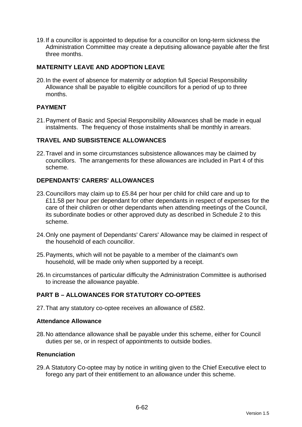19. If a councillor is appointed to deputise for a councillor on long-term sickness the Administration Committee may create a deputising allowance payable after the first three months.

# **MATERNITY LEAVE AND ADOPTION LEAVE**

20. In the event of absence for maternity or adoption full Special Responsibility Allowance shall be payable to eligible councillors for a period of up to three months.

# **PAYMENT**

21. Payment of Basic and Special Responsibility Allowances shall be made in equal instalments. The frequency of those instalments shall be monthly in arrears.

#### **TRAVEL AND SUBSISTENCE ALLOWANCES**

22. Travel and in some circumstances subsistence allowances may be claimed by councillors. The arrangements for these allowances are included in Part 4 of this scheme.

# **DEPENDANTS' CARERS' ALLOWANCES**

- 23. Councillors may claim up to £5.84 per hour per child for child care and up to £11.58 per hour per dependant for other dependants in respect of expenses for the care of their children or other dependants when attending meetings of the Council, its subordinate bodies or other approved duty as described in Schedule 2 to this scheme.
- 24. Only one payment of Dependants' Carers' Allowance may be claimed in respect of the household of each councillor.
- 25. Payments, which will not be payable to a member of the claimant's own household, will be made only when supported by a receipt.
- 26. In circumstances of particular difficulty the Administration Committee is authorised to increase the allowance payable.

# **PART B – ALLOWANCES FOR STATUTORY CO-OPTEES**

27. That any statutory co-optee receives an allowance of £582.

#### **Attendance Allowance**

28. No attendance allowance shall be payable under this scheme, either for Council duties per se, or in respect of appointments to outside bodies.

## **Renunciation**

29. A Statutory Co-optee may by notice in writing given to the Chief Executive elect to forego any part of their entitlement to an allowance under this scheme.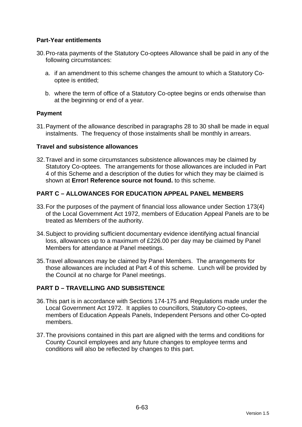# **Part-Year entitlements**

- 30. Pro-rata payments of the Statutory Co-optees Allowance shall be paid in any of the following circumstances:
	- a. if an amendment to this scheme changes the amount to which a Statutory Cooptee is entitled;
	- b. where the term of office of a Statutory Co-optee begins or ends otherwise than at the beginning or end of a year.

# **Payment**

31. Payment of the allowance described in paragraphs 28 to 30 shall be made in equal instalments. The frequency of those instalments shall be monthly in arrears.

#### **Travel and subsistence allowances**

32. Travel and in some circumstances subsistence allowances may be claimed by Statutory Co-optees. The arrangements for those allowances are included in Part 4 of this Scheme and a description of the duties for which they may be claimed is shown at **Error! Reference source not found.** to this scheme.

# **PART C – ALLOWANCES FOR EDUCATION APPEAL PANEL MEMBERS**

- 33. For the purposes of the payment of financial loss allowance under Section 173(4) of the Local Government Act 1972, members of Education Appeal Panels are to be treated as Members of the authority.
- 34. Subject to providing sufficient documentary evidence identifying actual financial loss, allowances up to a maximum of £226.00 per day may be claimed by Panel Members for attendance at Panel meetings.
- 35. Travel allowances may be claimed by Panel Members. The arrangements for those allowances are included at Part 4 of this scheme. Lunch will be provided by the Council at no charge for Panel meetings.

# **PART D – TRAVELLING AND SUBSISTENCE**

- 36. This part is in accordance with Sections 174-175 and Regulations made under the Local Government Act 1972. It applies to councillors, Statutory Co-optees, members of Education Appeals Panels, Independent Persons and other Co-opted members.
- 37. The provisions contained in this part are aligned with the terms and conditions for County Council employees and any future changes to employee terms and conditions will also be reflected by changes to this part.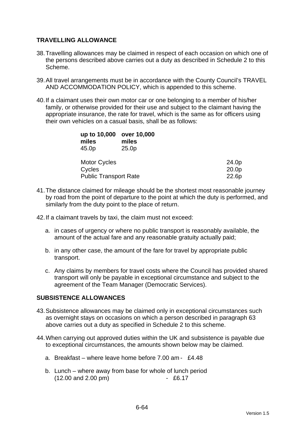# **TRAVELLING ALLOWANCE**

- 38. Travelling allowances may be claimed in respect of each occasion on which one of the persons described above carries out a duty as described in Schedule 2 to this Scheme.
- 39. All travel arrangements must be in accordance with the County Council's TRAVEL AND ACCOMMODATION POLICY, which is appended to this scheme.
- 40. If a claimant uses their own motor car or one belonging to a member of his/her family, or otherwise provided for their use and subject to the claimant having the appropriate insurance, the rate for travel, which is the same as for officers using their own vehicles on a casual basis, shall be as follows:

| up to 10,000<br>miles<br>45.0p | over 10,000<br>miles<br>25.0 <sub>p</sub> |                   |
|--------------------------------|-------------------------------------------|-------------------|
| <b>Motor Cycles</b>            |                                           | 24.0p             |
| Cycles                         |                                           | 20.0 <sub>p</sub> |
|                                | <b>Public Transport Rate</b>              | 22.6p             |

- 41. The distance claimed for mileage should be the shortest most reasonable journey by road from the point of departure to the point at which the duty is performed, and similarly from the duty point to the place of return.
- 42. If a claimant travels by taxi, the claim must not exceed:
	- a. in cases of urgency or where no public transport is reasonably available, the amount of the actual fare and any reasonable gratuity actually paid;
	- b. in any other case, the amount of the fare for travel by appropriate public transport.
	- c. Any claims by members for travel costs where the Council has provided shared transport will only be payable in exceptional circumstance and subject to the agreement of the Team Manager (Democratic Services).

## **SUBSISTENCE ALLOWANCES**

- 43. Subsistence allowances may be claimed only in exceptional circumstances such as overnight stays on occasions on which a person described in paragraph 63 above carries out a duty as specified in Schedule 2 to this scheme.
- 44. When carrying out approved duties within the UK and subsistence is payable due to exceptional circumstances, the amounts shown below may be claimed.
	- a. Breakfast where leave home before 7.00 am £4.48
	- b. Lunch where away from base for whole of lunch period (12.00 and 2.00 pm) - £6.17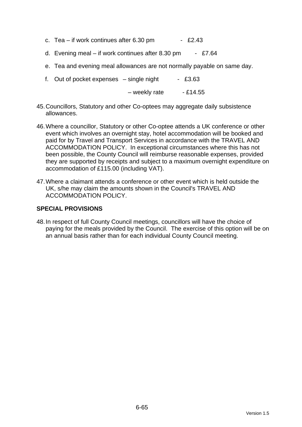- c. Tea if work continues after  $6.30 \text{ pm}$  £2.43
- d. Evening meal if work continues after 8.30 pm £7.64
- e. Tea and evening meal allowances are not normally payable on same day.
- f. Out of pocket expenses  $-$  single night  $-$  £3.63

 $-$  weekly rate  $-$  £14.55

- 45. Councillors, Statutory and other Co-optees may aggregate daily subsistence allowances.
- 46. Where a councillor, Statutory or other Co-optee attends a UK conference or other event which involves an overnight stay, hotel accommodation will be booked and paid for by Travel and Transport Services in accordance with the TRAVEL AND ACCOMMODATION POLICY. In exceptional circumstances where this has not been possible, the County Council will reimburse reasonable expenses, provided they are supported by receipts and subject to a maximum overnight expenditure on accommodation of £115.00 (including VAT).
- 47. Where a claimant attends a conference or other event which is held outside the UK, s/he may claim the amounts shown in the Council's TRAVEL AND ACCOMMODATION POLICY.

#### **SPECIAL PROVISIONS**

48. In respect of full County Council meetings, councillors will have the choice of paying for the meals provided by the Council. The exercise of this option will be on an annual basis rather than for each individual County Council meeting.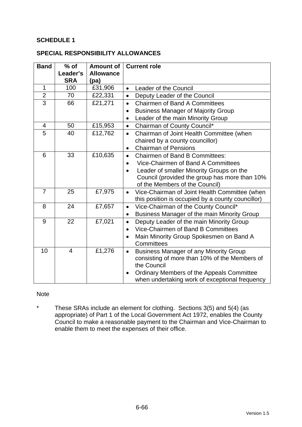# **SCHEDULE 1**

#### **SPECIAL RESPONSIBILITY ALLOWANCES**

| <b>Band</b>    | $%$ of                 | <b>Amount of</b>         | <b>Current role</b>                                        |  |
|----------------|------------------------|--------------------------|------------------------------------------------------------|--|
|                | Leader's<br><b>SRA</b> | <b>Allowance</b><br>(pa) |                                                            |  |
| $\mathbf{1}$   | 100                    | £31,906                  | Leader of the Council<br>$\bullet$                         |  |
| $\overline{2}$ | 70                     | £22,331                  | Deputy Leader of the Council<br>$\bullet$                  |  |
| $\overline{3}$ | 66                     | £21,271                  | <b>Chairmen of Band A Committees</b><br>$\bullet$          |  |
|                |                        |                          | <b>Business Manager of Majority Group</b><br>$\bullet$     |  |
|                |                        |                          | Leader of the main Minority Group                          |  |
| $\overline{4}$ | 50                     | £15,953                  | Chairman of County Council*<br>$\bullet$                   |  |
| 5              | 40                     | £12,762                  | Chairman of Joint Health Committee (when<br>$\bullet$      |  |
|                |                        |                          | chaired by a county councillor)                            |  |
|                |                        |                          | <b>Chairman of Pensions</b><br>$\bullet$                   |  |
| 6              | 33                     | £10,635                  | <b>Chairmen of Band B Committees:</b><br>$\bullet$         |  |
|                |                        |                          | Vice-Chairmen of Band A Committees                         |  |
|                |                        |                          | Leader of smaller Minority Groups on the<br>$\bullet$      |  |
|                |                        |                          | Council (provided the group has more than 10%              |  |
|                |                        |                          | of the Members of the Council)                             |  |
| $\overline{7}$ | 25                     | £7,975                   | Vice-Chairman of Joint Health Committee (when<br>$\bullet$ |  |
|                |                        |                          | this position is occupied by a county councillor)          |  |
| 8              | 24                     | £7,657                   | Vice-Chairman of the County Council*<br>$\bullet$          |  |
|                |                        |                          | Business Manager of the main Minority Group<br>$\bullet$   |  |
| 9              | 22                     | £7,021                   | Deputy Leader of the main Minority Group<br>$\bullet$      |  |
|                |                        |                          | Vice-Chairmen of Band B Committees<br>$\bullet$            |  |
|                |                        |                          | Main Minority Group Spokesmen on Band A                    |  |
|                |                        |                          | Committees                                                 |  |
| 10             | $\overline{4}$         | £1,276                   | <b>Business Manager of any Minority Group</b><br>$\bullet$ |  |
|                |                        |                          | consisting of more than 10% of the Members of              |  |
|                |                        |                          | the Council                                                |  |
|                |                        |                          | Ordinary Members of the Appeals Committee<br>$\bullet$     |  |
|                |                        |                          | when undertaking work of exceptional frequency             |  |

#### **Note**

\* These SRAs include an element for clothing. Sections 3(5) and 5(4) (as appropriate) of Part 1 of the Local Government Act 1972, enables the County Council to make a reasonable payment to the Chairman and Vice-Chairman to enable them to meet the expenses of their office.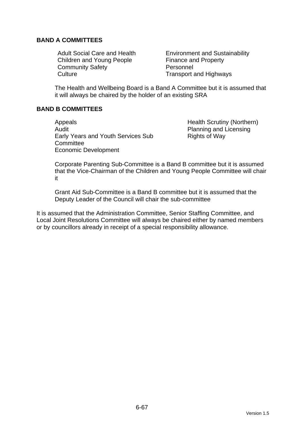# **BAND A COMMITTEES**

Children and Young People Finance and Property Community Safety **Personnel** Culture Culture **Transport and Highways** 

Adult Social Care and Health **Environment and Sustainability** 

The Health and Wellbeing Board is a Band A Committee but it is assumed that it will always be chaired by the holder of an existing SRA

## **BAND B COMMITTEES**

Appeals Appeals **Health Scrutiny (Northern)** Audit **Audit** Planning and Licensing Early Years and Youth Services Sub **Committee** Economic Development

Rights of Way

Corporate Parenting Sub-Committee is a Band B committee but it is assumed that the Vice-Chairman of the Children and Young People Committee will chair it

Grant Aid Sub-Committee is a Band B committee but it is assumed that the Deputy Leader of the Council will chair the sub-committee

It is assumed that the Administration Committee, Senior Staffing Committee, and Local Joint Resolutions Committee will always be chaired either by named members or by councillors already in receipt of a special responsibility allowance.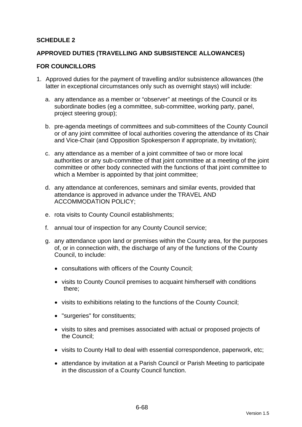# **SCHEDULE 2**

#### **APPROVED DUTIES (TRAVELLING AND SUBSISTENCE ALLOWANCES)**

#### **FOR COUNCILLORS**

- 1. Approved duties for the payment of travelling and/or subsistence allowances (the latter in exceptional circumstances only such as overnight stays) will include:
	- a. any attendance as a member or "observer" at meetings of the Council or its subordinate bodies (eg a committee, sub-committee, working party, panel, project steering group);
	- b. pre-agenda meetings of committees and sub-committees of the County Council or of any joint committee of local authorities covering the attendance of its Chair and Vice-Chair (and Opposition Spokesperson if appropriate, by invitation);
	- c. any attendance as a member of a joint committee of two or more local authorities or any sub-committee of that joint committee at a meeting of the joint committee or other body connected with the functions of that joint committee to which a Member is appointed by that joint committee;
	- d. any attendance at conferences, seminars and similar events, provided that attendance is approved in advance under the TRAVEL AND ACCOMMODATION POLICY;
	- e. rota visits to County Council establishments;
	- f. annual tour of inspection for any County Council service;
	- g. any attendance upon land or premises within the County area, for the purposes of, or in connection with, the discharge of any of the functions of the County Council, to include:
		- consultations with officers of the County Council;
		- visits to County Council premises to acquaint him/herself with conditions there;
		- visits to exhibitions relating to the functions of the County Council;
		- "surgeries" for constituents;
		- visits to sites and premises associated with actual or proposed projects of the Council;
		- visits to County Hall to deal with essential correspondence, paperwork, etc;
		- attendance by invitation at a Parish Council or Parish Meeting to participate in the discussion of a County Council function.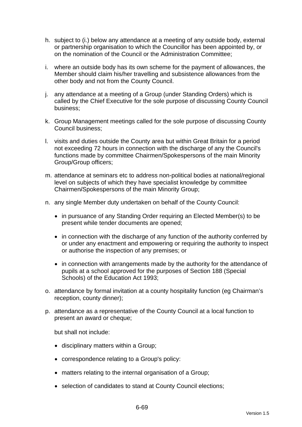- h. subject to (i.) below any attendance at a meeting of any outside body, external or partnership organisation to which the Councillor has been appointed by, or on the nomination of the Council or the Administration Committee;
- i. where an outside body has its own scheme for the payment of allowances, the Member should claim his/her travelling and subsistence allowances from the other body and not from the County Council.
- j. any attendance at a meeting of a Group (under Standing Orders) which is called by the Chief Executive for the sole purpose of discussing County Council business;
- k. Group Management meetings called for the sole purpose of discussing County Council business;
- l. visits and duties outside the County area but within Great Britain for a period not exceeding 72 hours in connection with the discharge of any the Council's functions made by committee Chairmen/Spokespersons of the main Minority Group/Group officers;
- m. attendance at seminars etc to address non-political bodies at national/regional level on subjects of which they have specialist knowledge by committee Chairmen/Spokespersons of the main Minority Group;
- n. any single Member duty undertaken on behalf of the County Council:
	- in pursuance of any Standing Order requiring an Elected Member(s) to be present while tender documents are opened;
	- in connection with the discharge of any function of the authority conferred by or under any enactment and empowering or requiring the authority to inspect or authorise the inspection of any premises; or
	- in connection with arrangements made by the authority for the attendance of pupils at a school approved for the purposes of Section 188 (Special Schools) of the Education Act 1993;
- o. attendance by formal invitation at a county hospitality function (eg Chairman's reception, county dinner);
- p. attendance as a representative of the County Council at a local function to present an award or cheque;

but shall not include:

- disciplinary matters within a Group;
- correspondence relating to a Group's policy:
- matters relating to the internal organisation of a Group;
- selection of candidates to stand at County Council elections;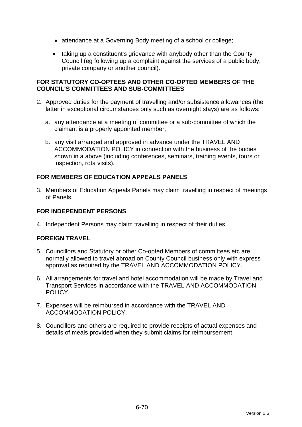- attendance at a Governing Body meeting of a school or college;
- taking up a constituent's grievance with anybody other than the County Council (eg following up a complaint against the services of a public body, private company or another council).

# **FOR STATUTORY CO-OPTEES AND OTHER CO-OPTED MEMBERS OF THE COUNCIL'S COMMITTEES AND SUB-COMMITTEES**

- 2. Approved duties for the payment of travelling and/or subsistence allowances (the latter in exceptional circumstances only such as overnight stays) are as follows:
	- a. any attendance at a meeting of committee or a sub-committee of which the claimant is a properly appointed member;
	- b. any visit arranged and approved in advance under the TRAVEL AND ACCOMMODATION POLICY in connection with the business of the bodies shown in a above (including conferences, seminars, training events, tours or inspection, rota visits).

# **FOR MEMBERS OF EDUCATION APPEALS PANELS**

3. Members of Education Appeals Panels may claim travelling in respect of meetings of Panels.

# **FOR INDEPENDENT PERSONS**

4. Independent Persons may claim travelling in respect of their duties.

# **FOREIGN TRAVEL**

- 5. Councillors and Statutory or other Co-opted Members of committees etc are normally allowed to travel abroad on County Council business only with express approval as required by the TRAVEL AND ACCOMMODATION POLICY.
- 6. All arrangements for travel and hotel accommodation will be made by Travel and Transport Services in accordance with the TRAVEL AND ACCOMMODATION POLICY.
- 7. Expenses will be reimbursed in accordance with the TRAVEL AND ACCOMMODATION POLICY.
- 8. Councillors and others are required to provide receipts of actual expenses and details of meals provided when they submit claims for reimbursement.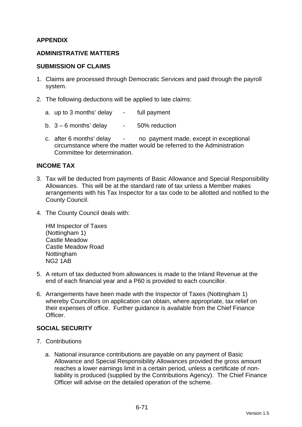# **APPENDIX**

#### **ADMINISTRATIVE MATTERS**

#### **SUBMISSION OF CLAIMS**

- 1. Claims are processed through Democratic Services and paid through the payroll system.
- 2. The following deductions will be applied to late claims:
	- a. up to 3 months' delay full payment
	- b.  $3 6$  months' delay  $-50\%$  reduction
	- c. after 6 months' delay no payment made, except in exceptional circumstance where the matter would be referred to the Administration Committee for determination.

## **INCOME TAX**

- 3. Tax will be deducted from payments of Basic Allowance and Special Responsibility Allowances. This will be at the standard rate of tax unless a Member makes arrangements with his Tax Inspector for a tax code to be allotted and notified to the County Council.
- 4. The County Council deals with:

HM Inspector of Taxes (Nottingham 1) Castle Meadow Castle Meadow Road Nottingham NG2 1AB

- 5. A return of tax deducted from allowances is made to the Inland Revenue at the end of each financial year and a P60 is provided to each councillor.
- 6. Arrangements have been made with the Inspector of Taxes (Nottingham 1) whereby Councillors on application can obtain, where appropriate, tax relief on their expenses of office. Further guidance is available from the Chief Finance Officer.

#### **SOCIAL SECURITY**

- 7. Contributions
	- a. National insurance contributions are payable on any payment of Basic Allowance and Special Responsibility Allowances provided the gross amount reaches a lower earnings limit in a certain period, unless a certificate of nonliability is produced (supplied by the Contributions Agency). The Chief Finance Officer will advise on the detailed operation of the scheme.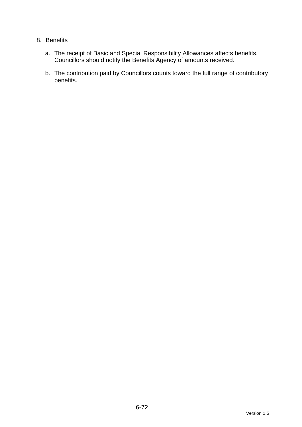# 8. Benefits

- a. The receipt of Basic and Special Responsibility Allowances affects benefits. Councillors should notify the Benefits Agency of amounts received.
- b. The contribution paid by Councillors counts toward the full range of contributory benefits.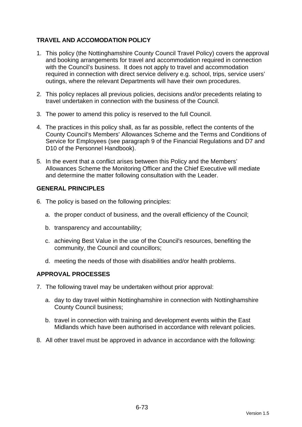# **TRAVEL AND ACCOMODATION POLICY**

- 1. This policy (the Nottinghamshire County Council Travel Policy) covers the approval and booking arrangements for travel and accommodation required in connection with the Council's business. It does not apply to travel and accommodation required in connection with direct service delivery e.g. school, trips, service users' outings, where the relevant Departments will have their own procedures.
- 2. This policy replaces all previous policies, decisions and/or precedents relating to travel undertaken in connection with the business of the Council.
- 3. The power to amend this policy is reserved to the full Council.
- 4. The practices in this policy shall, as far as possible, reflect the contents of the County Council's Members' Allowances Scheme and the Terms and Conditions of Service for Employees (see paragraph 9 of the Financial Regulations and D7 and D10 of the Personnel Handbook).
- 5. In the event that a conflict arises between this Policy and the Members' Allowances Scheme the Monitoring Officer and the Chief Executive will mediate and determine the matter following consultation with the Leader.

#### **GENERAL PRINCIPLES**

- 6. The policy is based on the following principles:
	- a. the proper conduct of business, and the overall efficiency of the Council;
	- b. transparency and accountability;
	- c. achieving Best Value in the use of the Council's resources, benefiting the community, the Council and councillors;
	- d. meeting the needs of those with disabilities and/or health problems.

#### **APPROVAL PROCESSES**

- 7. The following travel may be undertaken without prior approval:
	- a. day to day travel within Nottinghamshire in connection with Nottinghamshire County Council business;
	- b. travel in connection with training and development events within the East Midlands which have been authorised in accordance with relevant policies.
- 8. All other travel must be approved in advance in accordance with the following: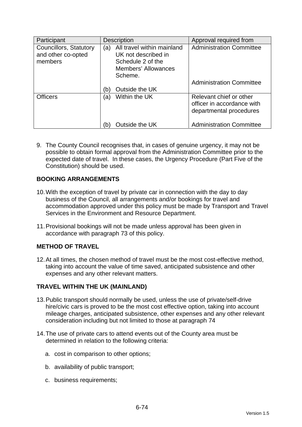| Participant                                             | <b>Description</b>                                                                                                     | Approval required from                                                           |
|---------------------------------------------------------|------------------------------------------------------------------------------------------------------------------------|----------------------------------------------------------------------------------|
| Councillors, Statutory<br>and other co-opted<br>members | All travel within mainland<br>(a)<br>UK not described in<br>Schedule 2 of the<br><b>Members' Allowances</b><br>Scheme. | <b>Administration Committee</b>                                                  |
|                                                         | Outside the UK<br>(b)                                                                                                  | <b>Administration Committee</b>                                                  |
| <b>Officers</b>                                         | Within the UK<br>(a)                                                                                                   | Relevant chief or other<br>officer in accordance with<br>departmental procedures |
|                                                         | Outside the UK<br>(b)                                                                                                  | <b>Administration Committee</b>                                                  |

9. The County Council recognises that, in cases of genuine urgency, it may not be possible to obtain formal approval from the Administration Committee prior to the expected date of travel. In these cases, the Urgency Procedure (Part Five of the Constitution) should be used.

# **BOOKING ARRANGEMENTS**

- 10. With the exception of travel by private car in connection with the day to day business of the Council, all arrangements and/or bookings for travel and accommodation approved under this policy must be made by Transport and Travel Services in the Environment and Resource Department.
- 11. Provisional bookings will not be made unless approval has been given in accordance with paragraph 73 of this policy.

#### **METHOD OF TRAVEL**

12. At all times, the chosen method of travel must be the most cost-effective method, taking into account the value of time saved, anticipated subsistence and other expenses and any other relevant matters.

#### **TRAVEL WITHIN THE UK (MAINLAND)**

- 13. Public transport should normally be used, unless the use of private/self-drive hire/civic cars is proved to be the most cost effective option, taking into account mileage charges, anticipated subsistence, other expenses and any other relevant consideration including but not limited to those at paragraph 74
- 14. The use of private cars to attend events out of the County area must be determined in relation to the following criteria:
	- a. cost in comparison to other options;
	- b. availability of public transport;
	- c. business requirements;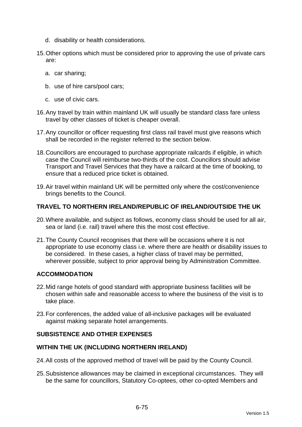- d. disability or health considerations.
- 15. Other options which must be considered prior to approving the use of private cars are:
	- a. car sharing;
	- b. use of hire cars/pool cars;
	- c. use of civic cars.
- 16. Any travel by train within mainland UK will usually be standard class fare unless travel by other classes of ticket is cheaper overall.
- 17. Any councillor or officer requesting first class rail travel must give reasons which shall be recorded in the register referred to the section below.
- 18. Councillors are encouraged to purchase appropriate railcards if eligible, in which case the Council will reimburse two-thirds of the cost. Councillors should advise Transport and Travel Services that they have a railcard at the time of booking, to ensure that a reduced price ticket is obtained.
- 19. Air travel within mainland UK will be permitted only where the cost/convenience brings benefits to the Council.

# **TRAVEL TO NORTHERN IRELAND/REPUBLIC OF IRELAND/OUTSIDE THE UK**

- 20. Where available, and subject as follows, economy class should be used for all air, sea or land (i.e. rail) travel where this the most cost effective.
- 21. The County Council recognises that there will be occasions where it is not appropriate to use economy class i.e. where there are health or disability issues to be considered. In these cases, a higher class of travel may be permitted, wherever possible, subject to prior approval being by Administration Committee.

# **ACCOMMODATION**

- 22. Mid range hotels of good standard with appropriate business facilities will be chosen within safe and reasonable access to where the business of the visit is to take place.
- 23. For conferences, the added value of all-inclusive packages will be evaluated against making separate hotel arrangements.

#### **SUBSISTENCE AND OTHER EXPENSES**

#### **WITHIN THE UK (INCLUDING NORTHERN IRELAND)**

- 24. All costs of the approved method of travel will be paid by the County Council.
- 25. Subsistence allowances may be claimed in exceptional circumstances. They will be the same for councillors, Statutory Co-optees, other co-opted Members and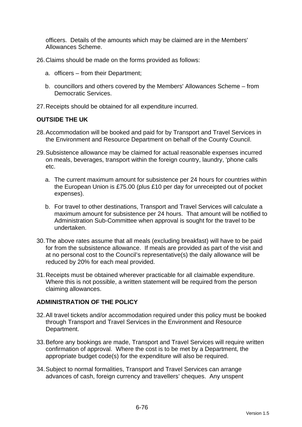officers. Details of the amounts which may be claimed are in the Members' Allowances Scheme.

- 26. Claims should be made on the forms provided as follows:
	- a. officers from their Department;
	- b. councillors and others covered by the Members' Allowances Scheme from Democratic Services.
- 27. Receipts should be obtained for all expenditure incurred.

# **OUTSIDE THE UK**

- 28. Accommodation will be booked and paid for by Transport and Travel Services in the Environment and Resource Department on behalf of the County Council.
- 29. Subsistence allowance may be claimed for actual reasonable expenses incurred on meals, beverages, transport within the foreign country, laundry, 'phone calls etc.
	- a. The current maximum amount for subsistence per 24 hours for countries within the European Union is £75.00 (plus £10 per day for unreceipted out of pocket expenses).
	- b. For travel to other destinations, Transport and Travel Services will calculate a maximum amount for subsistence per 24 hours. That amount will be notified to Administration Sub-Committee when approval is sought for the travel to be undertaken.
- 30. The above rates assume that all meals (excluding breakfast) will have to be paid for from the subsistence allowance. If meals are provided as part of the visit and at no personal cost to the Council's representative(s) the daily allowance will be reduced by 20% for each meal provided.
- 31. Receipts must be obtained wherever practicable for all claimable expenditure. Where this is not possible, a written statement will be required from the person claiming allowances.

#### **ADMINISTRATION OF THE POLICY**

- 32. All travel tickets and/or accommodation required under this policy must be booked through Transport and Travel Services in the Environment and Resource Department.
- 33. Before any bookings are made, Transport and Travel Services will require written confirmation of approval. Where the cost is to be met by a Department, the appropriate budget code(s) for the expenditure will also be required.
- 34. Subject to normal formalities, Transport and Travel Services can arrange advances of cash, foreign currency and travellers' cheques. Any unspent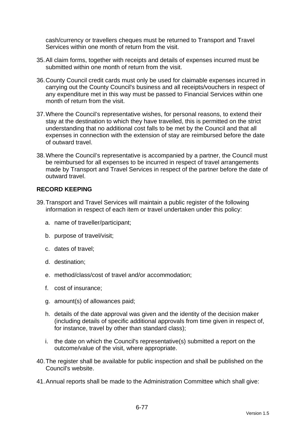cash/currency or travellers cheques must be returned to Transport and Travel Services within one month of return from the visit.

- 35. All claim forms, together with receipts and details of expenses incurred must be submitted within one month of return from the visit.
- 36. County Council credit cards must only be used for claimable expenses incurred in carrying out the County Council's business and all receipts/vouchers in respect of any expenditure met in this way must be passed to Financial Services within one month of return from the visit.
- 37. Where the Council's representative wishes, for personal reasons, to extend their stay at the destination to which they have travelled, this is permitted on the strict understanding that no additional cost falls to be met by the Council and that all expenses in connection with the extension of stay are reimbursed before the date of outward travel.
- 38. Where the Council's representative is accompanied by a partner, the Council must be reimbursed for all expenses to be incurred in respect of travel arrangements made by Transport and Travel Services in respect of the partner before the date of outward travel.

## **RECORD KEEPING**

- 39. Transport and Travel Services will maintain a public register of the following information in respect of each item or travel undertaken under this policy:
	- a. name of traveller/participant;
	- b. purpose of travel/visit;
	- c. dates of travel;
	- d. destination;
	- e. method/class/cost of travel and/or accommodation;
	- f. cost of insurance;
	- g. amount(s) of allowances paid;
	- h. details of the date approval was given and the identity of the decision maker (including details of specific additional approvals from time given in respect of, for instance, travel by other than standard class);
	- i. the date on which the Council's representative(s) submitted a report on the outcome/value of the visit, where appropriate.
- 40. The register shall be available for public inspection and shall be published on the Council's website.
- 41. Annual reports shall be made to the Administration Committee which shall give: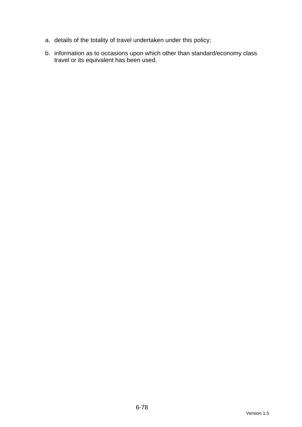- a. details of the totality of travel undertaken under this policy;
- b. information as to occasions upon which other than standard/economy class travel or its equivalent has been used.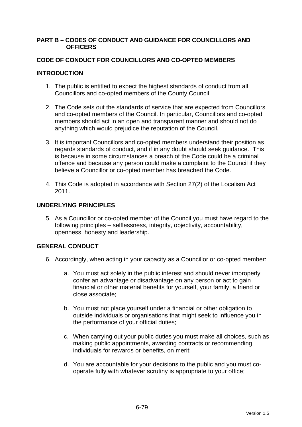### **PART B – CODES OF CONDUCT AND GUIDANCE FOR COUNCILLORS AND OFFICERS**

### **CODE OF CONDUCT FOR COUNCILLORS AND CO-OPTED MEMBERS**

### **INTRODUCTION**

- 1. The public is entitled to expect the highest standards of conduct from all Councillors and co-opted members of the County Council.
- 2. The Code sets out the standards of service that are expected from Councillors and co-opted members of the Council. In particular, Councillors and co-opted members should act in an open and transparent manner and should not do anything which would prejudice the reputation of the Council.
- 3. It is important Councillors and co-opted members understand their position as regards standards of conduct, and if in any doubt should seek guidance. This is because in some circumstances a breach of the Code could be a criminal offence and because any person could make a complaint to the Council if they believe a Councillor or co-opted member has breached the Code.
- 4. This Code is adopted in accordance with Section 27(2) of the Localism Act 2011.

### **UNDERLYING PRINCIPLES**

5. As a Councillor or co-opted member of the Council you must have regard to the following principles – selflessness, integrity, objectivity, accountability, openness, honesty and leadership.

## **GENERAL CONDUCT**

- 6. Accordingly, when acting in your capacity as a Councillor or co-opted member:
	- a. You must act solely in the public interest and should never improperly confer an advantage or disadvantage on any person or act to gain financial or other material benefits for yourself, your family, a friend or close associate;
	- b. You must not place yourself under a financial or other obligation to outside individuals or organisations that might seek to influence you in the performance of your official duties;
	- c. When carrying out your public duties you must make all choices, such as making public appointments, awarding contracts or recommending individuals for rewards or benefits, on merit;
	- d. You are accountable for your decisions to the public and you must cooperate fully with whatever scrutiny is appropriate to your office;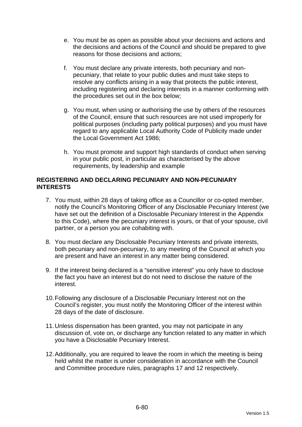- e. You must be as open as possible about your decisions and actions and the decisions and actions of the Council and should be prepared to give reasons for those decisions and actions;
- f. You must declare any private interests, both pecuniary and nonpecuniary, that relate to your public duties and must take steps to resolve any conflicts arising in a way that protects the public interest, including registering and declaring interests in a manner conforming with the procedures set out in the box below;
- g. You must, when using or authorising the use by others of the resources of the Council, ensure that such resources are not used improperly for political purposes (including party political purposes) and you must have regard to any applicable Local Authority Code of Publicity made under the Local Government Act 1986;
- h. You must promote and support high standards of conduct when serving in your public post, in particular as characterised by the above requirements, by leadership and example

### **REGISTERING AND DECLARING PECUNIARY AND NON-PECUNIARY INTERESTS**

- 7. You must, within 28 days of taking office as a Councillor or co-opted member, notify the Council's Monitoring Officer of any Disclosable Pecuniary Interest (we have set out the definition of a Disclosable Pecuniary Interest in the Appendix to this Code), where the pecuniary interest is yours, or that of your spouse, civil partner, or a person you are cohabiting with.
- 8. You must declare any Disclosable Pecuniary Interests and private interests, both pecuniary and non-pecuniary, to any meeting of the Council at which you are present and have an interest in any matter being considered.
- 9. If the interest being declared is a "sensitive interest" you only have to disclose the fact you have an interest but do not need to disclose the nature of the interest.
- 10. Following any disclosure of a Disclosable Pecuniary Interest not on the Council's register, you must notify the Monitoring Officer of the interest within 28 days of the date of disclosure.
- 11. Unless dispensation has been granted, you may not participate in any discussion of, vote on, or discharge any function related to any matter in which you have a Disclosable Pecuniary Interest.
- 12. Additionally, you are required to leave the room in which the meeting is being held whilst the matter is under consideration in accordance with the Council and Committee procedure rules, paragraphs 17 and 12 respectively.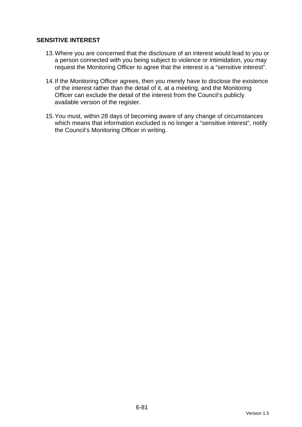## **SENSITIVE INTEREST**

- 13. Where you are concerned that the disclosure of an interest would lead to you or a person connected with you being subject to violence or intimidation, you may request the Monitoring Officer to agree that the interest is a "sensitive interest".
- 14. If the Monitoring Officer agrees, then you merely have to disclose the existence of the interest rather than the detail of it, at a meeting, and the Monitoring Officer can exclude the detail of the interest from the Council's publicly available version of the register.
- 15. You must, within 28 days of becoming aware of any change of circumstances which means that information excluded is no longer a "sensitive interest", notify the Council's Monitoring Officer in writing.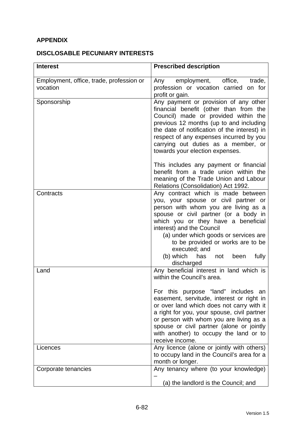# **APPENDIX**

## **DISCLOSABLE PECUNIARY INTERESTS**

| <b>Interest</b>                                      | <b>Prescribed description</b>                                                                                                                                                                                                                                                                                                                                                                               |
|------------------------------------------------------|-------------------------------------------------------------------------------------------------------------------------------------------------------------------------------------------------------------------------------------------------------------------------------------------------------------------------------------------------------------------------------------------------------------|
| Employment, office, trade, profession or<br>vocation | Any employment, office,<br>trade,<br>profession or vocation carried on for<br>profit or gain.                                                                                                                                                                                                                                                                                                               |
| Sponsorship                                          | Any payment or provision of any other<br>financial benefit (other than from the<br>Council) made or provided within the<br>previous 12 months (up to and including<br>the date of notification of the interest) in<br>respect of any expenses incurred by you<br>carrying out duties as a member, or<br>towards your election expenses.                                                                     |
|                                                      | This includes any payment or financial<br>benefit from a trade union within the<br>meaning of the Trade Union and Labour<br>Relations (Consolidation) Act 1992.                                                                                                                                                                                                                                             |
| Contracts                                            | Any contract which is made between<br>you, your spouse or civil partner or<br>person with whom you are living as a<br>spouse or civil partner (or a body in<br>which you or they have a beneficial<br>interest) and the Council<br>(a) under which goods or services are<br>to be provided or works are to be<br>executed; and<br>(b) which<br>fully<br>has<br>been<br>not<br>discharged                    |
| Land                                                 | Any beneficial interest in land which is<br>within the Council's area.<br>For this purpose "land" includes an<br>easement, servitude, interest or right in<br>or over land which does not carry with it<br>a right for you, your spouse, civil partner<br>or person with whom you are living as a<br>spouse or civil partner (alone or jointly<br>with another) to occupy the land or to<br>receive income. |
| Licences                                             | Any licence (alone or jointly with others)<br>to occupy land in the Council's area for a<br>month or longer.                                                                                                                                                                                                                                                                                                |
| Corporate tenancies                                  | Any tenancy where (to your knowledge)<br>(a) the landlord is the Council; and                                                                                                                                                                                                                                                                                                                               |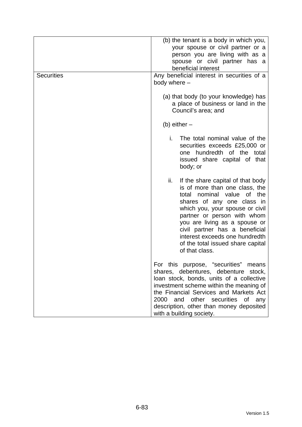| <b>Securities</b> | (b) the tenant is a body in which you,<br>your spouse or civil partner or a<br>person you are living with as a<br>spouse or civil partner has a<br>beneficial interest<br>Any beneficial interest in securities of a<br>body where -                                                                                                                                       |
|-------------------|----------------------------------------------------------------------------------------------------------------------------------------------------------------------------------------------------------------------------------------------------------------------------------------------------------------------------------------------------------------------------|
|                   | (a) that body (to your knowledge) has<br>a place of business or land in the<br>Council's area; and                                                                                                                                                                                                                                                                         |
|                   | (b) either $-$                                                                                                                                                                                                                                                                                                                                                             |
|                   | i.<br>The total nominal value of the<br>securities exceeds £25,000 or<br>one hundredth of the total<br>issued share capital of that<br>body; or                                                                                                                                                                                                                            |
|                   | ii.<br>If the share capital of that body<br>is of more than one class, the<br>nominal value<br>of the<br>total<br>shares of any one class in<br>which you, your spouse or civil<br>partner or person with whom<br>you are living as a spouse or<br>civil partner has a beneficial<br>interest exceeds one hundredth<br>of the total issued share capital<br>of that class. |
|                   | For this purpose, "securities"<br>means<br>shares, debentures, debenture stock,<br>loan stock, bonds, units of a collective<br>investment scheme within the meaning of<br>the Financial Services and Markets Act<br>2000<br>and other securities of<br>any<br>description, other than money deposited<br>with a building society.                                          |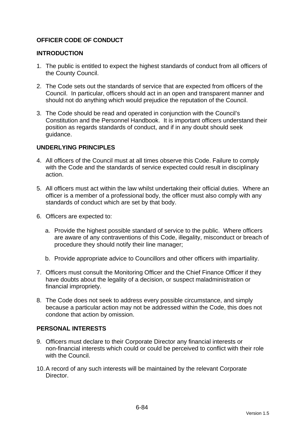## **OFFICER CODE OF CONDUCT**

### **INTRODUCTION**

- 1. The public is entitled to expect the highest standards of conduct from all officers of the County Council.
- 2. The Code sets out the standards of service that are expected from officers of the Council. In particular, officers should act in an open and transparent manner and should not do anything which would prejudice the reputation of the Council.
- 3. The Code should be read and operated in conjunction with the Council's Constitution and the Personnel Handbook. It is important officers understand their position as regards standards of conduct, and if in any doubt should seek guidance.

### **UNDERLYING PRINCIPLES**

- 4. All officers of the Council must at all times observe this Code. Failure to comply with the Code and the standards of service expected could result in disciplinary action.
- 5. All officers must act within the law whilst undertaking their official duties. Where an officer is a member of a professional body, the officer must also comply with any standards of conduct which are set by that body.
- 6. Officers are expected to:
	- a. Provide the highest possible standard of service to the public. Where officers are aware of any contraventions of this Code, illegality, misconduct or breach of procedure they should notify their line manager;
	- b. Provide appropriate advice to Councillors and other officers with impartiality.
- 7. Officers must consult the Monitoring Officer and the Chief Finance Officer if they have doubts about the legality of a decision, or suspect maladministration or financial impropriety.
- 8. The Code does not seek to address every possible circumstance, and simply because a particular action may not be addressed within the Code, this does not condone that action by omission.

#### **PERSONAL INTERESTS**

- 9. Officers must declare to their Corporate Director any financial interests or non-financial interests which could or could be perceived to conflict with their role with the Council.
- 10. A record of any such interests will be maintained by the relevant Corporate **Director**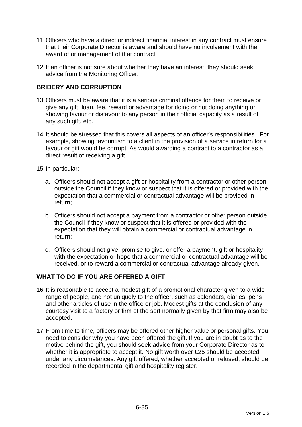- 11. Officers who have a direct or indirect financial interest in any contract must ensure that their Corporate Director is aware and should have no involvement with the award of or management of that contract.
- 12. If an officer is not sure about whether they have an interest, they should seek advice from the Monitoring Officer.

## **BRIBERY AND CORRUPTION**

- 13. Officers must be aware that it is a serious criminal offence for them to receive or give any gift, loan, fee, reward or advantage for doing or not doing anything or showing favour or disfavour to any person in their official capacity as a result of any such gift, etc.
- 14. It should be stressed that this covers all aspects of an officer's responsibilities. For example, showing favouritism to a client in the provision of a service in return for a favour or gift would be corrupt. As would awarding a contract to a contractor as a direct result of receiving a gift.
- 15. In particular:
	- a. Officers should not accept a gift or hospitality from a contractor or other person outside the Council if they know or suspect that it is offered or provided with the expectation that a commercial or contractual advantage will be provided in return;
	- b. Officers should not accept a payment from a contractor or other person outside the Council if they know or suspect that it is offered or provided with the expectation that they will obtain a commercial or contractual advantage in return;
	- c. Officers should not give, promise to give, or offer a payment, gift or hospitality with the expectation or hope that a commercial or contractual advantage will be received, or to reward a commercial or contractual advantage already given.

#### **WHAT TO DO IF YOU ARE OFFERED A GIFT**

- 16. It is reasonable to accept a modest gift of a promotional character given to a wide range of people, and not uniquely to the officer, such as calendars, diaries, pens and other articles of use in the office or job. Modest gifts at the conclusion of any courtesy visit to a factory or firm of the sort normally given by that firm may also be accepted.
- 17. From time to time, officers may be offered other higher value or personal gifts. You need to consider why you have been offered the gift. If you are in doubt as to the motive behind the gift, you should seek advice from your Corporate Director as to whether it is appropriate to accept it. No gift worth over £25 should be accepted under any circumstances. Any gift offered, whether accepted or refused, should be recorded in the departmental gift and hospitality register.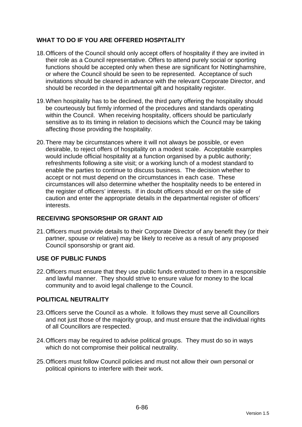## **WHAT TO DO IF YOU ARE OFFERED HOSPITALITY**

- 18. Officers of the Council should only accept offers of hospitality if they are invited in their role as a Council representative. Offers to attend purely social or sporting functions should be accepted only when these are significant for Nottinghamshire, or where the Council should be seen to be represented. Acceptance of such invitations should be cleared in advance with the relevant Corporate Director, and should be recorded in the departmental gift and hospitality register.
- 19. When hospitality has to be declined, the third party offering the hospitality should be courteously but firmly informed of the procedures and standards operating within the Council. When receiving hospitality, officers should be particularly sensitive as to its timing in relation to decisions which the Council may be taking affecting those providing the hospitality.
- 20. There may be circumstances where it will not always be possible, or even desirable, to reject offers of hospitality on a modest scale. Acceptable examples would include official hospitality at a function organised by a public authority; refreshments following a site visit; or a working lunch of a modest standard to enable the parties to continue to discuss business. The decision whether to accept or not must depend on the circumstances in each case. These circumstances will also determine whether the hospitality needs to be entered in the register of officers' interests. If in doubt officers should err on the side of caution and enter the appropriate details in the departmental register of officers' interests.

## **RECEIVING SPONSORSHIP OR GRANT AID**

21. Officers must provide details to their Corporate Director of any benefit they (or their partner, spouse or relative) may be likely to receive as a result of any proposed Council sponsorship or grant aid.

## **USE OF PUBLIC FUNDS**

22. Officers must ensure that they use public funds entrusted to them in a responsible and lawful manner. They should strive to ensure value for money to the local community and to avoid legal challenge to the Council.

## **POLITICAL NEUTRALITY**

- 23. Officers serve the Council as a whole. It follows they must serve all Councillors and not just those of the majority group, and must ensure that the individual rights of all Councillors are respected.
- 24. Officers may be required to advise political groups. They must do so in ways which do not compromise their political neutrality.
- 25. Officers must follow Council policies and must not allow their own personal or political opinions to interfere with their work.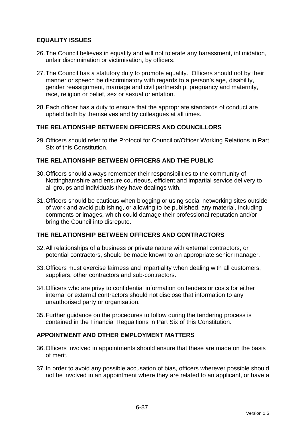## **EQUALITY ISSUES**

- 26. The Council believes in equality and will not tolerate any harassment, intimidation, unfair discrimination or victimisation, by officers.
- 27. The Council has a statutory duty to promote equality. Officers should not by their manner or speech be discriminatory with regards to a person's age, disability, gender reassignment, marriage and civil partnership, pregnancy and maternity, race, religion or belief, sex or sexual orientation.
- 28. Each officer has a duty to ensure that the appropriate standards of conduct are upheld both by themselves and by colleagues at all times.

### **THE RELATIONSHIP BETWEEN OFFICERS AND COUNCILLORS**

29. Officers should refer to the Protocol for Councillor/Officer Working Relations in Part Six of this Constitution.

### **THE RELATIONSHIP BETWEEN OFFICERS AND THE PUBLIC**

- 30. Officers should always remember their responsibilities to the community of Nottinghamshire and ensure courteous, efficient and impartial service delivery to all groups and individuals they have dealings with.
- 31. Officers should be cautious when blogging or using social networking sites outside of work and avoid publishing, or allowing to be published, any material, including comments or images, which could damage their professional reputation and/or bring the Council into disrepute.

### **THE RELATIONSHIP BETWEEN OFFICERS AND CONTRACTORS**

- 32. All relationships of a business or private nature with external contractors, or potential contractors, should be made known to an appropriate senior manager.
- 33. Officers must exercise fairness and impartiality when dealing with all customers, suppliers, other contractors and sub-contractors.
- 34. Officers who are privy to confidential information on tenders or costs for either internal or external contractors should not disclose that information to any unauthorised party or organisation.
- 35. Further guidance on the procedures to follow during the tendering process is contained in the Financial Regualtions in Part Six of this Constitution.

#### **APPOINTMENT AND OTHER EMPLOYMENT MATTERS**

- 36. Officers involved in appointments should ensure that these are made on the basis of merit.
- 37. In order to avoid any possible accusation of bias, officers wherever possible should not be involved in an appointment where they are related to an applicant, or have a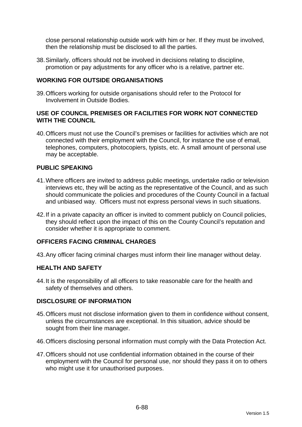close personal relationship outside work with him or her. If they must be involved, then the relationship must be disclosed to all the parties.

38. Similarly, officers should not be involved in decisions relating to discipline, promotion or pay adjustments for any officer who is a relative, partner etc.

### **WORKING FOR OUTSIDE ORGANISATIONS**

39. Officers working for outside organisations should refer to the Protocol for Involvement in Outside Bodies.

### **USE OF COUNCIL PREMISES OR FACILITIES FOR WORK NOT CONNECTED WITH THE COUNCIL**

40. Officers must not use the Council's premises or facilities for activities which are not connected with their employment with the Council, for instance the use of email, telephones, computers, photocopiers, typists, etc. A small amount of personal use may be acceptable.

### **PUBLIC SPEAKING**

- 41. Where officers are invited to address public meetings, undertake radio or television interviews etc, they will be acting as the representative of the Council, and as such should communicate the policies and procedures of the County Council in a factual and unbiased way. Officers must not express personal views in such situations.
- 42. If in a private capacity an officer is invited to comment publicly on Council policies, they should reflect upon the impact of this on the County Council's reputation and consider whether it is appropriate to comment.

### **OFFICERS FACING CRIMINAL CHARGES**

43. Any officer facing criminal charges must inform their line manager without delay.

#### **HEALTH AND SAFETY**

44. It is the responsibility of all officers to take reasonable care for the health and safety of themselves and others.

#### **DISCLOSURE OF INFORMATION**

- 45. Officers must not disclose information given to them in confidence without consent, unless the circumstances are exceptional. In this situation, advice should be sought from their line manager.
- 46. Officers disclosing personal information must comply with the Data Protection Act.
- 47. Officers should not use confidential information obtained in the course of their employment with the Council for personal use, nor should they pass it on to others who might use it for unauthorised purposes.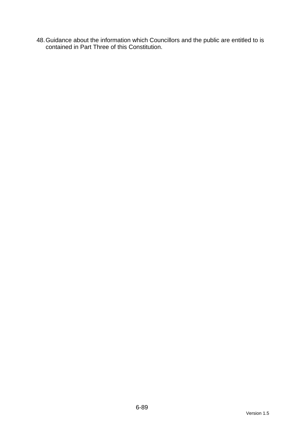48. Guidance about the information which Councillors and the public are entitled to is contained in Part Three of this Constitution.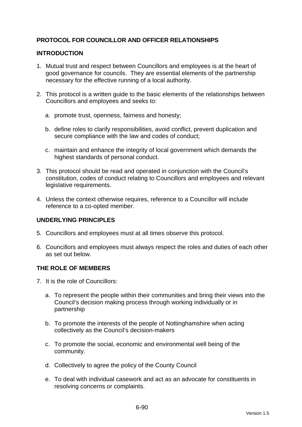## **PROTOCOL FOR COUNCILLOR AND OFFICER RELATIONSHIPS**

### **INTRODUCTION**

- 1. Mutual trust and respect between Councillors and employees is at the heart of good governance for councils. They are essential elements of the partnership necessary for the effective running of a local authority.
- 2. This protocol is a written guide to the basic elements of the relationships between Councillors and employees and seeks to:
	- a. promote trust, openness, fairness and honesty;
	- b. define roles to clarify responsibilities, avoid conflict, prevent duplication and secure compliance with the law and codes of conduct;
	- c. maintain and enhance the integrity of local government which demands the highest standards of personal conduct.
- 3. This protocol should be read and operated in conjunction with the Council's constitution, codes of conduct relating to Councillors and employees and relevant legislative requirements.
- 4. Unless the context otherwise requires, reference to a Councillor will include reference to a co-opted member.

#### **UNDERLYING PRINCIPLES**

- 5. Councillors and employees must at all times observe this protocol.
- 6. Councillors and employees must always respect the roles and duties of each other as set out below.

#### **THE ROLE OF MEMBERS**

- 7. It is the role of Councillors:
	- a. To represent the people within their communities and bring their views into the Council's decision making process through working individually or in partnership
	- b. To promote the interests of the people of Nottinghamshire when acting collectively as the Council's decision-makers
	- c. To promote the social, economic and environmental well being of the community.
	- d. Collectively to agree the policy of the County Council
	- e. To deal with individual casework and act as an advocate for constituents in resolving concerns or complaints.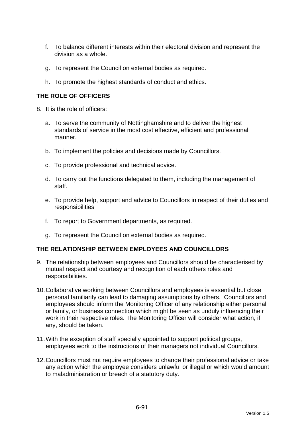- f. To balance different interests within their electoral division and represent the division as a whole.
- g. To represent the Council on external bodies as required.
- h. To promote the highest standards of conduct and ethics.

## **THE ROLE OF OFFICERS**

- 8. It is the role of officers:
	- a. To serve the community of Nottinghamshire and to deliver the highest standards of service in the most cost effective, efficient and professional manner.
	- b. To implement the policies and decisions made by Councillors.
	- c. To provide professional and technical advice.
	- d. To carry out the functions delegated to them, including the management of staff.
	- e. To provide help, support and advice to Councillors in respect of their duties and responsibilities
	- f. To report to Government departments, as required.
	- g. To represent the Council on external bodies as required.

## **THE RELATIONSHIP BETWEEN EMPLOYEES AND COUNCILLORS**

- 9. The relationship between employees and Councillors should be characterised by mutual respect and courtesy and recognition of each others roles and responsibilities.
- 10. Collaborative working between Councillors and employees is essential but close personal familiarity can lead to damaging assumptions by others. Councillors and employees should inform the Monitoring Officer of any relationship either personal or family, or business connection which might be seen as unduly influencing their work in their respective roles. The Monitoring Officer will consider what action, if any, should be taken.
- 11. With the exception of staff specially appointed to support political groups, employees work to the instructions of their managers not individual Councillors.
- 12. Councillors must not require employees to change their professional advice or take any action which the employee considers unlawful or illegal or which would amount to maladministration or breach of a statutory duty.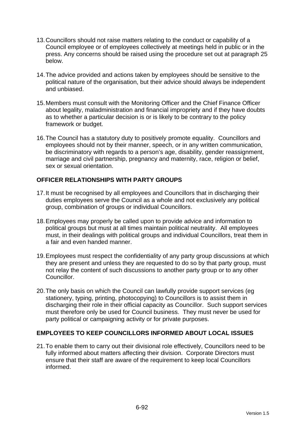- 13. Councillors should not raise matters relating to the conduct or capability of a Council employee or of employees collectively at meetings held in public or in the press. Any concerns should be raised using the procedure set out at paragraph 25 below.
- 14. The advice provided and actions taken by employees should be sensitive to the political nature of the organisation, but their advice should always be independent and unbiased.
- 15. Members must consult with the Monitoring Officer and the Chief Finance Officer about legality, maladministration and financial impropriety and if they have doubts as to whether a particular decision is or is likely to be contrary to the policy framework or budget.
- 16. The Council has a statutory duty to positively promote equality. Councillors and employees should not by their manner, speech, or in any written communication, be discriminatory with regards to a person's age, disability, gender reassignment, marriage and civil partnership, pregnancy and maternity, race, religion or belief, sex or sexual orientation.

## **OFFICER RELATIONSHIPS WITH PARTY GROUPS**

- 17. It must be recognised by all employees and Councillors that in discharging their duties employees serve the Council as a whole and not exclusively any political group, combination of groups or individual Councillors.
- 18. Employees may properly be called upon to provide advice and information to political groups but must at all times maintain political neutrality. All employees must, in their dealings with political groups and individual Councillors, treat them in a fair and even handed manner.
- 19. Employees must respect the confidentiality of any party group discussions at which they are present and unless they are requested to do so by that party group, must not relay the content of such discussions to another party group or to any other Councillor.
- 20. The only basis on which the Council can lawfully provide support services (eg stationery, typing, printing, photocopying) to Councillors is to assist them in discharging their role in their official capacity as Councillor. Such support services must therefore only be used for Council business. They must never be used for party political or campaigning activity or for private purposes.

## **EMPLOYEES TO KEEP COUNCILLORS INFORMED ABOUT LOCAL ISSUES**

21. To enable them to carry out their divisional role effectively, Councillors need to be fully informed about matters affecting their division. Corporate Directors must ensure that their staff are aware of the requirement to keep local Councillors informed.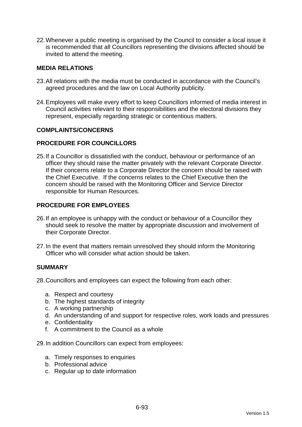22. Whenever a public meeting is organised by the Council to consider a local issue it is recommended that all Councillors representing the divisions affected should be invited to attend the meeting.

### **MEDIA RELATIONS**

- 23. All relations with the media must be conducted in accordance with the Council's agreed procedures and the law on Local Authority publicity.
- 24. Employees will make every effort to keep Councillors informed of media interest in Council activities relevant to their responsibilities and the electoral divisions they represent, especially regarding strategic or contentious matters.

#### **COMPLAINTS/CONCERNS**

#### **PROCEDURE FOR COUNCILLORS**

25. If a Councillor is dissatisfied with the conduct, behaviour or performance of an officer they should raise the matter privately with the relevant Corporate Director. If their concerns relate to a Corporate Director the concern should be raised with the Chief Executive. If the concerns relates to the Chief Executive then the concern should be raised with the Monitoring Officer and Service Director responsible for Human Resources.

### **PROCEDURE FOR EMPLOYEES**

- 26. If an employee is unhappy with the conduct or behaviour of a Councillor they should seek to resolve the matter by appropriate discussion and involvement of their Corporate Director.
- 27. In the event that matters remain unresolved they should inform the Monitoring Officer who will consider what action should be taken.

#### **SUMMARY**

28. Councillors and employees can expect the following from each other:

- a. Respect and courtesy
- b. The highest standards of integrity
- c. A working partnership
- d. An understanding of and support for respective roles, work loads and pressures
- e. Confidentiality
- f. A commitment to the Council as a whole
- 29. In addition Councillors can expect from employees:
	- a. Timely responses to enquiries
	- b. Professional advice
	- c. Regular up to date information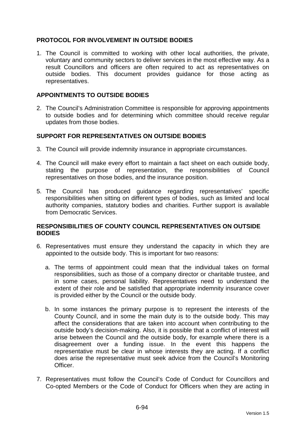## **PROTOCOL FOR INVOLVEMENT IN OUTSIDE BODIES**

1. The Council is committed to working with other local authorities, the private, voluntary and community sectors to deliver services in the most effective way. As a result Councillors and officers are often required to act as representatives on outside bodies. This document provides guidance for those acting as representatives.

#### **APPOINTMENTS TO OUTSIDE BODIES**

2. The Council's Administration Committee is responsible for approving appointments to outside bodies and for determining which committee should receive regular updates from those bodies.

#### **SUPPORT FOR REPRESENTATIVES ON OUTSIDE BODIES**

- 3. The Council will provide indemnity insurance in appropriate circumstances.
- 4. The Council will make every effort to maintain a fact sheet on each outside body, stating the purpose of representation, the responsibilities of Council representatives on those bodies, and the insurance position.
- 5. The Council has produced guidance regarding representatives' specific responsibilities when sitting on different types of bodies, such as limited and local authority companies, statutory bodies and charities. Further support is available from Democratic Services.

#### **RESPONSIBILITIES OF COUNTY COUNCIL REPRESENTATIVES ON OUTSIDE BODIES**

- 6. Representatives must ensure they understand the capacity in which they are appointed to the outside body. This is important for two reasons:
	- a. The terms of appointment could mean that the individual takes on formal responsibilities, such as those of a company director or charitable trustee, and in some cases, personal liability. Representatives need to understand the extent of their role and be satisfied that appropriate indemnity insurance cover is provided either by the Council or the outside body.
	- b. In some instances the primary purpose is to represent the interests of the County Council, and in some the main duty is to the outside body. This may affect the considerations that are taken into account when contributing to the outside body's decision-making. Also, it is possible that a conflict of interest will arise between the Council and the outside body, for example where there is a disagreement over a funding issue. In the event this happens the representative must be clear in whose interests they are acting. If a conflict does arise the representative must seek advice from the Council's Monitoring Officer.
- 7. Representatives must follow the Council's Code of Conduct for Councillors and Co-opted Members or the Code of Conduct for Officers when they are acting in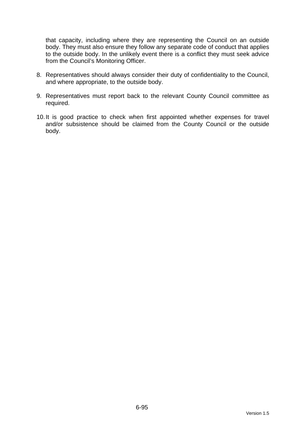that capacity, including where they are representing the Council on an outside body. They must also ensure they follow any separate code of conduct that applies to the outside body. In the unlikely event there is a conflict they must seek advice from the Council's Monitoring Officer.

- 8. Representatives should always consider their duty of confidentiality to the Council, and where appropriate, to the outside body.
- 9. Representatives must report back to the relevant County Council committee as required.
- 10. It is good practice to check when first appointed whether expenses for travel and/or subsistence should be claimed from the County Council or the outside body.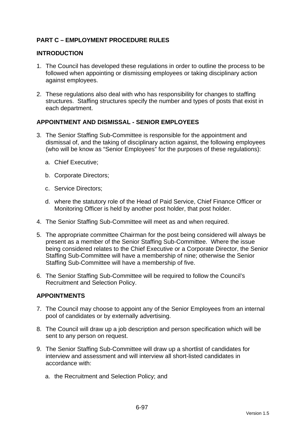## **PART C – EMPLOYMENT PROCEDURE RULES**

### **INTRODUCTION**

- 1. The Council has developed these regulations in order to outline the process to be followed when appointing or dismissing employees or taking disciplinary action against employees.
- 2. These regulations also deal with who has responsibility for changes to staffing structures. Staffing structures specify the number and types of posts that exist in each department.

### **APPOINTMENT AND DISMISSAL - SENIOR EMPLOYEES**

- 3. The Senior Staffing Sub-Committee is responsible for the appointment and dismissal of, and the taking of disciplinary action against, the following employees (who will be know as "Senior Employees" for the purposes of these regulations):
	- a. Chief Executive;
	- b. Corporate Directors;
	- c. Service Directors;
	- d. where the statutory role of the Head of Paid Service, Chief Finance Officer or Monitoring Officer is held by another post holder, that post holder.
- 4. The Senior Staffing Sub-Committee will meet as and when required.
- 5. The appropriate committee Chairman for the post being considered will always be present as a member of the Senior Staffing Sub-Committee. Where the issue being considered relates to the Chief Executive or a Corporate Director, the Senior Staffing Sub-Committee will have a membership of nine; otherwise the Senior Staffing Sub-Committee will have a membership of five.
- 6. The Senior Staffing Sub-Committee will be required to follow the Council's Recruitment and Selection Policy.

#### **APPOINTMENTS**

- 7. The Council may choose to appoint any of the Senior Employees from an internal pool of candidates or by externally advertising.
- 8. The Council will draw up a job description and person specification which will be sent to any person on request.
- 9. The Senior Staffing Sub-Committee will draw up a shortlist of candidates for interview and assessment and will interview all short-listed candidates in accordance with:
	- a. the Recruitment and Selection Policy; and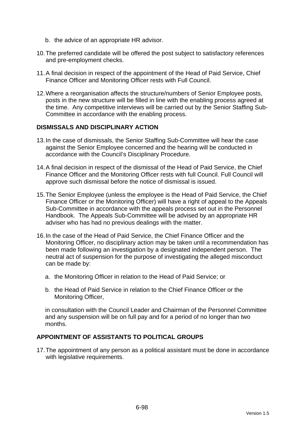- b. the advice of an appropriate HR advisor.
- 10. The preferred candidate will be offered the post subject to satisfactory references and pre-employment checks.
- 11. A final decision in respect of the appointment of the Head of Paid Service, Chief Finance Officer and Monitoring Officer rests with Full Council.
- 12. Where a reorganisation affects the structure/numbers of Senior Employee posts, posts in the new structure will be filled in line with the enabling process agreed at the time. Any competitive interviews will be carried out by the Senior Staffing Sub-Committee in accordance with the enabling process.

#### **DISMISSALS AND DISCIPLINARY ACTION**

- 13. In the case of dismissals, the Senior Staffing Sub-Committee will hear the case against the Senior Employee concerned and the hearing will be conducted in accordance with the Council's Disciplinary Procedure.
- 14. A final decision in respect of the dismissal of the Head of Paid Service, the Chief Finance Officer and the Monitoring Officer rests with full Council. Full Council will approve such dismissal before the notice of dismissal is issued.
- 15. The Senior Employee (unless the employee is the Head of Paid Service, the Chief Finance Officer or the Monitoring Officer) will have a right of appeal to the Appeals Sub-Committee in accordance with the appeals process set out in the Personnel Handbook. The Appeals Sub-Committee will be advised by an appropriate HR adviser who has had no previous dealings with the matter.
- 16. In the case of the Head of Paid Service, the Chief Finance Officer and the Monitoring Officer, no disciplinary action may be taken until a recommendation has been made following an investigation by a designated independent person. The neutral act of suspension for the purpose of investigating the alleged misconduct can be made by:
	- a. the Monitoring Officer in relation to the Head of Paid Service; or
	- b. the Head of Paid Service in relation to the Chief Finance Officer or the Monitoring Officer,

in consultation with the Council Leader and Chairman of the Personnel Committee and any suspension will be on full pay and for a period of no longer than two months.

### **APPOINTMENT OF ASSISTANTS TO POLITICAL GROUPS**

17. The appointment of any person as a political assistant must be done in accordance with legislative requirements.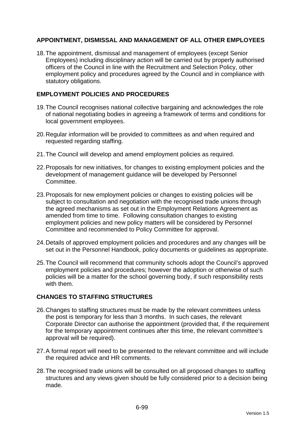## **APPOINTMENT, DISMISSAL AND MANAGEMENT OF ALL OTHER EMPLOYEES**

18. The appointment, dismissal and management of employees (except Senior Employees) including disciplinary action will be carried out by properly authorised officers of the Council in line with the Recruitment and Selection Policy, other employment policy and procedures agreed by the Council and in compliance with statutory obligations.

### **EMPLOYMENT POLICIES AND PROCEDURES**

- 19. The Council recognises national collective bargaining and acknowledges the role of national negotiating bodies in agreeing a framework of terms and conditions for local government employees.
- 20. Regular information will be provided to committees as and when required and requested regarding staffing.
- 21. The Council will develop and amend employment policies as required.
- 22. Proposals for new initiatives, for changes to existing employment policies and the development of management guidance will be developed by Personnel Committee.
- 23. Proposals for new employment policies or changes to existing policies will be subject to consultation and negotiation with the recognised trade unions through the agreed mechanisms as set out in the Employment Relations Agreement as amended from time to time. Following consultation changes to existing employment policies and new policy matters will be considered by Personnel Committee and recommended to Policy Committee for approval.
- 24. Details of approved employment policies and procedures and any changes will be set out in the Personnel Handbook, policy documents or guidelines as appropriate.
- 25. The Council will recommend that community schools adopt the Council's approved employment policies and procedures; however the adoption or otherwise of such policies will be a matter for the school governing body, if such responsibility rests with them.

## **CHANGES TO STAFFING STRUCTURES**

- 26. Changes to staffing structures must be made by the relevant committees unless the post is temporary for less than 3 months. In such cases, the relevant Corporate Director can authorise the appointment (provided that, if the requirement for the temporary appointment continues after this time, the relevant committee's approval will be required).
- 27. A formal report will need to be presented to the relevant committee and will include the required advice and HR comments.
- 28. The recognised trade unions will be consulted on all proposed changes to staffing structures and any views given should be fully considered prior to a decision being made.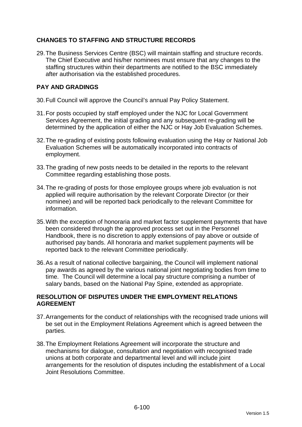## **CHANGES TO STAFFING AND STRUCTURE RECORDS**

29. The Business Services Centre (BSC) will maintain staffing and structure records. The Chief Executive and his/her nominees must ensure that any changes to the staffing structures within their departments are notified to the BSC immediately after authorisation via the established procedures.

## **PAY AND GRADINGS**

- 30. Full Council will approve the Council's annual Pay Policy Statement.
- 31. For posts occupied by staff employed under the NJC for Local Government Services Agreement, the initial grading and any subsequent re-grading will be determined by the application of either the NJC or Hay Job Evaluation Schemes.
- 32. The re-grading of existing posts following evaluation using the Hay or National Job Evaluation Schemes will be automatically incorporated into contracts of employment.
- 33. The grading of new posts needs to be detailed in the reports to the relevant Committee regarding establishing those posts.
- 34. The re-grading of posts for those employee groups where job evaluation is not applied will require authorisation by the relevant Corporate Director (or their nominee) and will be reported back periodically to the relevant Committee for information.
- 35. With the exception of honoraria and market factor supplement payments that have been considered through the approved process set out in the Personnel Handbook, there is no discretion to apply extensions of pay above or outside of authorised pay bands. All honoraria and market supplement payments will be reported back to the relevant Committee periodically.
- 36. As a result of national collective bargaining, the Council will implement national pay awards as agreed by the various national joint negotiating bodies from time to time. The Council will determine a local pay structure comprising a number of salary bands, based on the National Pay Spine, extended as appropriate.

## **RESOLUTION OF DISPUTES UNDER THE EMPLOYMENT RELATIONS AGREEMENT**

- 37. Arrangements for the conduct of relationships with the recognised trade unions will be set out in the Employment Relations Agreement which is agreed between the parties.
- 38. The Employment Relations Agreement will incorporate the structure and mechanisms for dialogue, consultation and negotiation with recognised trade unions at both corporate and departmental level and will include joint arrangements for the resolution of disputes including the establishment of a Local Joint Resolutions Committee.